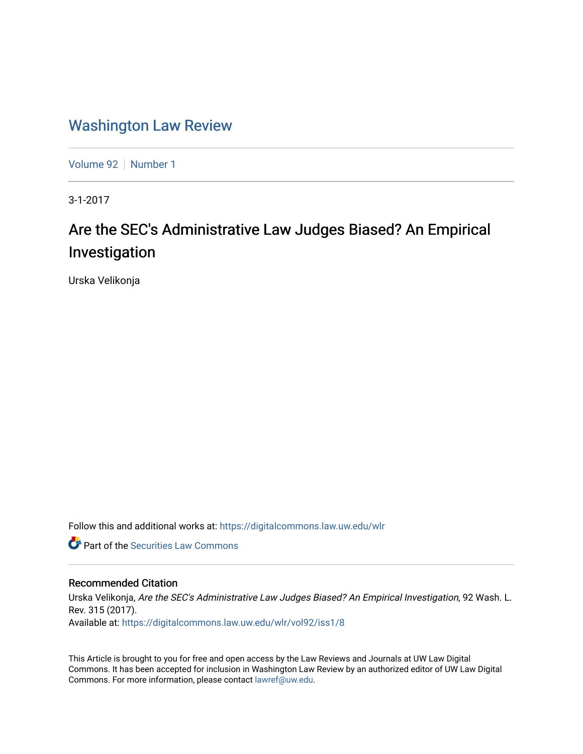# [Washington Law Review](https://digitalcommons.law.uw.edu/wlr)

[Volume 92](https://digitalcommons.law.uw.edu/wlr/vol92) | [Number 1](https://digitalcommons.law.uw.edu/wlr/vol92/iss1)

3-1-2017

# Are the SEC's Administrative Law Judges Biased? An Empirical Investigation

Urska Velikonja

Follow this and additional works at: [https://digitalcommons.law.uw.edu/wlr](https://digitalcommons.law.uw.edu/wlr?utm_source=digitalcommons.law.uw.edu%2Fwlr%2Fvol92%2Fiss1%2F8&utm_medium=PDF&utm_campaign=PDFCoverPages)

**C** Part of the Securities Law Commons

### Recommended Citation

Urska Velikonja, Are the SEC's Administrative Law Judges Biased? An Empirical Investigation, 92 Wash. L. Rev. 315 (2017). Available at: [https://digitalcommons.law.uw.edu/wlr/vol92/iss1/8](https://digitalcommons.law.uw.edu/wlr/vol92/iss1/8?utm_source=digitalcommons.law.uw.edu%2Fwlr%2Fvol92%2Fiss1%2F8&utm_medium=PDF&utm_campaign=PDFCoverPages)

This Article is brought to you for free and open access by the Law Reviews and Journals at UW Law Digital Commons. It has been accepted for inclusion in Washington Law Review by an authorized editor of UW Law Digital Commons. For more information, please contact [lawref@uw.edu](mailto:lawref@uw.edu).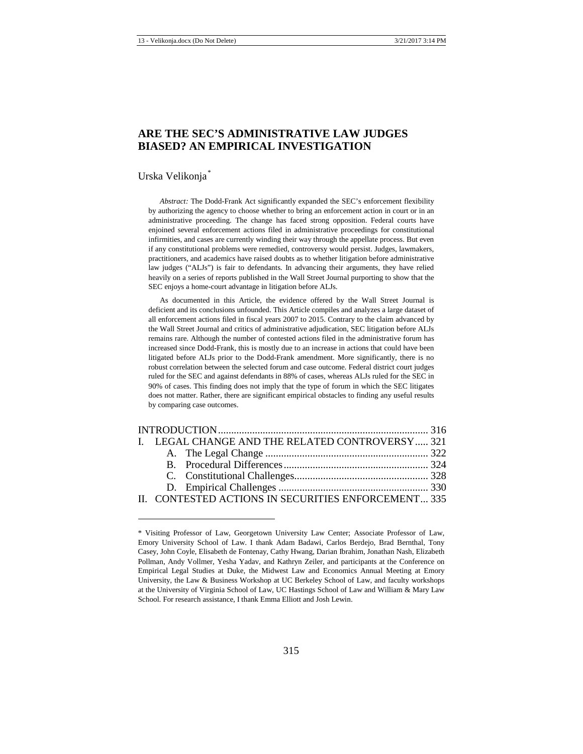## **ARE THE SEC'S ADMINISTRATIVE LAW JUDGES BIASED? AN EMPIRICAL INVESTIGATION**

#### Urska Velikonja*[\\*](#page-1-0)*

 $\overline{\phantom{a}}$ 

*Abstract:* The Dodd-Frank Act significantly expanded the SEC's enforcement flexibility by authorizing the agency to choose whether to bring an enforcement action in court or in an administrative proceeding. The change has faced strong opposition. Federal courts have enjoined several enforcement actions filed in administrative proceedings for constitutional infirmities, and cases are currently winding their way through the appellate process. But even if any constitutional problems were remedied, controversy would persist. Judges, lawmakers, practitioners, and academics have raised doubts as to whether litigation before administrative law judges ("ALJs") is fair to defendants. In advancing their arguments, they have relied heavily on a series of reports published in the Wall Street Journal purporting to show that the SEC enjoys a home-court advantage in litigation before ALJs.

As documented in this Article, the evidence offered by the Wall Street Journal is deficient and its conclusions unfounded. This Article compiles and analyzes a large dataset of all enforcement actions filed in fiscal years 2007 to 2015. Contrary to the claim advanced by the Wall Street Journal and critics of administrative adjudication, SEC litigation before ALJs remains rare. Although the number of contested actions filed in the administrative forum has increased since Dodd-Frank, this is mostly due to an increase in actions that could have been litigated before ALJs prior to the Dodd-Frank amendment. More significantly, there is no robust correlation between the selected forum and case outcome. Federal district court judges ruled for the SEC and against defendants in 88% of cases, whereas ALJs ruled for the SEC in 90% of cases. This finding does not imply that the type of forum in which the SEC litigates does not matter. Rather, there are significant empirical obstacles to finding any useful results by comparing case outcomes.

|  | I. LEGAL CHANGE AND THE RELATED CONTROVERSY  321<br>II. CONTESTED ACTIONS IN SECURITIES ENFORCEMENT 335 |
|--|---------------------------------------------------------------------------------------------------------|

<span id="page-1-0"></span><sup>\*</sup> Visiting Professor of Law, Georgetown University Law Center; Associate Professor of Law, Emory University School of Law. I thank Adam Badawi, Carlos Berdejo, Brad Bernthal, Tony Casey, John Coyle, Elisabeth de Fontenay, Cathy Hwang, Darian Ibrahim, Jonathan Nash, Elizabeth Pollman, Andy Vollmer, Yesha Yadav, and Kathryn Zeiler, and participants at the Conference on Empirical Legal Studies at Duke, the Midwest Law and Economics Annual Meeting at Emory University, the Law & Business Workshop at UC Berkeley School of Law, and faculty workshops at the University of Virginia School of Law, UC Hastings School of Law and William & Mary Law School. For research assistance, I thank Emma Elliott and Josh Lewin.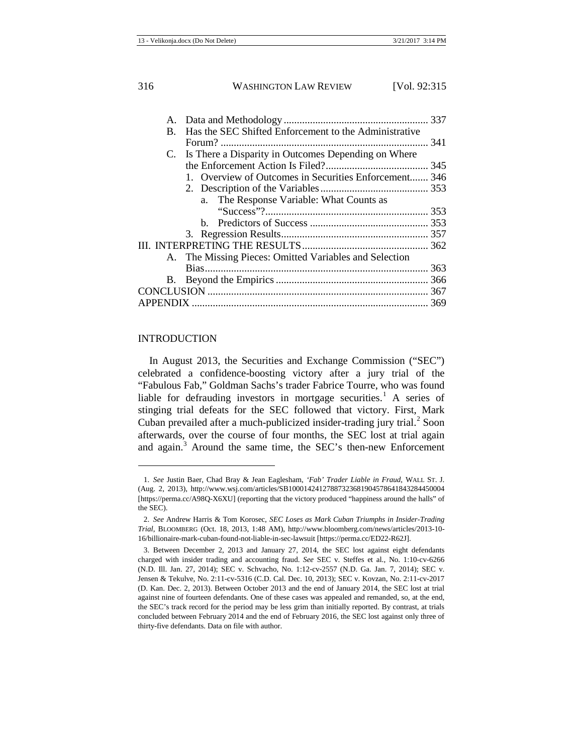| Has the SEC Shifted Enforcement to the Administrative<br>$B_{-}$ |  |
|------------------------------------------------------------------|--|
|                                                                  |  |
| C. Is There a Disparity in Outcomes Depending on Where           |  |
|                                                                  |  |
| 1. Overview of Outcomes in Securities Enforcement 346            |  |
|                                                                  |  |
| a. The Response Variable: What Counts as                         |  |
|                                                                  |  |
|                                                                  |  |
|                                                                  |  |
|                                                                  |  |
| A. The Missing Pieces: Omitted Variables and Selection           |  |
|                                                                  |  |
| В.                                                               |  |
|                                                                  |  |
| <b>APPENDIX</b>                                                  |  |
|                                                                  |  |

#### <span id="page-2-0"></span>INTRODUCTION

**.** 

In August 2013, the Securities and Exchange Commission ("SEC") celebrated a confidence-boosting victory after a jury trial of the "Fabulous Fab," Goldman Sachs's trader Fabrice Tourre, who was found liable for defrauding investors in mortgage securities.<sup>[1](#page-2-1)</sup> A series of stinging trial defeats for the SEC followed that victory. First, Mark Cuban prevailed after a much-publicized insider-trading jury trial.<sup>[2](#page-2-2)</sup> Soon afterwards, over the course of four months, the SEC lost at trial again and again. $3$  Around the same time, the SEC's then-new Enforcement

<span id="page-2-1"></span><sup>1.</sup> *See* Justin Baer, Chad Bray & Jean Eaglesham, *'Fab' Trader Liable in Fraud*, WALL ST. J. (Aug. 2, 2013), http://www.wsj.com/articles/SB10001424127887323681904578641843284450004 [https://perma.cc/A98Q-X6XU] (reporting that the victory produced "happiness around the halls" of the SEC).

<span id="page-2-2"></span><sup>2.</sup> *See* Andrew Harris & Tom Korosec, *SEC Loses as Mark Cuban Triumphs in Insider-Trading Trial*, BLOOMBERG (Oct. 18, 2013, 1:48 AM), http://www.bloomberg.com/news/articles/2013-10- 16/billionaire-mark-cuban-found-not-liable-in-sec-lawsuit [https://perma.cc/ED22-R62J].

<span id="page-2-3"></span><sup>3.</sup> Between December 2, 2013 and January 27, 2014, the SEC lost against eight defendants charged with insider trading and accounting fraud. *See* SEC v. Steffes et al., No. 1:10-cv-6266 (N.D. Ill. Jan. 27, 2014); SEC v. Schvacho, No. 1:12-cv-2557 (N.D. Ga. Jan. 7, 2014); SEC v. Jensen & Tekulve, No. 2:11-cv-5316 (C.D. Cal. Dec. 10, 2013); SEC v. Kovzan, No. 2:11-cv-2017 (D. Kan. Dec. 2, 2013). Between October 2013 and the end of January 2014, the SEC lost at trial against nine of fourteen defendants. One of these cases was appealed and remanded, so, at the end, the SEC's track record for the period may be less grim than initially reported. By contrast, at trials concluded between February 2014 and the end of February 2016, the SEC lost against only three of thirty-five defendants. Data on file with author.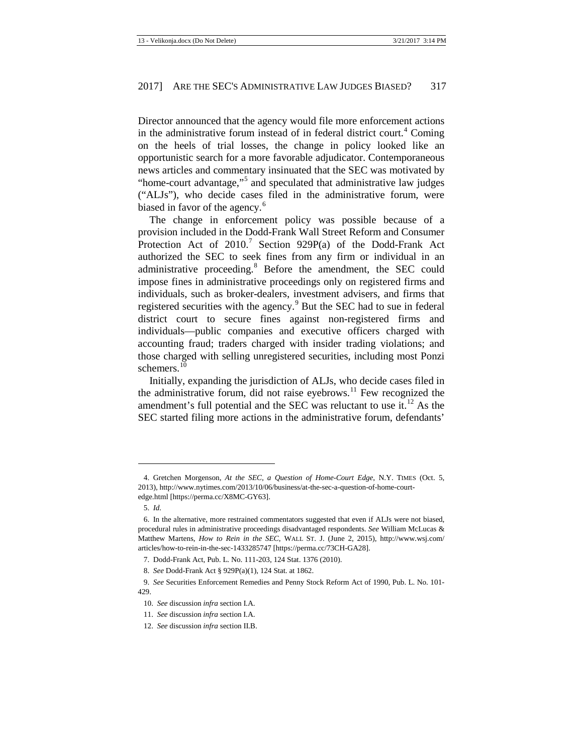<span id="page-3-9"></span>Director announced that the agency would file more enforcement actions in the administrative forum instead of in federal district court.<sup>[4](#page-3-0)</sup> Coming on the heels of trial losses, the change in policy looked like an opportunistic search for a more favorable adjudicator. Contemporaneous news articles and commentary insinuated that the SEC was motivated by "home-court advantage,"[5](#page-3-1) and speculated that administrative law judges ("ALJs"), who decide cases filed in the administrative forum, were biased in favor of the agency.<sup>[6](#page-3-2)</sup>

<span id="page-3-10"></span>The change in enforcement policy was possible because of a provision included in the Dodd-Frank Wall Street Reform and Consumer Protection Act of  $2010$ .<sup>[7](#page-3-3)</sup> Section 929P(a) of the Dodd-Frank Act authorized the SEC to seek fines from any firm or individual in an administrative proceeding.<sup>[8](#page-3-4)</sup> Before the amendment, the SEC could impose fines in administrative proceedings only on registered firms and individuals, such as broker-dealers, investment advisers, and firms that registered securities with the agency.<sup>[9](#page-3-5)</sup> But the SEC had to sue in federal district court to secure fines against non-registered firms and individuals—public companies and executive officers charged with accounting fraud; traders charged with insider trading violations; and those charged with selling unregistered securities, including most Ponzi schemers.<sup>[10](#page-3-6)</sup>

Initially, expanding the jurisdiction of ALJs, who decide cases filed in the administrative forum, did not raise eyebrows.<sup>[11](#page-3-7)</sup> Few recognized the amendment's full potential and the SEC was reluctant to use it. $^{12}$  $^{12}$  $^{12}$  As the SEC started filing more actions in the administrative forum, defendants'

<span id="page-3-0"></span><sup>4.</sup> Gretchen Morgenson, *At the SEC, a Question of Home-Court Edge*, N.Y. TIMES (Oct. 5, 2013), [http://www.nytimes.com/2013/10/06/business/at-the-sec-a-question-of-home-court](http://www.nytimes.com/2013/10/06/business/at-the-sec-a-question-of-home-court-edge.html)[edge.html](http://www.nytimes.com/2013/10/06/business/at-the-sec-a-question-of-home-court-edge.html) [https://perma.cc/X8MC-GY63].

<sup>5.</sup> *Id.*

<span id="page-3-2"></span><span id="page-3-1"></span><sup>6.</sup> In the alternative, more restrained commentators suggested that even if ALJs were not biased, procedural rules in administrative proceedings disadvantaged respondents. *See* William McLucas & Matthew Martens, *How to Rein in the SEC*, WALL ST. J. (June 2, 2015), http://www.wsj.com/ articles/how-to-rein-in-the-sec-1433285747 [https://perma.cc/73CH-GA28].

<sup>7.</sup> Dodd-Frank Act, Pub. L. No. 111-203, 124 Stat. 1376 (2010).

<sup>8.</sup> *See* Dodd-Frank Act § 929P(a)(1), 124 Stat. at 1862.

<span id="page-3-7"></span><span id="page-3-6"></span><span id="page-3-5"></span><span id="page-3-4"></span><span id="page-3-3"></span><sup>9.</sup> *See* Securities Enforcement Remedies and Penny Stock Reform Act of 1990, Pub. L. No. 101- 429.

<sup>10.</sup> *See* discussion *infra* section I.A.

<sup>11.</sup> *See* discussion *infra* section I.A.

<span id="page-3-8"></span><sup>12.</sup> *See* discussion *infra* section II.B.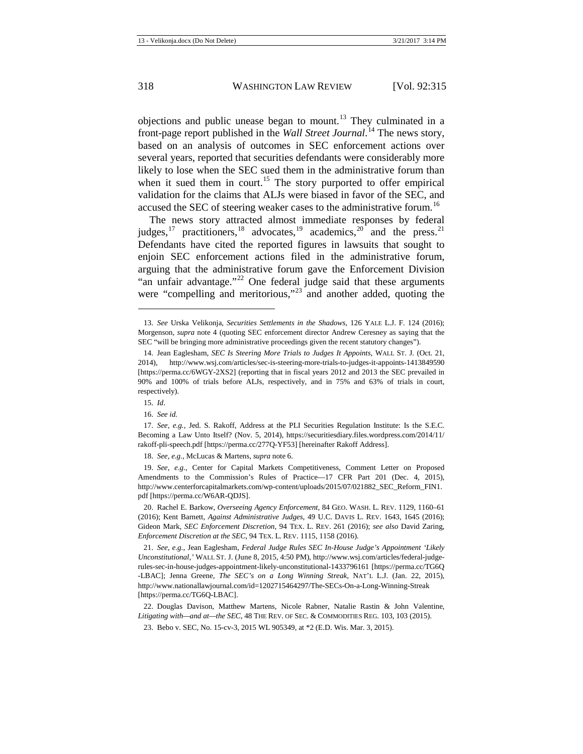<span id="page-4-14"></span><span id="page-4-13"></span>objections and public unease began to mount.<sup>[13](#page-4-0)</sup> They culminated in a front-page report published in the *Wall Street Journal*. [14](#page-4-1) The news story, based on an analysis of outcomes in SEC enforcement actions over several years, reported that securities defendants were considerably more likely to lose when the SEC sued them in the administrative forum than when it sued them in court.<sup>[15](#page-4-2)</sup> The story purported to offer empirical validation for the claims that ALJs were biased in favor of the SEC, and accused the SEC of steering weaker cases to the administrative forum.<sup>[16](#page-4-3)</sup>

<span id="page-4-16"></span><span id="page-4-12"></span><span id="page-4-11"></span>The news story attracted almost immediate responses by federal judges,<sup>[17](#page-4-4)</sup> practitioners,<sup>[18](#page-4-5)</sup> advocates,<sup>[19](#page-4-6)</sup> academics,<sup>[20](#page-4-7)</sup> and the press.<sup>[21](#page-4-8)</sup> Defendants have cited the reported figures in lawsuits that sought to enjoin SEC enforcement actions filed in the administrative forum, arguing that the administrative forum gave the Enforcement Division "an unfair advantage."<sup>[22](#page-4-9)</sup> One federal judge said that these arguments were "compelling and meritorious,"<sup>[23](#page-4-10)</sup> and another added, quoting the

<span id="page-4-15"></span>**.** 

18. *See, e.g.*, McLucas & Martens, *supra* not[e 6.](#page-3-10)

<span id="page-4-6"></span><span id="page-4-5"></span>19. *See, e.g.*, Center for Capital Markets Competitiveness, Comment Letter on Proposed Amendments to the Commission's Rules of Practice—17 CFR Part 201 (Dec. 4, 2015), http://www.centerforcapitalmarkets.com/wp-content/uploads/2015/07/021882\_SEC\_Reform\_FIN1. pdf [https://perma.cc/W6AR-QDJS].

<span id="page-4-7"></span>20. Rachel E. Barkow, *Overseeing Agency Enforcement*, 84 GEO. WASH. L. REV. 1129, 1160–61 (2016); Kent Barnett, *Against Administrative Judges*, 49 U.C. DAVIS L. REV. 1643, 1645 (2016); Gideon Mark, *SEC Enforcement Discretion*, 94 TEX. L. REV. 261 (2016); *see also* David Zaring, *Enforcement Discretion at the SEC*, 94 TEX. L. REV. 1115, 1158 (2016).

<span id="page-4-8"></span>21. *See, e.g.*, Jean Eaglesham, *Federal Judge Rules SEC In-House Judge's Appointment 'Likely Unconstitutional*,*'* WALL ST. J. (June 8, 2015, 4:50 PM), [http://www.wsj.com/articles/federal-judge](http://www.wsj.com/articles/federal-judge-rules-sec-in-house-judges-appointment-likely-unconstitutional-1433796161)[rules-sec-in-house-judges-appointment-likely-unconstitutional-1433796161](http://www.wsj.com/articles/federal-judge-rules-sec-in-house-judges-appointment-likely-unconstitutional-1433796161) [https://perma.cc/TG6Q -LBAC]; Jenna Greene, *The SEC's on a Long Winning Streak*, NAT'L L.J. (Jan. 22, 2015), http://www.nationallawjournal.com/id=1202715464297/The-SECs-On-a-Long-Winning-Streak [https://perma.cc/TG6Q-LBAC].

<span id="page-4-10"></span><span id="page-4-9"></span>22. Douglas Davison, Matthew Martens, Nicole Rabner, Natalie Rastin & John Valentine, *Litigating with—and at—the SEC*, 48 THE REV. OF SEC. & COMMODITIES REG. 103, 103 (2015).

23. Bebo v. SEC, No. 15-cv-3, 2015 WL 905349, at \*2 (E.D. Wis. Mar. 3, 2015).

<span id="page-4-0"></span><sup>13.</sup> *See* Urska Velikonja, *Securities Settlements in the Shadows*, 126 YALE L.J. F. 124 (2016); Morgenson, *supra* note [4](#page-3-9) (quoting SEC enforcement director Andrew Ceresney as saying that the SEC "will be bringing more administrative proceedings given the recent statutory changes").

<span id="page-4-1"></span><sup>14.</sup> Jean Eaglesham, *SEC Is Steering More Trials to Judges It Appoints*, WALL ST. J. (Oct. 21, 2014), http://www.wsj.com/articles/sec-is-steering-more-trials-to-judges-it-appoints-1413849590 [https://perma.cc/6WGY-2XS2] (reporting that in fiscal years 2012 and 2013 the SEC prevailed in 90% and 100% of trials before ALJs, respectively, and in 75% and 63% of trials in court, respectively).

<sup>15.</sup> *Id*.

<sup>16.</sup> *See id.*

<span id="page-4-4"></span><span id="page-4-3"></span><span id="page-4-2"></span><sup>17.</sup> *See, e.g.*, Jed. S. Rakoff, Address at the PLI Securities Regulation Institute: Is the S.E.C. Becoming a Law Unto Itself? (Nov. 5, 2014), https://securitiesdiary.files.wordpress.com/2014/11/ rakoff-pli-speech.pdf [https://perma.cc/277Q-YF53] [hereinafter Rakoff Address].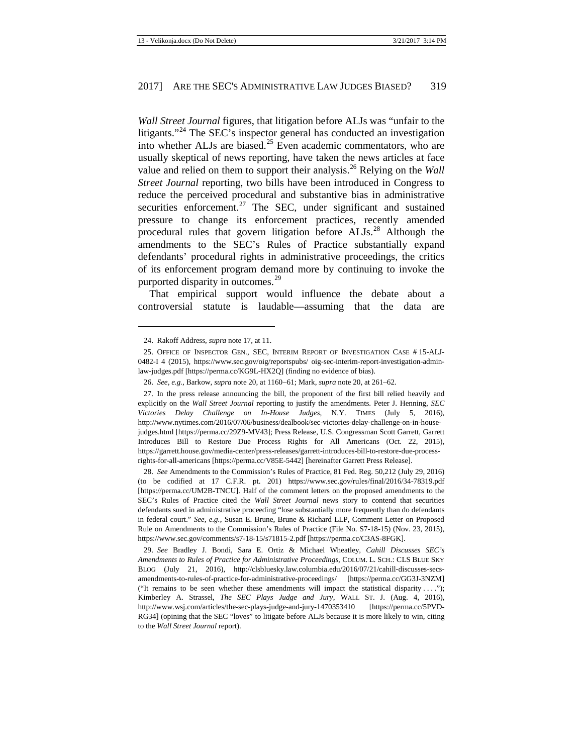<span id="page-5-8"></span>*Wall Street Journal* figures, that litigation before ALJs was "unfair to the litigants."<sup>[24](#page-5-0)</sup> The SEC's inspector general has conducted an investigation into whether ALJs are biased.<sup>[25](#page-5-1)</sup> Even academic commentators, who are usually skeptical of news reporting, have taken the news articles at face value and relied on them to support their analysis.[26](#page-5-2) Relying on the *Wall Street Journal* reporting, two bills have been introduced in Congress to reduce the perceived procedural and substantive bias in administrative securities enforcement.<sup>[27](#page-5-3)</sup> The SEC, under significant and sustained pressure to change its enforcement practices, recently amended procedural rules that govern litigation before ALJs.<sup>[28](#page-5-4)</sup> Although the amendments to the SEC's Rules of Practice substantially expand defendants' procedural rights in administrative proceedings, the critics of its enforcement program demand more by continuing to invoke the purported disparity in outcomes.<sup>[29](#page-5-5)</sup>

<span id="page-5-7"></span><span id="page-5-6"></span>That empirical support would influence the debate about a controversial statute is laudable—assuming that the data are

**.** 

<span id="page-5-3"></span><span id="page-5-2"></span>27. In the press release announcing the bill, the proponent of the first bill relied heavily and explicitly on the *Wall Street Journal* reporting to justify the amendments. Peter J. Henning, *SEC Victories Delay Challenge on In-House Judges*, N.Y. TIMES (July 5, 2016), http://www.nytimes.com/2016/07/06/business/dealbook/sec-victories-delay-challenge-on-in-housejudges.html [https://perma.cc/29Z9-MV43]; Press Release, U.S. Congressman Scott Garrett, Garrett Introduces Bill to Restore Due Process Rights for All Americans (Oct. 22, 2015), https://garrett.house.gov/media-center/press-releases/garrett-introduces-bill-to-restore-due-processrights-for-all-americans [https://perma.cc/V85E-5442] [hereinafter Garrett Press Release].

<span id="page-5-4"></span>28. *See* Amendments to the Commission's Rules of Practice, 81 Fed. Reg. 50,212 (July 29, 2016) (to be codified at 17 C.F.R. pt. 201) https://www.sec.gov/rules/final/2016/34-78319.pdf [https://perma.cc/UM2B-TNCU]. Half of the comment letters on the proposed amendments to the SEC's Rules of Practice cited the *Wall Street Journal* news story to contend that securities defendants sued in administrative proceeding "lose substantially more frequently than do defendants in federal court." *See, e.g.*, Susan E. Brune, Brune & Richard LLP, Comment Letter on Proposed Rule on Amendments to the Commission's Rules of Practice (File No. S7-18-15) (Nov. 23, 2015), https://www.sec.gov/comments/s7-18-15/s71815-2.pdf [https://perma.cc/C3AS-8FGK].

<span id="page-5-5"></span>29. *See* Bradley J. Bondi, Sara E. Ortiz & Michael Wheatley, *Cahill Discusses SEC's Amendments to Rules of Practice for Administrative Proceedings*, COLUM. L. SCH.: CLS BLUE SKY BLOG (July 21, 2016), http://clsbluesky.law.columbia.edu/2016/07/21/cahill-discusses-secsamendments-to-rules-of-practice-for-administrative-proceedings/ [https://perma.cc/GG3J-3NZM] ("It remains to be seen whether these amendments will impact the statistical disparity . . . ."); Kimberley A. Strassel, *The SEC Plays Judge and Jury*, WALL ST. J. (Aug. 4, 2016), http://www.wsj.com/articles/the-sec-plays-judge-and-jury-1470353410 [https://perma.cc/5PVD-RG34] (opining that the SEC "loves" to litigate before ALJs because it is more likely to win, citing to the *Wall Street Journal* report).

<sup>24.</sup> Rakoff Address, *supra* not[e 17,](#page-4-11) at 11.

<span id="page-5-1"></span><span id="page-5-0"></span><sup>25.</sup> OFFICE OF INSPECTOR GEN., SEC, INTERIM REPORT OF INVESTIGATION CASE # 15-ALJ-0482-I 4 (2015), https://www.sec.gov/oig/reportspubs/ oig-sec-interim-report-investigation-adminlaw-judges.pdf [https://perma.cc/KG9L-HX2Q] (finding no evidence of bias).

<sup>26.</sup> *See, e.g.*, Barkow, *supra* not[e 20,](#page-4-12) at 1160−61; Mark, *supra* not[e 20,](#page-4-12) at 261–62.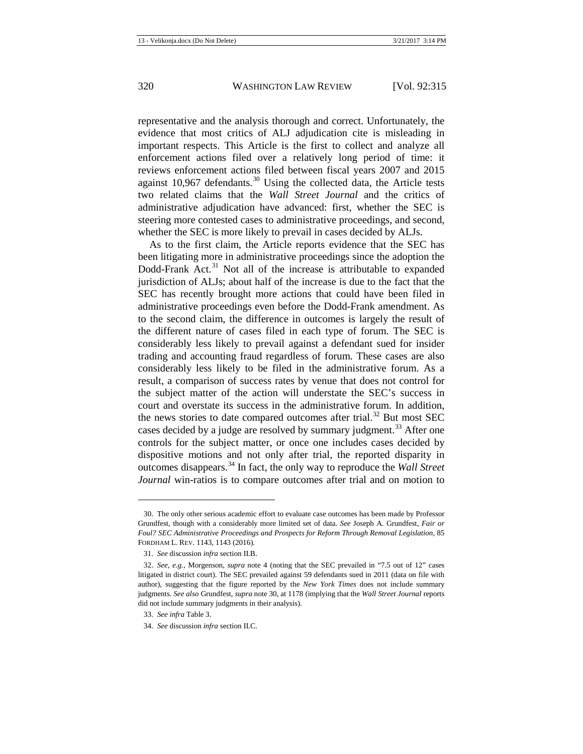<span id="page-6-0"></span>representative and the analysis thorough and correct. Unfortunately, the evidence that most critics of ALJ adjudication cite is misleading in important respects. This Article is the first to collect and analyze all enforcement actions filed over a relatively long period of time: it reviews enforcement actions filed between fiscal years 2007 and 2015 against 10,967 defendants.<sup>[30](#page-6-1)</sup> Using the collected data, the Article tests two related claims that the *Wall Street Journal* and the critics of administrative adjudication have advanced: first, whether the SEC is steering more contested cases to administrative proceedings, and second, whether the SEC is more likely to prevail in cases decided by ALJs.

As to the first claim, the Article reports evidence that the SEC has been litigating more in administrative proceedings since the adoption the Dodd-Frank Act.<sup>[31](#page-6-2)</sup> Not all of the increase is attributable to expanded jurisdiction of ALJs; about half of the increase is due to the fact that the SEC has recently brought more actions that could have been filed in administrative proceedings even before the Dodd-Frank amendment. As to the second claim, the difference in outcomes is largely the result of the different nature of cases filed in each type of forum. The SEC is considerably less likely to prevail against a defendant sued for insider trading and accounting fraud regardless of forum. These cases are also considerably less likely to be filed in the administrative forum. As a result, a comparison of success rates by venue that does not control for the subject matter of the action will understate the SEC's success in court and overstate its success in the administrative forum. In addition, the news stories to date compared outcomes after trial.<sup>[32](#page-6-3)</sup> But most SEC cases decided by a judge are resolved by summary judgment.<sup>[33](#page-6-4)</sup> After one controls for the subject matter, or once one includes cases decided by dispositive motions and not only after trial, the reported disparity in outcomes disappears.[34](#page-6-5) In fact, the only way to reproduce the *Wall Street Journal* win-ratios is to compare outcomes after trial and on motion to

<span id="page-6-1"></span><sup>30.</sup> The only other serious academic effort to evaluate case outcomes has been made by Professor Grundfest, though with a considerably more limited set of data. *See* Joseph A. Grundfest, *Fair or Foul? SEC Administrative Proceedings and Prospects for Reform Through Removal Legislation*, 85 FORDHAM L. REV. 1143, 1143 (2016).

<sup>31.</sup> *See* discussion *infra* section II.B.

<span id="page-6-3"></span><span id="page-6-2"></span><sup>32.</sup> *See, e.g.*, Morgenson, *supra* note [4](#page-3-9) (noting that the SEC prevailed in "7.5 out of 12" cases litigated in district court). The SEC prevailed against 59 defendants sued in 2011 (data on file with author), suggesting that the figure reported by the *New York Times* does not include summary judgments. *See also* Grundfest, *supra* note [30,](#page-6-0) at 1178 (implying that the *Wall Street Journal* reports did not include summary judgments in their analysis).

<span id="page-6-4"></span><sup>33.</sup> *See infra* Table 3.

<span id="page-6-5"></span><sup>34.</sup> *See* discussion *infra* section II.C.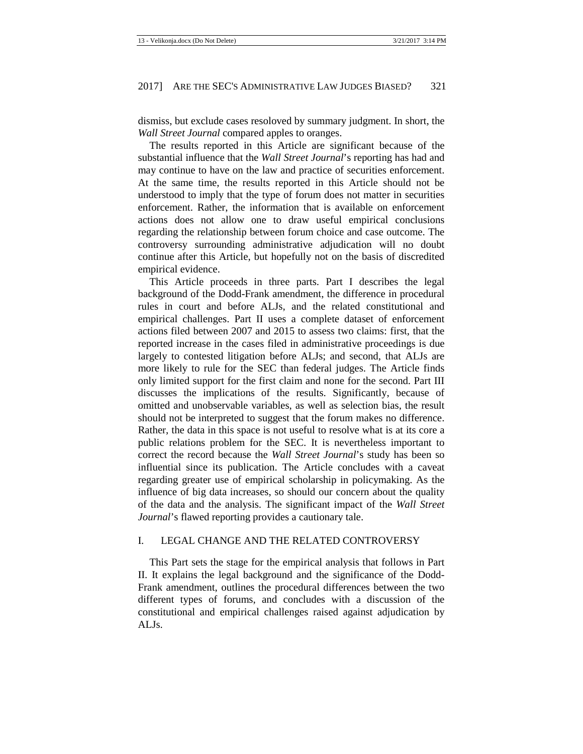dismiss, but exclude cases resoloved by summary judgment. In short, the *Wall Street Journal* compared apples to oranges.

The results reported in this Article are significant because of the substantial influence that the *Wall Street Journal*'s reporting has had and may continue to have on the law and practice of securities enforcement. At the same time, the results reported in this Article should not be understood to imply that the type of forum does not matter in securities enforcement. Rather, the information that is available on enforcement actions does not allow one to draw useful empirical conclusions regarding the relationship between forum choice and case outcome. The controversy surrounding administrative adjudication will no doubt continue after this Article, but hopefully not on the basis of discredited empirical evidence.

This Article proceeds in three parts. Part I describes the legal background of the Dodd-Frank amendment, the difference in procedural rules in court and before ALJs, and the related constitutional and empirical challenges. Part II uses a complete dataset of enforcement actions filed between 2007 and 2015 to assess two claims: first, that the reported increase in the cases filed in administrative proceedings is due largely to contested litigation before ALJs; and second, that ALJs are more likely to rule for the SEC than federal judges. The Article finds only limited support for the first claim and none for the second. Part III discusses the implications of the results. Significantly, because of omitted and unobservable variables, as well as selection bias, the result should not be interpreted to suggest that the forum makes no difference. Rather, the data in this space is not useful to resolve what is at its core a public relations problem for the SEC. It is nevertheless important to correct the record because the *Wall Street Journal*'s study has been so influential since its publication. The Article concludes with a caveat regarding greater use of empirical scholarship in policymaking. As the influence of big data increases, so should our concern about the quality of the data and the analysis. The significant impact of the *Wall Street Journal*'s flawed reporting provides a cautionary tale.

#### <span id="page-7-0"></span>I. LEGAL CHANGE AND THE RELATED CONTROVERSY

This Part sets the stage for the empirical analysis that follows in Part II. It explains the legal background and the significance of the Dodd-Frank amendment, outlines the procedural differences between the two different types of forums, and concludes with a discussion of the constitutional and empirical challenges raised against adjudication by ALJs.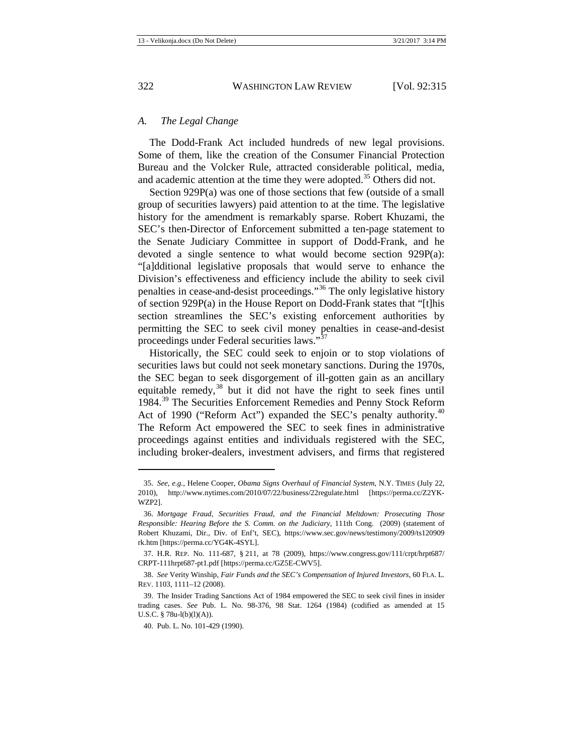#### <span id="page-8-0"></span>*A. The Legal Change*

The Dodd-Frank Act included hundreds of new legal provisions. Some of them, like the creation of the Consumer Financial Protection Bureau and the Volcker Rule, attracted considerable political, media, and academic attention at the time they were adopted.<sup>[35](#page-8-1)</sup> Others did not.

Section 929P(a) was one of those sections that few (outside of a small group of securities lawyers) paid attention to at the time. The legislative history for the amendment is remarkably sparse. Robert Khuzami, the SEC's then-Director of Enforcement submitted a ten-page statement to the Senate Judiciary Committee in support of Dodd-Frank, and he devoted a single sentence to what would become section 929P(a): "[a]dditional legislative proposals that would serve to enhance the Division's effectiveness and efficiency include the ability to seek civil penalties in cease-and-desist proceedings."[36](#page-8-2) The only legislative history of section 929P(a) in the House Report on Dodd-Frank states that "[t]his section streamlines the SEC's existing enforcement authorities by permitting the SEC to seek civil money penalties in cease-and-desist proceedings under Federal securities laws."<sup>[37](#page-8-3)</sup>

Historically, the SEC could seek to enjoin or to stop violations of securities laws but could not seek monetary sanctions. During the 1970s, the SEC began to seek disgorgement of ill-gotten gain as an ancillary equitable remedy,<sup>[38](#page-8-4)</sup> but it did not have the right to seek fines until 1984.[39](#page-8-5) The Securities Enforcement Remedies and Penny Stock Reform Act of 1990 ("Reform Act") expanded the SEC's penalty authority.<sup>[40](#page-8-6)</sup> The Reform Act empowered the SEC to seek fines in administrative proceedings against entities and individuals registered with the SEC, including broker-dealers, investment advisers, and firms that registered

<span id="page-8-1"></span><sup>35.</sup> *See, e.g.*, Helene Cooper, *Obama Signs Overhaul of Financial System*, N.Y. TIMES (July 22, 2010), http://www.nytimes.com/2010/07/22/business/22regulate.html [https://perma.cc/Z2YK-WZP2].

<span id="page-8-2"></span><sup>36.</sup> *Mortgage Fraud, Securities Fraud, and the Financial Meltdown: Prosecuting Those Responsible: Hearing Before the S. Comm. on the Judiciary*, 111th Cong. (2009) (statement of Robert Khuzami, Dir., Div. of Enf't, SEC), https://www.sec.gov/news/testimony/2009/ts120909 rk.htm [https://perma.cc/YG4K-4SYL].

<span id="page-8-3"></span><sup>37.</sup> H.R. REP. No. 111-687, § 211, at 78 (2009), https://www.congress.gov/111/crpt/hrpt687/ CRPT-111hrpt687-pt1.pdf [https://perma.cc/GZ5E-CWV5].

<span id="page-8-4"></span><sup>38.</sup> *See* Verity Winship, *Fair Funds and the SEC's Compensation of Injured Investors*, 60 FLA. L. REV. 1103, 1111–12 (2008).

<span id="page-8-6"></span><span id="page-8-5"></span><sup>39.</sup> The Insider Trading Sanctions Act of 1984 empowered the SEC to seek civil fines in insider trading cases. *See* Pub. L. No. 98-376, 98 Stat. 1264 (1984) (codified as amended at 15 U.S.C.  $§ 78u-l(b)(l)(A)).$ 

<sup>40.</sup> Pub. L. No. 101-429 (1990).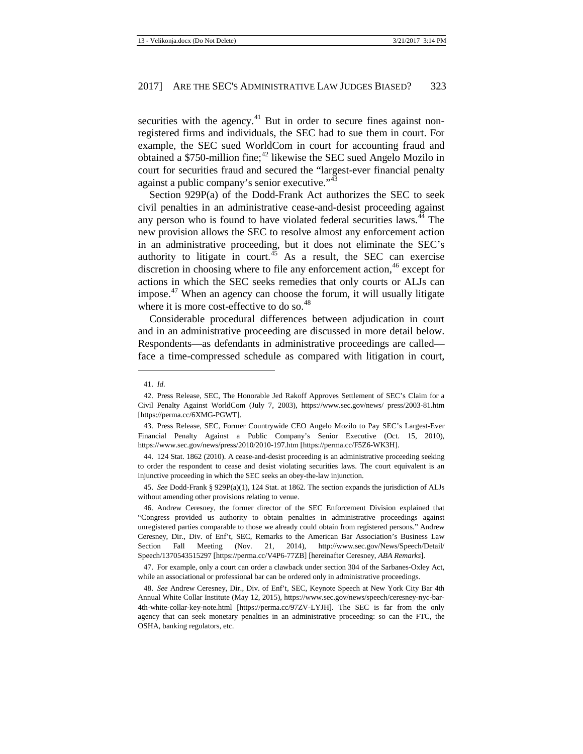securities with the agency. $41$  But in order to secure fines against nonregistered firms and individuals, the SEC had to sue them in court. For example, the SEC sued WorldCom in court for accounting fraud and obtained a  $$750$ -million fine;<sup>[42](#page-9-1)</sup> likewise the SEC sued Angelo Mozilo in court for securities fraud and secured the "largest-ever financial penalty against a public company's senior executive."<sup>[43](#page-9-2)</sup>

Section 929P(a) of the Dodd-Frank Act authorizes the SEC to seek civil penalties in an administrative cease-and-desist proceeding against any person who is found to have violated federal securities laws.<sup>[44](#page-9-3)</sup> The new provision allows the SEC to resolve almost any enforcement action in an administrative proceeding, but it does not eliminate the SEC's authority to litigate in court.<sup>[45](#page-9-4)</sup> As a result, the SEC can exercise discretion in choosing where to file any enforcement action,<sup>[46](#page-9-5)</sup> except for actions in which the SEC seeks remedies that only courts or ALJs can impose. $47$  When an agency can choose the forum, it will usually litigate where it is more cost-effective to do so.<sup>[48](#page-9-7)</sup>

<span id="page-9-8"></span>Considerable procedural differences between adjudication in court and in an administrative proceeding are discussed in more detail below. Respondents—as defendants in administrative proceedings are called face a time-compressed schedule as compared with litigation in court,

 $\overline{\phantom{a}}$ 

<sup>41.</sup> *Id.*

<span id="page-9-1"></span><span id="page-9-0"></span><sup>42.</sup> Press Release, SEC, The Honorable Jed Rakoff Approves Settlement of SEC's Claim for a Civil Penalty Against WorldCom (July 7, 2003), https://www.sec.gov/news/ press/2003-81.htm [https://perma.cc/6XMG-PGWT].

<span id="page-9-2"></span><sup>43.</sup> Press Release, SEC, Former Countrywide CEO Angelo Mozilo to Pay SEC's Largest-Ever Financial Penalty Against a Public Company's Senior Executive (Oct. 15, 2010), https://www.sec.gov/news/press/2010/2010-197.htm [https://perma.cc/F5Z6-WK3H].

<span id="page-9-3"></span><sup>44.</sup> 124 Stat. 1862 (2010). A cease-and-desist proceeding is an administrative proceeding seeking to order the respondent to cease and desist violating securities laws. The court equivalent is an injunctive proceeding in which the SEC seeks an obey-the-law injunction.

<span id="page-9-4"></span><sup>45.</sup> *See* Dodd-Frank § 929P(a)(1), 124 Stat. at 1862. The section expands the jurisdiction of ALJs without amending other provisions relating to venue.

<span id="page-9-5"></span><sup>46.</sup> Andrew Ceresney, the former director of the SEC Enforcement Division explained that "Congress provided us authority to obtain penalties in administrative proceedings against unregistered parties comparable to those we already could obtain from registered persons." Andrew Ceresney, Dir., Div. of Enf't, SEC, Remarks to the American Bar Association's Business Law Section Fall Meeting (Nov. 21, 2014), http://www.sec.gov/News/Speech/Detail/ Speech/1370543515297 [https://perma.cc/V4P6-77ZB] [hereinafter Ceresney, *ABA Remarks*].

<span id="page-9-6"></span><sup>47.</sup> For example, only a court can order a clawback under section 304 of the Sarbanes-Oxley Act, while an associational or professional bar can be ordered only in administrative proceedings.

<span id="page-9-7"></span><sup>48.</sup> *See* Andrew Ceresney, Dir., Div. of Enf't, SEC, Keynote Speech at New York City Bar 4th Annual White Collar Institute (May 12, 2015), https://www.sec.gov/news/speech/ceresney-nyc-bar-4th-white-collar-key-note.html [https://perma.cc/97ZV-LYJH]. The SEC is far from the only agency that can seek monetary penalties in an administrative proceeding: so can the FTC, the OSHA, banking regulators, etc.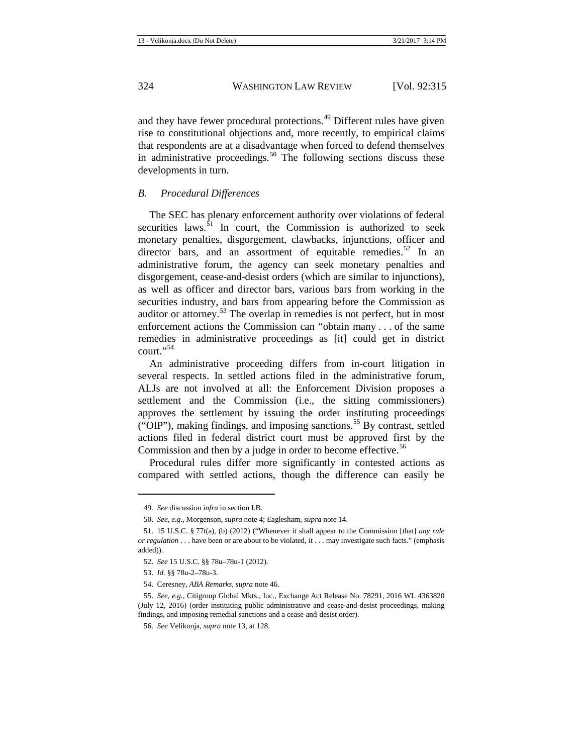and they have fewer procedural protections.<sup>[49](#page-10-1)</sup> Different rules have given rise to constitutional objections and, more recently, to empirical claims that respondents are at a disadvantage when forced to defend themselves in administrative proceedings. $50$  The following sections discuss these developments in turn.

#### <span id="page-10-0"></span>*B. Procedural Differences*

The SEC has plenary enforcement authority over violations of federal securities laws. $51$  In court, the Commission is authorized to seek monetary penalties, disgorgement, clawbacks, injunctions, officer and director bars, and an assortment of equitable remedies.<sup>[52](#page-10-4)</sup> In an administrative forum, the agency can seek monetary penalties and disgorgement, cease-and-desist orders (which are similar to injunctions), as well as officer and director bars, various bars from working in the securities industry, and bars from appearing before the Commission as auditor or attorney.[53](#page-10-5) The overlap in remedies is not perfect, but in most enforcement actions the Commission can "obtain many . . . of the same remedies in administrative proceedings as [it] could get in district court."[54](#page-10-6)

An administrative proceeding differs from in-court litigation in several respects. In settled actions filed in the administrative forum, ALJs are not involved at all: the Enforcement Division proposes a settlement and the Commission (i.e., the sitting commissioners) approves the settlement by issuing the order instituting proceedings ("OIP"), making findings, and imposing sanctions.<sup>[55](#page-10-7)</sup> By contrast, settled actions filed in federal district court must be approved first by the Commission and then by a judge in order to become effective.<sup>[56](#page-10-8)</sup>

Procedural rules differ more significantly in contested actions as compared with settled actions, though the difference can easily be

<sup>49.</sup> *See* discussion *infra* in section I.B.

<sup>50.</sup> *See, e.g.*, Morgenson, *supra* not[e 4;](#page-3-9) Eaglesham, *supra* not[e 14.](#page-4-13)

<span id="page-10-4"></span><span id="page-10-3"></span><span id="page-10-2"></span><span id="page-10-1"></span><sup>51.</sup> 15 U.S.C. § 77t(a), (b) (2012) ("Whenever it shall appear to the Commission [that] *any rule or regulation* . . . have been or are about to be violated, it . . . may investigate such facts." (emphasis added)).

<sup>52.</sup> *See* 15 U.S.C. §§ 78u–78u-1 (2012).

<sup>53.</sup> *Id.* §§ 78u-2–78u-3.

<sup>54.</sup> Ceresney, *ABA Remarks*, *supra* note [46.](#page-9-8)

<span id="page-10-8"></span><span id="page-10-7"></span><span id="page-10-6"></span><span id="page-10-5"></span><sup>55.</sup> *See, e.g.*, Citigroup Global Mkts., Inc., Exchange Act Release No. 78291, 2016 WL 4363820 (July 12, 2016) (order instituting public administrative and cease-and-desist proceedings, making findings, and imposing remedial sanctions and a cease-and-desist order).

<sup>56.</sup> *See* Velikonja, *supra* not[e 13,](#page-4-14) at 128.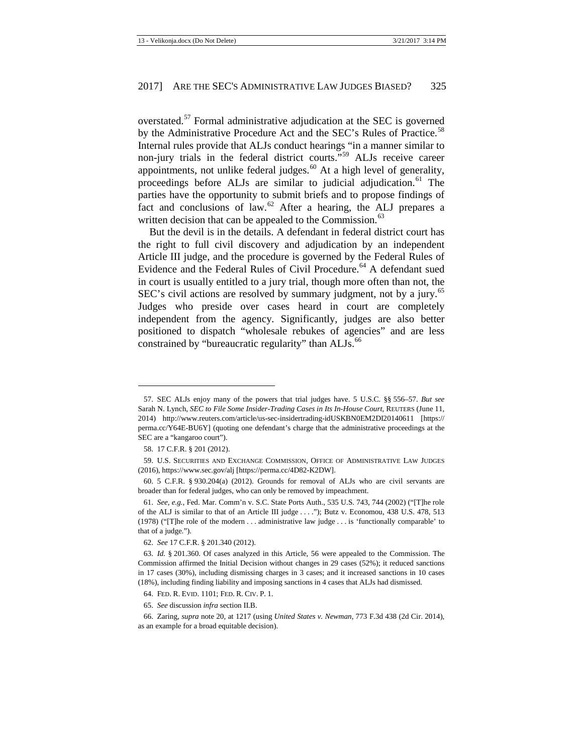overstated.[57](#page-11-0) Formal administrative adjudication at the SEC is governed by the Administrative Procedure Act and the SEC's Rules of Practice.<sup>[58](#page-11-1)</sup> Internal rules provide that ALJs conduct hearings "in a manner similar to non-jury trials in the federal district courts."<sup>[59](#page-11-2)</sup> ALJs receive career appointments, not unlike federal judges. $60$  At a high level of generality, proceedings before ALJs are similar to judicial adjudication.<sup>[61](#page-11-4)</sup> The parties have the opportunity to submit briefs and to propose findings of fact and conclusions of law. $62$  After a hearing, the ALJ prepares a written decision that can be appealed to the Commission.<sup>[63](#page-11-6)</sup>

<span id="page-11-10"></span>But the devil is in the details. A defendant in federal district court has the right to full civil discovery and adjudication by an independent Article III judge, and the procedure is governed by the Federal Rules of Evidence and the Federal Rules of Civil Procedure.<sup>[64](#page-11-7)</sup> A defendant sued in court is usually entitled to a jury trial, though more often than not, the SEC's civil actions are resolved by summary judgment, not by a jury.<sup>[65](#page-11-8)</sup> Judges who preside over cases heard in court are completely independent from the agency. Significantly, judges are also better positioned to dispatch "wholesale rebukes of agencies" and are less constrained by "bureaucratic regularity" than ALJs.<sup>[66](#page-11-9)</sup>

<span id="page-11-0"></span><sup>57.</sup> SEC ALJs enjoy many of the powers that trial judges have. 5 U.S.C. §§ 556–57. *But see* Sarah N. Lynch, *SEC to File Some Insider-Trading Cases in Its In-House Court*, REUTERS (June 11, 2014) <http://www.reuters.com/article/us-sec-insidertrading-idUSKBN0EM2DI20140611> [https:// perma.cc/Y64E-BU6Y] (quoting one defendant's charge that the administrative proceedings at the SEC are a "kangaroo court").

<sup>58.</sup> 17 C.F.R. § 201 (2012).

<span id="page-11-2"></span><span id="page-11-1"></span><sup>59.</sup> U.S. SECURITIES AND EXCHANGE COMMISSION, OFFICE OF ADMINISTRATIVE LAW JUDGES (2016), https://www.sec.gov/alj [https://perma.cc/4D82-K2DW].

<span id="page-11-3"></span><sup>60.</sup> 5 C.F.R. § 930.204(a) (2012). Grounds for removal of ALJs who are civil servants are broader than for federal judges, who can only be removed by impeachment.

<span id="page-11-4"></span><sup>61.</sup> *See, e.g.*, Fed. Mar. Comm'n v. S.C. State Ports Auth., 535 U.S. 743, 744 (2002) ("[T]he role of the ALJ is similar to that of an Article III judge . . . ."); Butz v. Economou, 438 U.S. 478, 513 (1978) ("[T]he role of the modern . . . administrative law judge . . . is 'functionally comparable' to that of a judge.").

<sup>62.</sup> *See* 17 C.F.R. § 201.340 (2012).

<span id="page-11-6"></span><span id="page-11-5"></span><sup>63.</sup> *Id.* § 201.360. Of cases analyzed in this Article, 56 were appealed to the Commission. The Commission affirmed the Initial Decision without changes in 29 cases (52%); it reduced sanctions in 17 cases (30%), including dismissing charges in 3 cases; and it increased sanctions in 10 cases (18%), including finding liability and imposing sanctions in 4 cases that ALJs had dismissed.

<sup>64.</sup> FED. R. EVID. 1101; FED. R. CIV. P. 1.

<sup>65.</sup> *See* discussion *infra* section II.B.

<span id="page-11-9"></span><span id="page-11-8"></span><span id="page-11-7"></span><sup>66.</sup> Zaring, *supra* not[e 20,](#page-4-12) at 1217 (using *United States v. Newman*, 773 F.3d 438 (2d Cir. 2014), as an example for a broad equitable decision).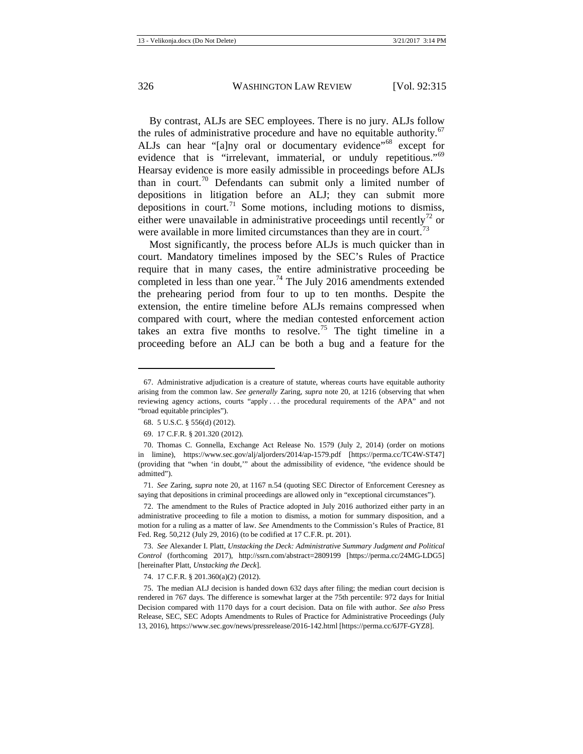By contrast, ALJs are SEC employees. There is no jury. ALJs follow the rules of administrative procedure and have no equitable authority.<sup>[67](#page-12-0)</sup> ALJs can hear "[a]ny oral or documentary evidence"<sup>[68](#page-12-1)</sup> except for evidence that is "irrelevant, immaterial, or unduly repetitious."<sup>[69](#page-12-2)</sup> Hearsay evidence is more easily admissible in proceedings before ALJs than in court.<sup>[70](#page-12-3)</sup> Defendants can submit only a limited number of depositions in litigation before an ALJ; they can submit more depositions in court.<sup>[71](#page-12-4)</sup> Some motions, including motions to dismiss, either were unavailable in administrative proceedings until recently<sup>[72](#page-12-5)</sup> or were available in more limited circumstances than they are in court.<sup>[73](#page-12-6)</sup>

Most significantly, the process before ALJs is much quicker than in court. Mandatory timelines imposed by the SEC's Rules of Practice require that in many cases, the entire administrative proceeding be completed in less than one year.<sup>[74](#page-12-7)</sup> The July 2016 amendments extended the prehearing period from four to up to ten months. Despite the extension, the entire timeline before ALJs remains compressed when compared with court, where the median contested enforcement action takes an extra five months to resolve.<sup>[75](#page-12-8)</sup> The tight timeline in a proceeding before an ALJ can be both a bug and a feature for the

**.** 

<span id="page-12-4"></span>71. *See* Zaring, *supra* note [20,](#page-4-12) at 1167 n.54 (quoting SEC Director of Enforcement Ceresney as saying that depositions in criminal proceedings are allowed only in "exceptional circumstances").

<span id="page-12-5"></span>72. The amendment to the Rules of Practice adopted in July 2016 authorized either party in an administrative proceeding to file a motion to dismiss, a motion for summary disposition, and a motion for a ruling as a matter of law. *See* Amendments to the Commission's Rules of Practice, 81 Fed. Reg. 50,212 (July 29, 2016) (to be codified at 17 C.F.R. pt. 201).

<span id="page-12-6"></span>73. *See* Alexander I. Platt, *Unstacking the Deck: Administrative Summary Judgment and Political Control* (forthcoming 2017), http://ssrn.com/abstract=2809199 [https://perma.cc/24MG-LDG5] [hereinafter Platt, *Unstacking the Deck*].

74. 17 C.F.R. § 201.360(a)(2) (2012).

<span id="page-12-8"></span><span id="page-12-7"></span>75. The median ALJ decision is handed down 632 days after filing; the median court decision is rendered in 767 days. The difference is somewhat larger at the 75th percentile: 972 days for Initial Decision compared with 1170 days for a court decision. Data on file with author. *See also* Press Release, SEC, SEC Adopts Amendments to Rules of Practice for Administrative Proceedings (July 13, 2016), https://www.sec.gov/news/pressrelease/2016-142.html [https://perma.cc/6J7F-GYZ8].

<span id="page-12-0"></span><sup>67.</sup> Administrative adjudication is a creature of statute, whereas courts have equitable authority arising from the common law. *See generally* Zaring, *supra* note [20,](#page-4-12) at 1216 (observing that when reviewing agency actions, courts "apply . . . the procedural requirements of the APA" and not "broad equitable principles").

<sup>68.</sup> 5 U.S.C. § 556(d) (2012).

<sup>69.</sup> 17 C.F.R. § 201.320 (2012).

<span id="page-12-3"></span><span id="page-12-2"></span><span id="page-12-1"></span><sup>70.</sup> Thomas C. Gonnella, Exchange Act Release No. 1579 (July 2, 2014) (order on motions in limine), https://www.sec.gov/alj/aljorders/2014/ap-1579.pdf [https://perma.cc/TC4W-ST47] (providing that "when 'in doubt,'" about the admissibility of evidence, "the evidence should be admitted").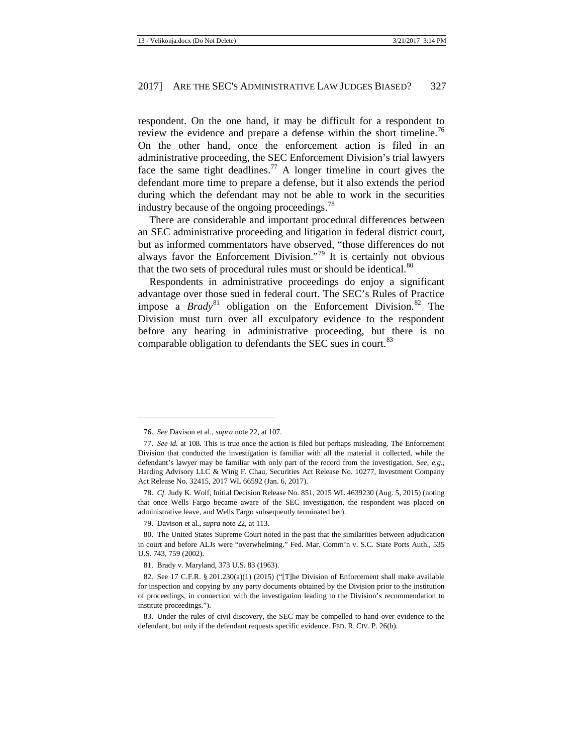respondent. On the one hand, it may be difficult for a respondent to review the evidence and prepare a defense within the short timeline.<sup>[76](#page-13-0)</sup> On the other hand, once the enforcement action is filed in an administrative proceeding, the SEC Enforcement Division's trial lawyers face the same tight deadlines.<sup>[77](#page-13-1)</sup> A longer timeline in court gives the defendant more time to prepare a defense, but it also extends the period during which the defendant may not be able to work in the securities industry because of the ongoing proceedings.<sup>[78](#page-13-2)</sup>

There are considerable and important procedural differences between an SEC administrative proceeding and litigation in federal district court, but as informed commentators have observed, "those differences do not always favor the Enforcement Division."[79](#page-13-3) It is certainly not obvious that the two sets of procedural rules must or should be identical. $80$ 

Respondents in administrative proceedings do enjoy a significant advantage over those sued in federal court. The SEC's Rules of Practice impose a *Brady*<sup>[81](#page-13-5)</sup> obligation on the Enforcement Division.<sup>[82](#page-13-6)</sup> The Division must turn over all exculpatory evidence to the respondent before any hearing in administrative proceeding, but there is no comparable obligation to defendants the SEC sues in court.<sup>[83](#page-13-7)</sup>

<sup>76.</sup> *See* Davison et al., *supra* not[e 22,](#page-4-15) at 107.

<span id="page-13-1"></span><span id="page-13-0"></span><sup>77.</sup> *See id.* at 108. This is true once the action is filed but perhaps misleading. The Enforcement Division that conducted the investigation is familiar with all the material it collected, while the defendant's lawyer may be familiar with only part of the record from the investigation. *See, e.g.*, Harding Advisory LLC & Wing F. Chau, Securities Act Release No. 10277, Investment Company Act Release No. 32415, 2017 WL 66592 (Jan. 6, 2017).

<span id="page-13-2"></span><sup>78.</sup> *Cf.* Judy K. Wolf, Initial Decision Release No. 851, 2015 WL 4639230 (Aug. 5, 2015) (noting that once Wells Fargo became aware of the SEC investigation, the respondent was placed on administrative leave, and Wells Fargo subsequently terminated her).

<sup>79.</sup> Davison et al., *supra* not[e 22,](#page-4-15) at 113.

<span id="page-13-4"></span><span id="page-13-3"></span><sup>80.</sup> The United States Supreme Court noted in the past that the similarities between adjudication in court and before ALJs were "overwhelming." Fed. Mar. Comm'n v. S.C. State Ports Auth., 535 U.S. 743, 759 (2002).

<sup>81.</sup> Brady v. Maryland, 373 U.S. 83 (1963).

<span id="page-13-6"></span><span id="page-13-5"></span><sup>82.</sup> See 17 C.F.R. § 201.230(a)(1) (2015) ("[T]he Division of Enforcement shall make available for inspection and copying by any party documents obtained by the Division prior to the institution of proceedings, in connection with the investigation leading to the Division's recommendation to institute proceedings.").

<span id="page-13-7"></span><sup>83.</sup> Under the rules of civil discovery, the SEC may be compelled to hand over evidence to the defendant, but only if the defendant requests specific evidence. FED. R. CIV. P. 26(b).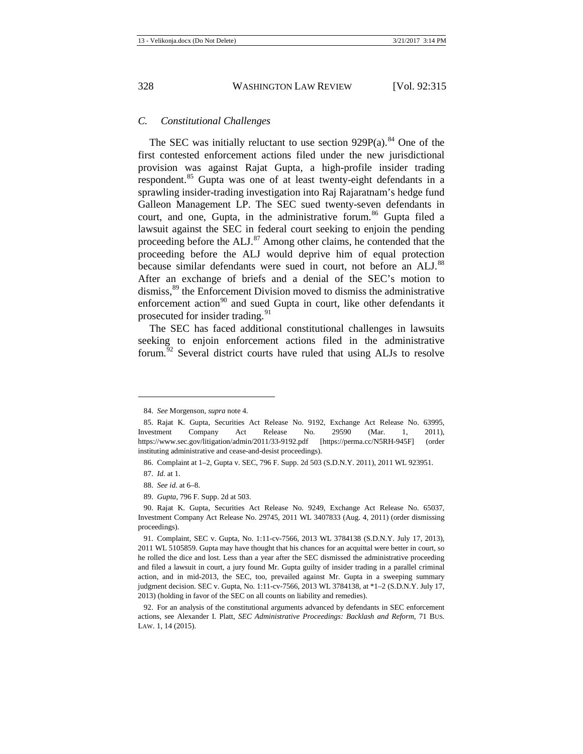#### <span id="page-14-0"></span>*C. Constitutional Challenges*

The SEC was initially reluctant to use section  $929P(a)$ .<sup>[84](#page-14-1)</sup> One of the first contested enforcement actions filed under the new jurisdictional provision was against Rajat Gupta, a high-profile insider trading respondent.[85](#page-14-2) Gupta was one of at least twenty-eight defendants in a sprawling insider-trading investigation into Raj Rajaratnam's hedge fund Galleon Management LP. The SEC sued twenty-seven defendants in court, and one, Gupta, in the administrative forum.<sup>[86](#page-14-3)</sup> Gupta filed a lawsuit against the SEC in federal court seeking to enjoin the pending proceeding before the ALJ.<sup>[87](#page-14-4)</sup> Among other claims, he contended that the proceeding before the ALJ would deprive him of equal protection because similar defendants were sued in court, not before an ALJ.<sup>[88](#page-14-5)</sup> After an exchange of briefs and a denial of the SEC's motion to dismiss,<sup>[89](#page-14-6)</sup> the Enforcement Division moved to dismiss the administrative enforcement action<sup>[90](#page-14-7)</sup> and sued Gupta in court, like other defendants it prosecuted for insider trading.<sup>[91](#page-14-8)</sup>

<span id="page-14-10"></span>The SEC has faced additional constitutional challenges in lawsuits seeking to enjoin enforcement actions filed in the administrative forum. [92](#page-14-9) Several district courts have ruled that using ALJs to resolve

<sup>84.</sup> *See* Morgenson, *supra* not[e 4.](#page-3-9)

<span id="page-14-2"></span><span id="page-14-1"></span><sup>85.</sup> Rajat K. Gupta, Securities Act Release No. 9192, Exchange Act Release No. 63995, Investment Company Act Release No. 29590 (Mar. 1, 2011), https://www.sec.gov/litigation/admin/2011/33-9192.pdf [https://perma.cc/N5RH-945F] (order instituting administrative and cease-and-desist proceedings).

<sup>86.</sup> Complaint at 1–2, Gupta v. SEC, 796 F. Supp. 2d 503 (S.D.N.Y. 2011), 2011 WL 923951.

<span id="page-14-4"></span><span id="page-14-3"></span><sup>87.</sup> *Id.* at 1.

<sup>88.</sup> *See id.* at 6–8.

<sup>89.</sup> *Gupta*, 796 F. Supp. 2d at 503.

<span id="page-14-7"></span><span id="page-14-6"></span><span id="page-14-5"></span><sup>90.</sup> Rajat K. Gupta, Securities Act Release No. 9249, Exchange Act Release No. 65037, Investment Company Act Release No. 29745, 2011 WL 3407833 (Aug. 4, 2011) (order dismissing proceedings).

<span id="page-14-8"></span><sup>91.</sup> Complaint, SEC v. Gupta, No. 1:11-cv-7566, 2013 WL 3784138 (S.D.N.Y. July 17, 2013), 2011 WL 5105859. Gupta may have thought that his chances for an acquittal were better in court, so he rolled the dice and lost. Less than a year after the SEC dismissed the administrative proceeding and filed a lawsuit in court, a jury found Mr. Gupta guilty of insider trading in a parallel criminal action, and in mid-2013, the SEC, too, prevailed against Mr. Gupta in a sweeping summary judgment decision. SEC v. Gupta, No. 1:11-cv-7566, 2013 WL 3784138, at \*1–2 (S.D.N.Y. July 17, 2013) (holding in favor of the SEC on all counts on liability and remedies).

<span id="page-14-9"></span><sup>92.</sup> For an analysis of the constitutional arguments advanced by defendants in SEC enforcement actions, see Alexander I. Platt, *SEC Administrative Proceedings: Backlash and Reform*, 71 BUS. LAW. 1, 14 (2015).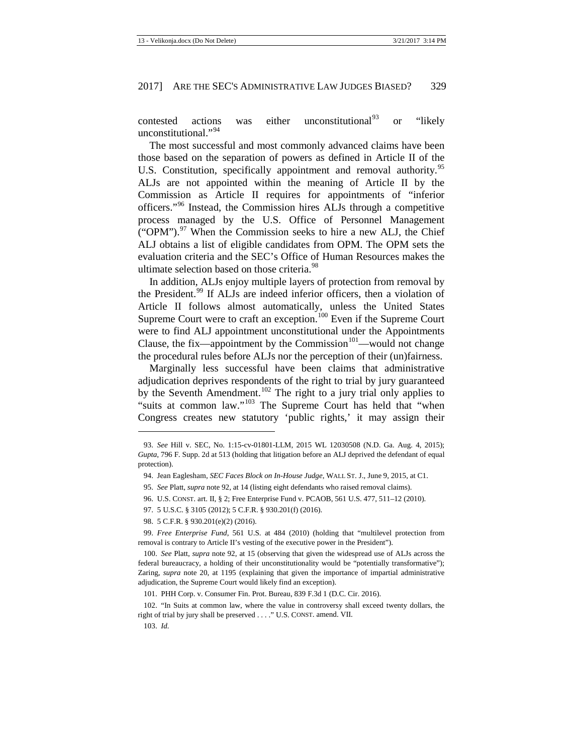contested actions was either unconstitutional  $93$  or "likely" unconstitutional."<sup>[94](#page-15-1)</sup>

The most successful and most commonly advanced claims have been those based on the separation of powers as defined in Article II of the U.S. Constitution, specifically appointment and removal authority.<sup>[95](#page-15-2)</sup> ALJs are not appointed within the meaning of Article II by the Commission as Article II requires for appointments of "inferior officers."[96](#page-15-3) Instead, the Commission hires ALJs through a competitive process managed by the U.S. Office of Personnel Management ("OPM"). $97$  When the Commission seeks to hire a new ALJ, the Chief ALJ obtains a list of eligible candidates from OPM. The OPM sets the evaluation criteria and the SEC's Office of Human Resources makes the ultimate selection based on those criteria.<sup>[98](#page-15-5)</sup>

In addition, ALJs enjoy multiple layers of protection from removal by the President.<sup>[99](#page-15-6)</sup> If ALJs are indeed inferior officers, then a violation of Article II follows almost automatically, unless the United States Supreme Court were to craft an exception.<sup>[100](#page-15-7)</sup> Even if the Supreme Court were to find ALJ appointment unconstitutional under the Appointments Clause, the fix—appointment by the Commission $101$ —would not change the procedural rules before ALJs nor the perception of their (un)fairness.

Marginally less successful have been claims that administrative adjudication deprives respondents of the right to trial by jury guaranteed by the Seventh Amendment.<sup>[102](#page-15-9)</sup> The right to a jury trial only applies to "suits at common law."<sup>[103](#page-15-10)</sup> The Supreme Court has held that "when Congress creates new statutory 'public rights,' it may assign their

<span id="page-15-1"></span><span id="page-15-0"></span><sup>93.</sup> *See* Hill v. SEC, No. 1:15-cv-01801-LLM, 2015 WL 12030508 (N.D. Ga. Aug. 4, 2015); *Gupta*, 796 F. Supp. 2d at 513 (holding that litigation before an ALJ deprived the defendant of equal protection).

<sup>94.</sup> Jean Eaglesham, *SEC Faces Block on In-House Judge*, WALL ST. J., June 9, 2015, at C1.

<span id="page-15-2"></span><sup>95.</sup> *See* Platt, *supra* note [92,](#page-14-10) at 14 (listing eight defendants who raised removal claims).

<sup>96.</sup> U.S. CONST. art. II, § 2; Free Enterprise Fund v. PCAOB, 561 U.S. 477, 511–12 (2010).

<sup>97.</sup> 5 U.S.C. § 3105 (2012); 5 C.F.R. § 930.201(f) (2016).

<sup>98.</sup> 5 C.F.R. § 930.201(e)(2) (2016).

<span id="page-15-6"></span><span id="page-15-5"></span><span id="page-15-4"></span><span id="page-15-3"></span><sup>99.</sup> *Free Enterprise Fund*, 561 U.S. at 484 (2010) (holding that "multilevel protection from removal is contrary to Article II's vesting of the executive power in the President").

<span id="page-15-7"></span><sup>100.</sup> *See* Platt, *supra* note [92,](#page-14-10) at 15 (observing that given the widespread use of ALJs across the federal bureaucracy, a holding of their unconstitutionality would be "potentially transformative"); Zaring, *supra* note [20,](#page-4-12) at 1195 (explaining that given the importance of impartial administrative adjudication, the Supreme Court would likely find an exception).

<sup>101.</sup> PHH Corp. v. Consumer Fin. Prot. Bureau, 839 F.3d 1 (D.C. Cir. 2016).

<span id="page-15-10"></span><span id="page-15-9"></span><span id="page-15-8"></span><sup>102.</sup> "In Suits at common law, where the value in controversy shall exceed twenty dollars, the right of trial by jury shall be preserved . . . ." U.S. CONST. amend. VII.

<sup>103.</sup> *Id.*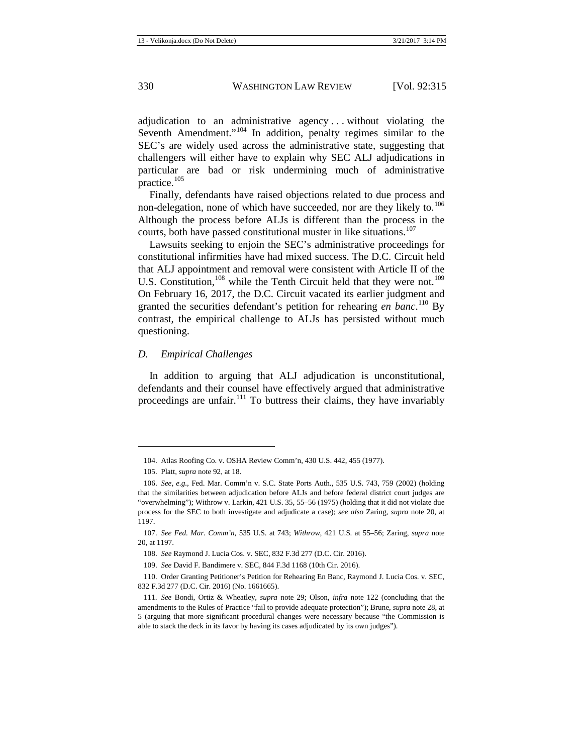adjudication to an administrative agency . . . without violating the Seventh Amendment."<sup>[104](#page-16-1)</sup> In addition, penalty regimes similar to the SEC's are widely used across the administrative state, suggesting that challengers will either have to explain why SEC ALJ adjudications in particular are bad or risk undermining much of administrative practice.[105](#page-16-2)

Finally, defendants have raised objections related to due process and non-delegation, none of which have succeeded, nor are they likely to.<sup>[106](#page-16-3)</sup> Although the process before ALJs is different than the process in the courts, both have passed constitutional muster in like situations.<sup>[107](#page-16-4)</sup>

Lawsuits seeking to enjoin the SEC's administrative proceedings for constitutional infirmities have had mixed success. The D.C. Circuit held that ALJ appointment and removal were consistent with Article II of the U.S. Constitution,  $108$  while the Tenth Circuit held that they were not.<sup>[109](#page-16-6)</sup> On February 16, 2017, the D.C. Circuit vacated its earlier judgment and granted the securities defendant's petition for rehearing *en banc*. [110](#page-16-7) By contrast, the empirical challenge to ALJs has persisted without much questioning.

#### <span id="page-16-0"></span>*D. Empirical Challenges*

In addition to arguing that ALJ adjudication is unconstitutional, defendants and their counsel have effectively argued that administrative proceedings are unfair. $111$  To buttress their claims, they have invariably

<sup>104.</sup> Atlas Roofing Co. v. OSHA Review Comm'n, 430 U.S. 442, 455 (1977).

<sup>105.</sup> Platt, *supra* not[e 92,](#page-14-10) at 18.

<span id="page-16-3"></span><span id="page-16-2"></span><span id="page-16-1"></span><sup>106.</sup> *See, e.g.*, Fed. Mar. Comm'n v. S.C. State Ports Auth., 535 U.S. 743, 759 (2002) (holding that the similarities between adjudication before ALJs and before federal district court judges are "overwhelming"); Withrow v. Larkin, 421 U.S. 35, 55–56 (1975) (holding that it did not violate due process for the SEC to both investigate and adjudicate a case); *see also* Zaring, *supra* note [20,](#page-4-12) at 1197.

<span id="page-16-5"></span><span id="page-16-4"></span><sup>107.</sup> *See Fed. Mar. Comm'n*, 535 U.S. at 743; *Withrow*, 421 U.S. at 55–56; Zaring, *supra* note [20,](#page-4-12) at 1197.

<sup>108.</sup> *See* Raymond J. Lucia Cos. v. SEC, 832 F.3d 277 (D.C. Cir. 2016).

<sup>109.</sup> *See* David F. Bandimere v. SEC, 844 F.3d 1168 (10th Cir. 2016).

<span id="page-16-7"></span><span id="page-16-6"></span><sup>110.</sup> Order Granting Petitioner's Petition for Rehearing En Banc, Raymond J. Lucia Cos. v. SEC, 832 F.3d 277 (D.C. Cir. 2016) (No. 1661665).

<span id="page-16-8"></span><sup>111.</sup> *See* Bondi, Ortiz & Wheatley, *supra* note [29;](#page-5-6) Olson, *infra* note [122](#page-18-0) (concluding that the amendments to the Rules of Practice "fail to provide adequate protection"); Brune, *supra* not[e 28,](#page-5-7) at 5 (arguing that more significant procedural changes were necessary because "the Commission is able to stack the deck in its favor by having its cases adjudicated by its own judges").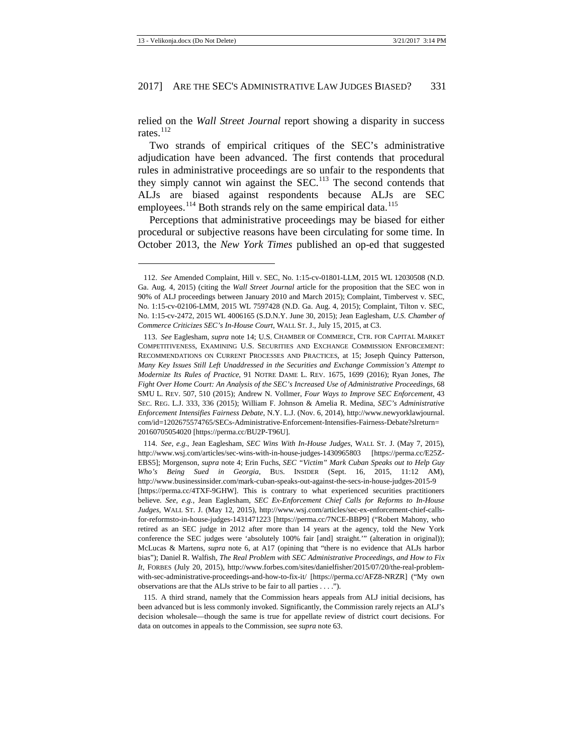relied on the *Wall Street Journal* report showing a disparity in success rates $^{112}$  $^{112}$  $^{112}$ 

<span id="page-17-5"></span>Two strands of empirical critiques of the SEC's administrative adjudication have been advanced. The first contends that procedural rules in administrative proceedings are so unfair to the respondents that they simply cannot win against the SEC.<sup>[113](#page-17-1)</sup> The second contends that ALJs are biased against respondents because ALJs are SEC employees.<sup>[114](#page-17-2)</sup> Both strands rely on the same empirical data.<sup>[115](#page-17-3)</sup>

<span id="page-17-4"></span>Perceptions that administrative proceedings may be biased for either procedural or subjective reasons have been circulating for some time. In October 2013, the *New York Times* published an op-ed that suggested

**.** 

<span id="page-17-3"></span>115. A third strand, namely that the Commission hears appeals from ALJ initial decisions, has been advanced but is less commonly invoked. Significantly, the Commission rarely rejects an ALJ's decision wholesale—though the same is true for appellate review of district court decisions. For data on outcomes in appeals to the Commission, see *supra* note [63.](#page-11-10)

<span id="page-17-0"></span><sup>112.</sup> *See* Amended Complaint, Hill v. SEC, No. 1:15-cv-01801-LLM, 2015 WL 12030508 (N.D. Ga. Aug. 4, 2015) (citing the *Wall Street Journal* article for the proposition that the SEC won in 90% of ALJ proceedings between January 2010 and March 2015); Complaint, Timbervest v. SEC, No. 1:15-cv-02106-LMM, 2015 WL 7597428 (N.D. Ga. Aug. 4, 2015); Complaint, Tilton v. SEC, No. 1:15-cv-2472, 2015 WL 4006165 (S.D.N.Y. June 30, 2015); Jean Eaglesham, *U.S. Chamber of Commerce Criticizes SEC's In-House Court*, WALL ST. J., July 15, 2015, at C3.

<span id="page-17-1"></span><sup>113.</sup> *See* Eaglesham, *supra* note [14;](#page-4-13) U.S. CHAMBER OF COMMERCE, CTR. FOR CAPITAL MARKET COMPETITIVENESS, EXAMINING U.S. SECURITIES AND EXCHANGE COMMISSION ENFORCEMENT: RECOMMENDATIONS ON CURRENT PROCESSES AND PRACTICES, at 15; Joseph Quincy Patterson, *Many Key Issues Still Left Unaddressed in the Securities and Exchange Commission's Attempt to Modernize Its Rules of Practice*, 91 NOTRE DAME L. REV. 1675, 1699 (2016); Ryan Jones, *The Fight Over Home Court: An Analysis of the SEC's Increased Use of Administrative Proceedings*, 68 SMU L. REV. 507, 510 (2015); Andrew N. Vollmer, *Four Ways to Improve SEC Enforcement*, 43 SEC. REG. L.J. 333, 336 (2015); William F. Johnson & Amelia R. Medina, *SEC's Administrative Enforcement Intensifies Fairness Debate*, N.Y. L.J. (Nov. 6, 2014), http://www.newyorklawjournal. com/id=1202675574765/SECs-Administrative-Enforcement-Intensifies-Fairness-Debate?slreturn= 20160705054020 [https://perma.cc/BU2P-T96U].

<span id="page-17-2"></span><sup>114.</sup> *See, e.g.*, Jean Eaglesham, *SEC Wins With In-House Judges*, WALL ST. J. (May 7, 2015), http://www.wsj.com/articles/sec-wins-with-in-house-judges-1430965803 [https://perma.cc/E25Z-EBS5]; Morgenson, *supra* note [4;](#page-3-9) Erin Fuchs, *SEC "Victim" Mark Cuban Speaks out to Help Guy Who's Being Sued in Georgia*, BUS. INSIDER (Sept. 16, 2015, 11:12 AM), http://www.businessinsider.com/mark-cuban-speaks-out-against-the-secs-in-house-judges-2015-9 [https://perma.cc/4TXF-9GHW]. This is contrary to what experienced securities practitioners believe. *See, e.g.*, Jean Eaglesham, *SEC Ex-Enforcement Chief Calls for Reforms to In-House Judges*, WALL ST. J. (May 12, 2015), http://www.wsj.com/articles/sec-ex-enforcement-chief-callsfor-reformsto-in-house-judges-1431471223 [https://perma.cc/7NCE-BBP9] ("Robert Mahony, who retired as an SEC judge in 2012 after more than 14 years at the agency, told the New York conference the SEC judges were 'absolutely 100% fair [and] straight.'" (alteration in original)); McLucas & Martens, *supra* note [6,](#page-3-10) at A17 (opining that "there is no evidence that ALJs harbor bias"); Daniel R. Walfish, *The Real Problem with SEC Administrative Proceedings, and How to Fix It*, FORBES (July 20, 2015), http://www.forbes.com/sites/danielfisher/2015/07/20/the-real-problemwith-sec-administrative-proceedings-and-how-to-fix-it/ [https://perma.cc/AFZ8-NRZR] ("My own observations are that the ALJs strive to be fair to all parties . . . .").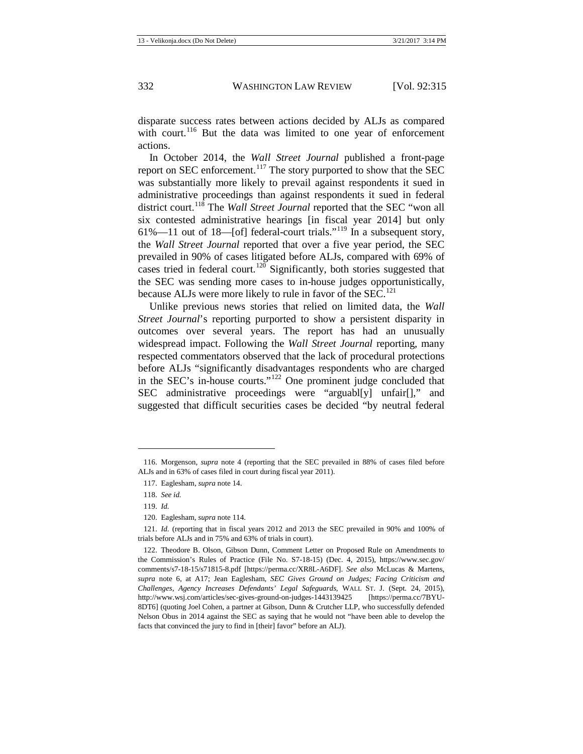disparate success rates between actions decided by ALJs as compared with court.<sup>[116](#page-18-1)</sup> But the data was limited to one year of enforcement actions.

In October 2014, the *Wall Street Journal* published a front-page report on SEC enforcement.<sup>[117](#page-18-2)</sup> The story purported to show that the SEC was substantially more likely to prevail against respondents it sued in administrative proceedings than against respondents it sued in federal district court.<sup>[118](#page-18-3)</sup> The *Wall Street Journal* reported that the SEC "won all six contested administrative hearings [in fiscal year 2014] but only 61%—11 out of 18—[of] federal-court trials."<sup>[119](#page-18-4)</sup> In a subsequent story, the *Wall Street Journal* reported that over a five year period, the SEC prevailed in 90% of cases litigated before ALJs, compared with 69% of cases tried in federal court.<sup>[120](#page-18-5)</sup> Significantly, both stories suggested that the SEC was sending more cases to in-house judges opportunistically, because ALJs were more likely to rule in favor of the SEC.<sup>[121](#page-18-6)</sup>

<span id="page-18-0"></span>Unlike previous news stories that relied on limited data, the *Wall Street Journal*'s reporting purported to show a persistent disparity in outcomes over several years. The report has had an unusually widespread impact. Following the *Wall Street Journal* reporting, many respected commentators observed that the lack of procedural protections before ALJs "significantly disadvantages respondents who are charged in the SEC's in-house courts."[122](#page-18-7) One prominent judge concluded that SEC administrative proceedings were "arguabl[y] unfair[]," and suggested that difficult securities cases be decided "by neutral federal

<span id="page-18-3"></span><span id="page-18-2"></span><span id="page-18-1"></span><sup>116.</sup> Morgenson, *supra* note [4](#page-3-9) (reporting that the SEC prevailed in 88% of cases filed before ALJs and in 63% of cases filed in court during fiscal year 2011).

<sup>117.</sup> Eaglesham, *supra* not[e 14.](#page-4-13)

<sup>118.</sup> *See id.*

<sup>119.</sup> *Id.*

<sup>120.</sup> Eaglesham, *supra* not[e 114.](#page-17-4)

<span id="page-18-6"></span><span id="page-18-5"></span><span id="page-18-4"></span><sup>121.</sup> *Id.* (reporting that in fiscal years 2012 and 2013 the SEC prevailed in 90% and 100% of trials before ALJs and in 75% and 63% of trials in court).

<span id="page-18-7"></span><sup>122.</sup> Theodore B. Olson, Gibson Dunn, Comment Letter on Proposed Rule on Amendments to the Commission's Rules of Practice (File No. S7-18-15) (Dec. 4, 2015), https://www.sec.gov/ comments/s7-18-15/s71815-8.pdf [https://perma.cc/XR8L-A6DF]. *See also* McLucas & Martens, *supra* note [6,](#page-3-10) at A17; Jean Eaglesham, *SEC Gives Ground on Judges; Facing Criticism and Challenges, Agency Increases Defendants' Legal Safeguards*, WALL ST. J. (Sept. 24, 2015), http://www.wsj.com/articles/sec-gives-ground-on-judges-1443139425 [https://perma.cc/7BYU-8DT6] (quoting Joel Cohen, a partner at Gibson, Dunn & Crutcher LLP, who successfully defended Nelson Obus in 2014 against the SEC as saying that he would not "have been able to develop the facts that convinced the jury to find in [their] favor" before an ALJ).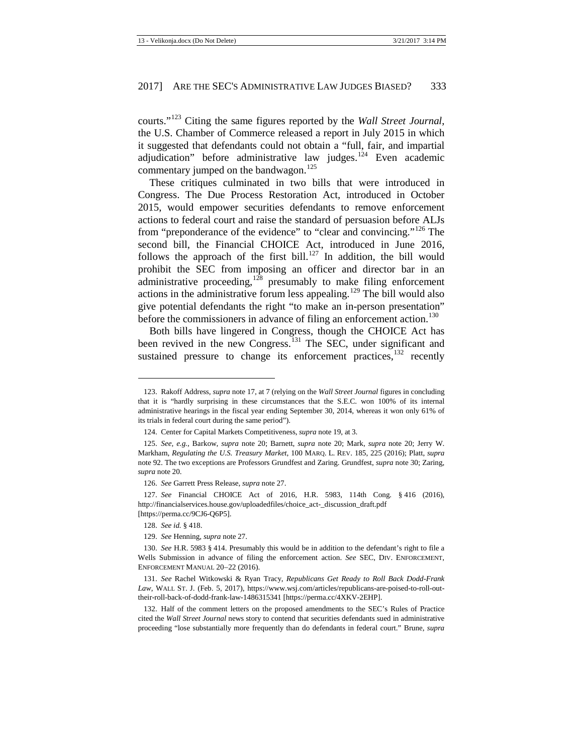courts."[123](#page-19-0) Citing the same figures reported by the *Wall Street Journal*, the U.S. Chamber of Commerce released a report in July 2015 in which it suggested that defendants could not obtain a "full, fair, and impartial adjudication" before administrative law judges. $124$  Even academic commentary jumped on the bandwagon.<sup>[125](#page-19-2)</sup>

<span id="page-19-11"></span>These critiques culminated in two bills that were introduced in Congress. The Due Process Restoration Act, introduced in October 2015, would empower securities defendants to remove enforcement actions to federal court and raise the standard of persuasion before ALJs from "preponderance of the evidence" to "clear and convincing."<sup>[126](#page-19-3)</sup> The second bill, the Financial CHOICE Act, introduced in June 2016, follows the approach of the first bill.<sup>[127](#page-19-4)</sup> In addition, the bill would prohibit the SEC from imposing an officer and director bar in an administrative proceeding, $1^{28}$  presumably to make filing enforcement actions in the administrative forum less appealing.<sup>[129](#page-19-6)</sup> The bill would also give potential defendants the right "to make an in-person presentation" before the commissioners in advance of filing an enforcement action.<sup>[130](#page-19-7)</sup>

<span id="page-19-10"></span>Both bills have lingered in Congress, though the CHOICE Act has been revived in the new Congress.<sup>[131](#page-19-8)</sup> The SEC, under significant and sustained pressure to change its enforcement practices,<sup>[132](#page-19-9)</sup> recently

<span id="page-19-0"></span><sup>123.</sup> Rakoff Address, *supra* not[e 17,](#page-4-11) at 7 (relying on the *Wall Street Journal* figures in concluding that it is "hardly surprising in these circumstances that the S.E.C. won 100% of its internal administrative hearings in the fiscal year ending September 30, 2014, whereas it won only 61% of its trials in federal court during the same period").

<sup>124.</sup> Center for Capital Markets Competitiveness, *supra* not[e 19,](#page-4-16) at 3.

<span id="page-19-2"></span><span id="page-19-1"></span><sup>125.</sup> *See, e.g.*, Barkow, *supra* note [20;](#page-4-12) Barnett, *supra* note [20;](#page-4-12) Mark, *supra* note [20;](#page-4-12) Jerry W. Markham, *Regulating the U.S. Treasury Market*, 100 MARQ. L. REV. 185, 225 (2016); Platt, *supra*  note [92.](#page-14-10) The two exceptions are Professors Grundfest and Zaring. Grundfest, *supra* not[e 30;](#page-6-0) Zaring, *supra* not[e 20.](#page-4-12)

<sup>126.</sup> *See* Garrett Press Release, *supra* not[e 27.](#page-5-8)

<span id="page-19-4"></span><span id="page-19-3"></span><sup>127.</sup> *See* Financial CHOICE Act of 2016, H.R. 5983, 114th Cong. § 416 (2016), http://financialservices.house.gov/uploadedfiles/choice\_act-\_discussion\_draft.pdf [https://perma.cc/9CJ6-Q6P5].

<sup>128.</sup> *See id.* § 418.

<sup>129.</sup> *See* Henning, *supra* not[e 27.](#page-5-8)

<span id="page-19-7"></span><span id="page-19-6"></span><span id="page-19-5"></span><sup>130.</sup> *See* H.R. 5983 § 414. Presumably this would be in addition to the defendant's right to file a Wells Submission in advance of filing the enforcement action. *See* SEC, DIV. ENFORCEMENT, ENFORCEMENT MANUAL 20−22 (2016).

<span id="page-19-8"></span><sup>131.</sup> *See* Rachel Witkowski & Ryan Tracy, *Republicans Get Ready to Roll Back Dodd-Frank Law*, WALL ST. J. (Feb. 5, 2017), https://www.wsj.com/articles/republicans-are-poised-to-roll-outtheir-roll-back-of-dodd-frank-law-1486315341 [https://perma.cc/4XKV-2EHP].

<span id="page-19-9"></span><sup>132.</sup> Half of the comment letters on the proposed amendments to the SEC's Rules of Practice cited the *Wall Street Journal* news story to contend that securities defendants sued in administrative proceeding "lose substantially more frequently than do defendants in federal court." Brune, *supra*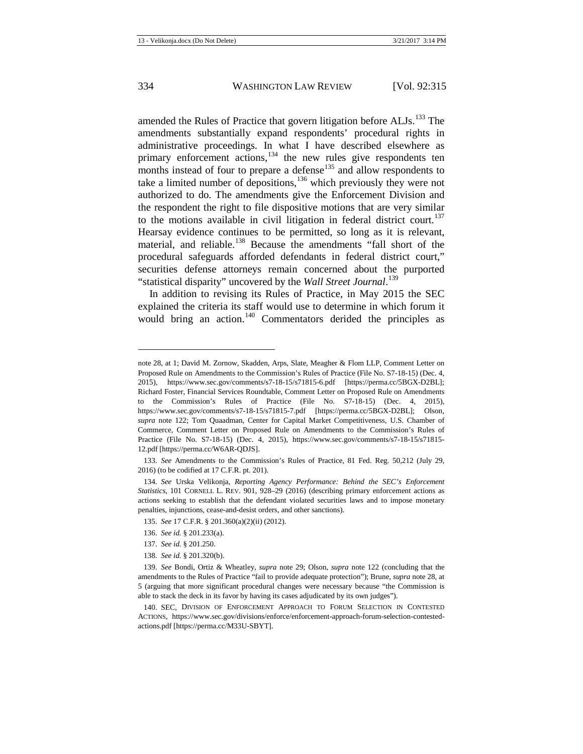<span id="page-20-8"></span>amended the Rules of Practice that govern litigation before ALJs.<sup>[133](#page-20-0)</sup> The amendments substantially expand respondents' procedural rights in administrative proceedings. In what I have described elsewhere as primary enforcement actions,<sup>[134](#page-20-1)</sup> the new rules give respondents ten months instead of four to prepare a defense<sup>[135](#page-20-2)</sup> and allow respondents to take a limited number of depositions,  $136$  which previously they were not authorized to do. The amendments give the Enforcement Division and the respondent the right to file dispositive motions that are very similar to the motions available in civil litigation in federal district court.<sup>[137](#page-20-4)</sup> Hearsay evidence continues to be permitted, so long as it is relevant, material, and reliable.<sup>[138](#page-20-5)</sup> Because the amendments "fall short of the procedural safeguards afforded defendants in federal district court," securities defense attorneys remain concerned about the purported "statistical disparity" uncovered by the *Wall Street Journal*. [139](#page-20-6)

In addition to revising its Rules of Practice, in May 2015 the SEC explained the criteria its staff would use to determine in which forum it would bring an action.<sup>[140](#page-20-7)</sup> Commentators derided the principles as

<span id="page-20-0"></span>133. *See* Amendments to the Commission's Rules of Practice, 81 Fed. Reg. 50,212 (July 29, 2016) (to be codified at 17 C.F.R. pt. 201).

- 136. *See id.* § 201.233(a).
- 137. *See id.* § 201.250.
- 138. *See id.* § 201.320(b).

note [28,](#page-5-7) at 1; David M. Zornow, Skadden, Arps, Slate, Meagher & Flom LLP, Comment Letter on Proposed Rule on Amendments to the Commission's Rules of Practice (File No. S7-18-15) (Dec. 4, 2015), <https://www.sec.gov/comments/s7-18-15/s71815-6.pdf> [https://perma.cc/5BGX-D2BL]; Richard Foster, Financial Services Roundtable, Comment Letter on Proposed Rule on Amendments to the Commission's Rules of Practice (File No. S7-18-15) (Dec. 4, 2015), <https://www.sec.gov/comments/s7-18-15/s71815-7.pdf> [https://perma.cc/5BGX-D2BL]; Olson, *supra* note [122;](#page-18-0) Tom Quaadman, Center for Capital Market Competitiveness, U.S. Chamber of Commerce, Comment Letter on Proposed Rule on Amendments to the Commission's Rules of Practice (File No. S7-18-15) (Dec. 4, 2015), https://www.sec.gov/comments/s7-18-15/s71815- 12.pdf [https://perma.cc/W6AR-QDJS].

<span id="page-20-2"></span><span id="page-20-1"></span><sup>134.</sup> *See* Urska Velikonja, *Reporting Agency Performance: Behind the SEC's Enforcement Statistics*, 101 CORNELL L. REV. 901, 928–29 (2016) (describing primary enforcement actions as actions seeking to establish that the defendant violated securities laws and to impose monetary penalties, injunctions, cease-and-desist orders, and other sanctions).

<sup>135.</sup> *See* 17 C.F.R. § 201.360(a)(2)(ii) (2012).

<span id="page-20-6"></span><span id="page-20-5"></span><span id="page-20-4"></span><span id="page-20-3"></span><sup>139.</sup> *See* Bondi, Ortiz & Wheatley, *supra* note [29;](#page-5-6) Olson, *supra* note [122](#page-18-0) (concluding that the amendments to the Rules of Practice "fail to provide adequate protection"); Brune, *supra* not[e 28,](#page-5-7) at 5 (arguing that more significant procedural changes were necessary because "the Commission is able to stack the deck in its favor by having its cases adjudicated by its own judges").

<span id="page-20-7"></span><sup>140.</sup> SEC, DIVISION OF ENFORCEMENT APPROACH TO FORUM SELECTION IN CONTESTED ACTIONS, https://www.sec.gov/divisions/enforce/enforcement-approach-forum-selection-contestedactions.pdf [https://perma.cc/M33U-SBYT].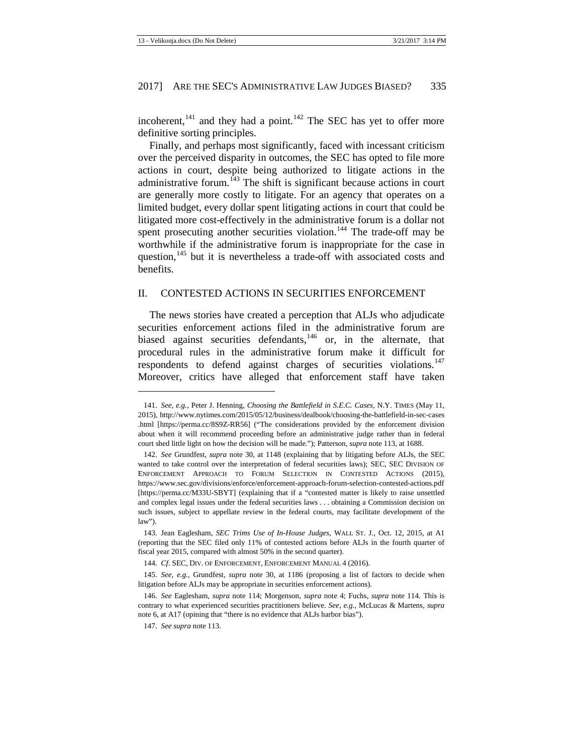incoherent, $141$  and they had a point. $142$  The SEC has yet to offer more definitive sorting principles.

<span id="page-21-8"></span>Finally, and perhaps most significantly, faced with incessant criticism over the perceived disparity in outcomes, the SEC has opted to file more actions in court, despite being authorized to litigate actions in the administrative forum.<sup>[143](#page-21-3)</sup> The shift is significant because actions in court are generally more costly to litigate. For an agency that operates on a limited budget, every dollar spent litigating actions in court that could be litigated more cost-effectively in the administrative forum is a dollar not spent prosecuting another securities violation.<sup>[144](#page-21-4)</sup> The trade-off may be worthwhile if the administrative forum is inappropriate for the case in question,<sup>[145](#page-21-5)</sup> but it is nevertheless a trade-off with associated costs and benefits.

#### <span id="page-21-0"></span>II. CONTESTED ACTIONS IN SECURITIES ENFORCEMENT

The news stories have created a perception that ALJs who adjudicate securities enforcement actions filed in the administrative forum are biased against securities defendants,<sup>[146](#page-21-6)</sup> or, in the alternate, that procedural rules in the administrative forum make it difficult for respondents to defend against charges of securities violations.<sup>[147](#page-21-7)</sup> Moreover, critics have alleged that enforcement staff have taken

<span id="page-21-1"></span><sup>141.</sup> *See, e.g.*, Peter J. Henning, *Choosing the Battlefield in S.E.C. Cases*, N.Y. TIMES (May 11, 2015), http://www.nytimes.com/2015/05/12/business/dealbook/choosing-the-battlefield-in-sec-cases .html [https://perma.cc/8S9Z-RR56] ("The considerations provided by the enforcement division about when it will recommend proceeding before an administrative judge rather than in federal court shed little light on how the decision will be made."); Patterson, *supra* not[e 113,](#page-17-5) at 1688.

<span id="page-21-2"></span><sup>142.</sup> *See* Grundfest, *supra* note [30,](#page-6-0) at 1148 (explaining that by litigating before ALJs, the SEC wanted to take control over the interpretation of federal securities laws); SEC, SEC DIVISION OF ENFORCEMENT APPROACH TO FORUM SELECTION IN CONTESTED ACTIONS (2015), https://www.sec.gov/divisions/enforce/enforcement-approach-forum-selection-contested-actions.pdf [https://perma.cc/M33U-SBYT] (explaining that if a "contested matter is likely to raise unsettled and complex legal issues under the federal securities laws . . . obtaining a Commission decision on such issues, subject to appellate review in the federal courts, may facilitate development of the law").

<span id="page-21-3"></span><sup>143.</sup> Jean Eaglesham, *SEC Trims Use of In-House Judges*, WALL ST. J., Oct. 12, 2015, at A1 (reporting that the SEC filed only 11% of contested actions before ALJs in the fourth quarter of fiscal year 2015, compared with almost 50% in the second quarter).

<sup>144.</sup> *Cf*. SEC, DIV. OF ENFORCEMENT, ENFORCEMENT MANUAL 4 (2016).

<span id="page-21-5"></span><span id="page-21-4"></span><sup>145.</sup> *See, e.g.*, Grundfest, *supra* note [30,](#page-6-0) at 1186 (proposing a list of factors to decide when litigation before ALJs may be appropriate in securities enforcement actions).

<span id="page-21-7"></span><span id="page-21-6"></span><sup>146.</sup> *See* Eaglesham, *supra* not[e 114;](#page-17-4) Morgenson, *supra* note [4;](#page-3-9) Fuchs, *supra* not[e 114](#page-17-4)*.* This is contrary to what experienced securities practitioners believe. *See, e.g.*, McLucas & Martens, *supra*  note [6,](#page-3-10) at A17 (opining that "there is no evidence that ALJs harbor bias").

<sup>147.</sup> *See supra* not[e 113.](#page-17-5)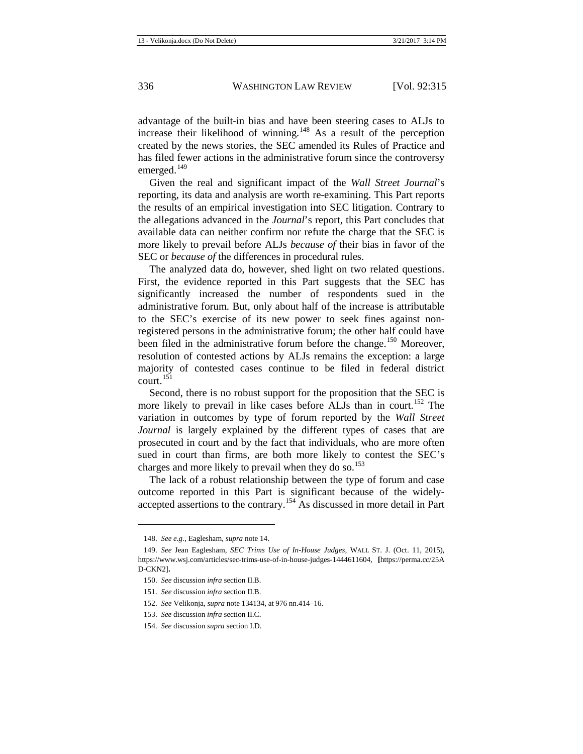advantage of the built-in bias and have been steering cases to ALJs to increase their likelihood of winning.<sup>[148](#page-22-0)</sup> As a result of the perception created by the news stories, the SEC amended its Rules of Practice and has filed fewer actions in the administrative forum since the controversy emerged. $149$ 

Given the real and significant impact of the *Wall Street Journal*'s reporting, its data and analysis are worth re-examining. This Part reports the results of an empirical investigation into SEC litigation. Contrary to the allegations advanced in the *Journal*'s report, this Part concludes that available data can neither confirm nor refute the charge that the SEC is more likely to prevail before ALJs *because of* their bias in favor of the SEC or *because of* the differences in procedural rules.

The analyzed data do, however, shed light on two related questions. First, the evidence reported in this Part suggests that the SEC has significantly increased the number of respondents sued in the administrative forum. But, only about half of the increase is attributable to the SEC's exercise of its new power to seek fines against nonregistered persons in the administrative forum; the other half could have been filed in the administrative forum before the change.<sup>[150](#page-22-2)</sup> Moreover, resolution of contested actions by ALJs remains the exception: a large majority of contested cases continue to be filed in federal district  $\text{court}$ .<sup>[151](#page-22-3)</sup>

Second, there is no robust support for the proposition that the SEC is more likely to prevail in like cases before ALJs than in court.<sup>[152](#page-22-4)</sup> The variation in outcomes by type of forum reported by the *Wall Street Journal* is largely explained by the different types of cases that are prosecuted in court and by the fact that individuals, who are more often sued in court than firms, are both more likely to contest the SEC's charges and more likely to prevail when they do so.<sup>[153](#page-22-5)</sup>

The lack of a robust relationship between the type of forum and case outcome reported in this Part is significant because of the widelyaccepted assertions to the contrary.[154](#page-22-6) As discussed in more detail in Part

 $\overline{\phantom{a}}$ 

<sup>148.</sup> *See e.g.*, Eaglesham, *supra* not[e 14.](#page-4-13)

<span id="page-22-2"></span><span id="page-22-1"></span><span id="page-22-0"></span><sup>149.</sup> *See* Jean Eaglesham, *SEC Trims Use of In-House Judges*, WALL ST. J. (Oct. 11, 2015), https://www.wsj.com/articles/sec-trims-use-of-in-house-judges-1444611604, **[**https://perma.cc/25A D-CKN2]**.**

<sup>150.</sup> *See* discussion *infra* section II.B.

<span id="page-22-3"></span><sup>151.</sup> *See* discussion *infra* section II.B.

<span id="page-22-4"></span><sup>152.</sup> *See* Velikonja, *supra* not[e 134134,](#page-20-8) at 976 nn.414–16.

<sup>153.</sup> *See* discussion *infra* section II.C.

<span id="page-22-6"></span><span id="page-22-5"></span><sup>154.</sup> *See* discussion *supra* section I.D.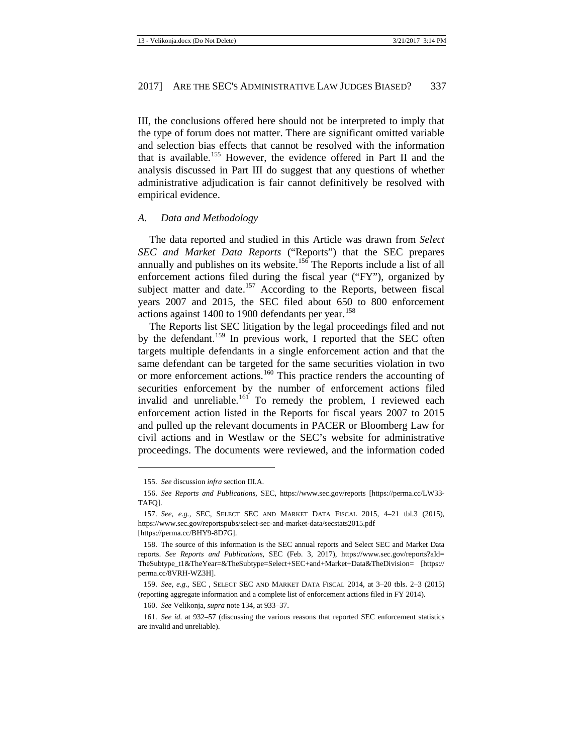III, the conclusions offered here should not be interpreted to imply that the type of forum does not matter. There are significant omitted variable and selection bias effects that cannot be resolved with the information that is available.[155](#page-23-1) However, the evidence offered in Part II and the analysis discussed in Part III do suggest that any questions of whether administrative adjudication is fair cannot definitively be resolved with empirical evidence.

#### <span id="page-23-0"></span>*A. Data and Methodology*

The data reported and studied in this Article was drawn from *Select SEC and Market Data Reports* ("Reports") that the SEC prepares annually and publishes on its website.<sup>[156](#page-23-2)</sup> The Reports include a list of all enforcement actions filed during the fiscal year ("FY"), organized by subject matter and date.<sup>[157](#page-23-3)</sup> According to the Reports, between fiscal years 2007 and 2015, the SEC filed about 650 to 800 enforcement actions against 1400 to 1900 defendants per year.<sup>[158](#page-23-4)</sup>

The Reports list SEC litigation by the legal proceedings filed and not by the defendant.<sup>[159](#page-23-5)</sup> In previous work, I reported that the SEC often targets multiple defendants in a single enforcement action and that the same defendant can be targeted for the same securities violation in two or more enforcement actions.<sup>[160](#page-23-6)</sup> This practice renders the accounting of securities enforcement by the number of enforcement actions filed invalid and unreliable.<sup>[161](#page-23-7)</sup> To remedy the problem, I reviewed each enforcement action listed in the Reports for fiscal years 2007 to 2015 and pulled up the relevant documents in PACER or Bloomberg Law for civil actions and in Westlaw or the SEC's website for administrative proceedings. The documents were reviewed, and the information coded

 $\overline{\phantom{a}}$ 

<sup>155.</sup> *See* discussion *infra* section III.A.

<span id="page-23-2"></span><span id="page-23-1"></span><sup>156.</sup> *See Reports and Publications*, SEC, https://www.sec.gov/reports [https://perma.cc/LW33- TAFQ].

<span id="page-23-3"></span><sup>157.</sup> *See, e.g.*, SEC, SELECT SEC AND MARKET DATA FISCAL 2015, 4–21 tbl.3 (2015), https://www.sec.gov/reportspubs/select-sec-and-market-data/secstats2015.pdf [https://perma.cc/BHY9-8D7G].

<span id="page-23-4"></span><sup>158.</sup> The source of this information is the SEC annual reports and Select SEC and Market Data reports. *See Reports and Publications*, SEC (Feb. 3, 2017), https://www.sec.gov/reports?aId= TheSubtype\_t1&TheYear=&TheSubtype=Select+SEC+and+Market+Data&TheDivision= [https:// perma.cc/8VRH-WZ3H].

<span id="page-23-5"></span><sup>159.</sup> *See, e.g.*, SEC , SELECT SEC AND MARKET DATA FISCAL 2014, at 3–20 tbls. 2–3 (2015) (reporting aggregate information and a complete list of enforcement actions filed in FY 2014).

<sup>160.</sup> *See* Velikonja, *supra* not[e 134,](#page-20-8) at 933–37.

<span id="page-23-7"></span><span id="page-23-6"></span><sup>161.</sup> *See id.* at 932–57 (discussing the various reasons that reported SEC enforcement statistics are invalid and unreliable).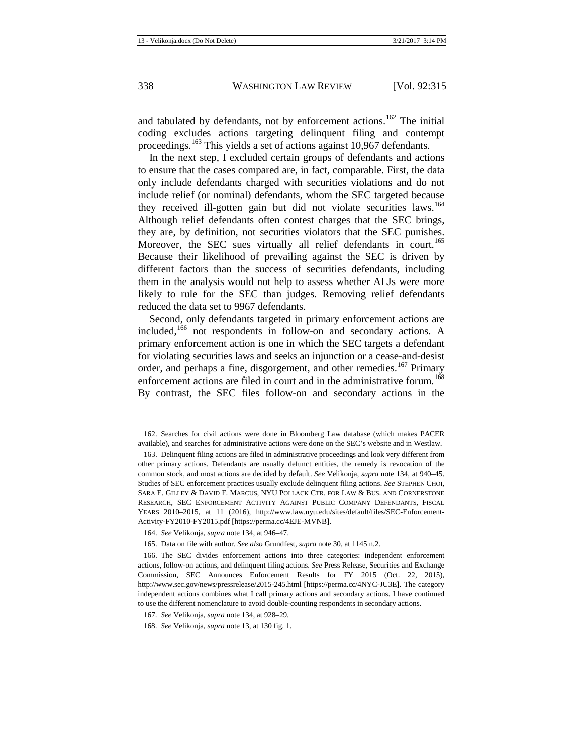and tabulated by defendants, not by enforcement actions.<sup>[162](#page-24-0)</sup> The initial coding excludes actions targeting delinquent filing and contempt proceedings.<sup>[163](#page-24-1)</sup> This yields a set of actions against 10,967 defendants.

In the next step, I excluded certain groups of defendants and actions to ensure that the cases compared are, in fact, comparable. First, the data only include defendants charged with securities violations and do not include relief (or nominal) defendants, whom the SEC targeted because they received ill-gotten gain but did not violate securities laws.<sup>[164](#page-24-2)</sup> Although relief defendants often contest charges that the SEC brings, they are, by definition, not securities violators that the SEC punishes. Moreover, the SEC sues virtually all relief defendants in court.<sup>[165](#page-24-3)</sup> Because their likelihood of prevailing against the SEC is driven by different factors than the success of securities defendants, including them in the analysis would not help to assess whether ALJs were more likely to rule for the SEC than judges. Removing relief defendants reduced the data set to 9967 defendants.

Second, only defendants targeted in primary enforcement actions are included, $166$  not respondents in follow-on and secondary actions. A primary enforcement action is one in which the SEC targets a defendant for violating securities laws and seeks an injunction or a cease-and-desist order, and perhaps a fine, disgorgement, and other remedies.<sup>[167](#page-24-5)</sup> Primary enforcement actions are filed in court and in the administrative forum. [168](#page-24-6) By contrast, the SEC files follow-on and secondary actions in the

<span id="page-24-0"></span><sup>162.</sup> Searches for civil actions were done in Bloomberg Law database (which makes PACER available), and searches for administrative actions were done on the SEC's website and in Westlaw.

<span id="page-24-1"></span><sup>163.</sup> Delinquent filing actions are filed in administrative proceedings and look very different from other primary actions. Defendants are usually defunct entities, the remedy is revocation of the common stock, and most actions are decided by default. *See* Velikonja, *supra* not[e 134,](#page-20-8) at 940–45. Studies of SEC enforcement practices usually exclude delinquent filing actions. *See* STEPHEN CHOI, SARA E. GILLEY & DAVID F. MARCUS, NYU POLLACK CTR. FOR LAW & BUS. AND CORNERSTONE RESEARCH, SEC ENFORCEMENT ACTIVITY AGAINST PUBLIC COMPANY DEFENDANTS, FISCAL YEARS 2010–2015, at 11 (2016), http://www.law.nyu.edu/sites/default/files/SEC-Enforcement-Activity-FY2010-FY2015.pdf [https://perma.cc/4EJE-MVNB].

<sup>164.</sup> *See* Velikonja, *supra* not[e 134,](#page-20-8) at 946–47.

<sup>165.</sup> Data on file with author. *See also* Grundfest, *supra* not[e 30,](#page-6-0) at 1145 n.2.

<span id="page-24-4"></span><span id="page-24-3"></span><span id="page-24-2"></span><sup>166.</sup> The SEC divides enforcement actions into three categories: independent enforcement actions, follow-on actions, and delinquent filing actions. *See* Press Release, Securities and Exchange Commission, SEC Announces Enforcement Results for FY 2015 (Oct. 22, 2015), http://www.sec.gov/news/pressrelease/2015-245.html [https://perma.cc/4NYC-JU3E]. The category independent actions combines what I call primary actions and secondary actions. I have continued to use the different nomenclature to avoid double-counting respondents in secondary actions.

<sup>167.</sup> *See* Velikonja, *supra* not[e 134,](#page-20-8) at 928–29.

<span id="page-24-6"></span><span id="page-24-5"></span><sup>168.</sup> *See* Velikonja, *supra* not[e 13,](#page-4-14) at 130 fig. 1.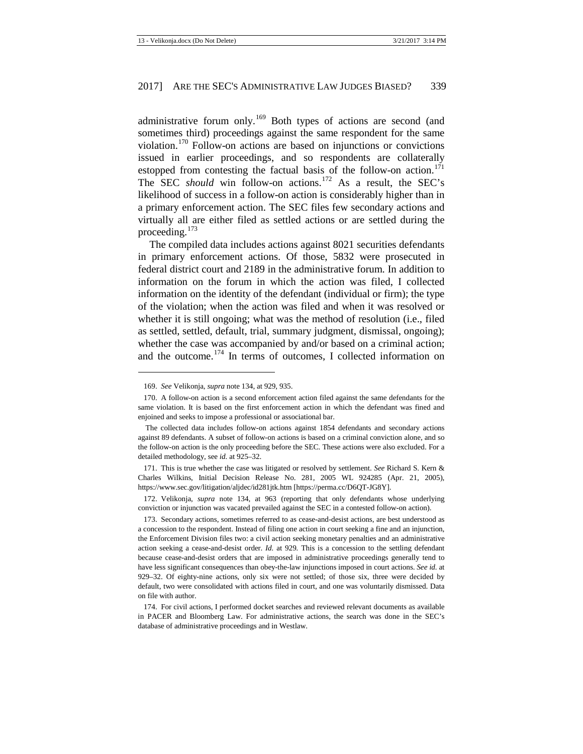administrative forum only.<sup>[169](#page-25-0)</sup> Both types of actions are second (and sometimes third) proceedings against the same respondent for the same violation.[170](#page-25-1) Follow-on actions are based on injunctions or convictions issued in earlier proceedings, and so respondents are collaterally estopped from contesting the factual basis of the follow-on action.<sup>[171](#page-25-2)</sup> The SEC *should* win follow-on actions.<sup>[172](#page-25-3)</sup> As a result, the SEC's likelihood of success in a follow-on action is considerably higher than in a primary enforcement action. The SEC files few secondary actions and virtually all are either filed as settled actions or are settled during the proceeding.<sup>[173](#page-25-4)</sup>

The compiled data includes actions against 8021 securities defendants in primary enforcement actions. Of those, 5832 were prosecuted in federal district court and 2189 in the administrative forum. In addition to information on the forum in which the action was filed, I collected information on the identity of the defendant (individual or firm); the type of the violation; when the action was filed and when it was resolved or whether it is still ongoing; what was the method of resolution (i.e., filed as settled, settled, default, trial, summary judgment, dismissal, ongoing); whether the case was accompanied by and/or based on a criminal action; and the outcome.<sup>[174](#page-25-5)</sup> In terms of outcomes, I collected information on

**.** 

<span id="page-25-2"></span>171. This is true whether the case was litigated or resolved by settlement. *See* Richard S. Kern & Charles Wilkins, Initial Decision Release No. 281, 2005 WL 924285 (Apr. 21, 2005), https://www.sec.gov/litigation/aljdec/id281jtk.htm [https://perma.cc/D6QT-JG8Y].

<sup>169.</sup> *See* Velikonja, *supra* not[e 134,](#page-20-8) at 929, 935.

<span id="page-25-1"></span><span id="page-25-0"></span><sup>170.</sup> A follow-on action is a second enforcement action filed against the same defendants for the same violation. It is based on the first enforcement action in which the defendant was fined and enjoined and seeks to impose a professional or associational bar.

The collected data includes follow-on actions against 1854 defendants and secondary actions against 89 defendants. A subset of follow-on actions is based on a criminal conviction alone, and so the follow-on action is the only proceeding before the SEC. These actions were also excluded. For a detailed methodology, see *id.* at 925–32.

<span id="page-25-3"></span><sup>172.</sup> Velikonja, *supra* note [134,](#page-20-8) at 963 (reporting that only defendants whose underlying conviction or injunction was vacated prevailed against the SEC in a contested follow-on action).

<span id="page-25-4"></span><sup>173.</sup> Secondary actions, sometimes referred to as cease-and-desist actions, are best understood as a concession to the respondent. Instead of filing one action in court seeking a fine and an injunction, the Enforcement Division files two: a civil action seeking monetary penalties and an administrative action seeking a cease-and-desist order. *Id.* at 929*.* This is a concession to the settling defendant because cease-and-desist orders that are imposed in administrative proceedings generally tend to have less significant consequences than obey-the-law injunctions imposed in court actions. *See id.* at 929–32. Of eighty-nine actions, only six were not settled; of those six, three were decided by default, two were consolidated with actions filed in court, and one was voluntarily dismissed. Data on file with author.

<span id="page-25-5"></span><sup>174.</sup> For civil actions, I performed docket searches and reviewed relevant documents as available in PACER and Bloomberg Law. For administrative actions, the search was done in the SEC's database of administrative proceedings and in Westlaw.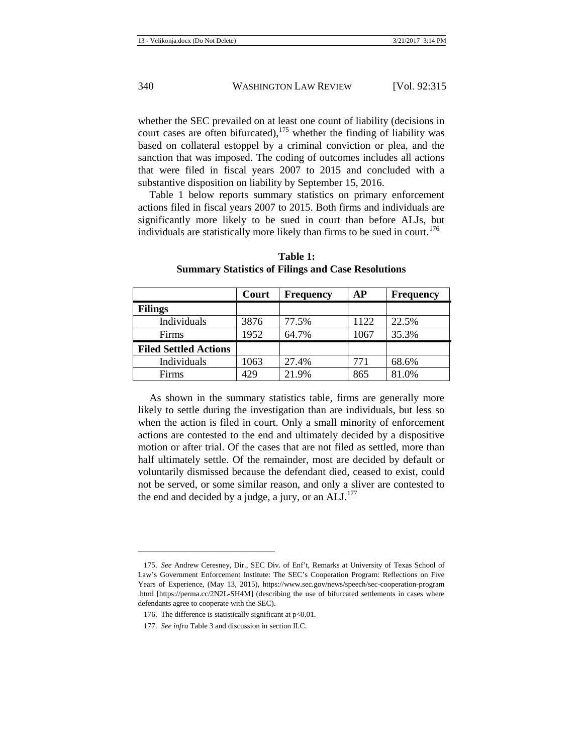whether the SEC prevailed on at least one count of liability (decisions in court cases are often bifurcated),  $175$  whether the finding of liability was based on collateral estoppel by a criminal conviction or plea, and the sanction that was imposed. The coding of outcomes includes all actions that were filed in fiscal years 2007 to 2015 and concluded with a substantive disposition on liability by September 15, 2016.

Table 1 below reports summary statistics on primary enforcement actions filed in fiscal years 2007 to 2015. Both firms and individuals are significantly more likely to be sued in court than before ALJs, but individuals are statistically more likely than firms to be sued in court.<sup>[176](#page-26-1)</sup>

|                              | Court | <b>Frequency</b> | АP   | <b>Frequency</b> |
|------------------------------|-------|------------------|------|------------------|
| <b>Filings</b>               |       |                  |      |                  |
| Individuals                  | 3876  | 77.5%            | 1122 | 22.5%            |
| Firms                        | 1952  | 64.7%            | 1067 | 35.3%            |
| <b>Filed Settled Actions</b> |       |                  |      |                  |
| Individuals                  | 1063  | 27.4%            | 771  | 68.6%            |
| <b>Firms</b>                 | 429   | 21.9%            | 865  | 81.0%            |

**Table 1: Summary Statistics of Filings and Case Resolutions**

As shown in the summary statistics table, firms are generally more likely to settle during the investigation than are individuals, but less so when the action is filed in court. Only a small minority of enforcement actions are contested to the end and ultimately decided by a dispositive motion or after trial. Of the cases that are not filed as settled, more than half ultimately settle. Of the remainder, most are decided by default or voluntarily dismissed because the defendant died, ceased to exist, could not be served, or some similar reason, and only a sliver are contested to the end and decided by a judge, a jury, or an  $ALJ$ .<sup>[177](#page-26-2)</sup>

<span id="page-26-0"></span><sup>175.</sup> *See* Andrew Ceresney, Dir., SEC Div. of Enf't, Remarks at University of Texas School of Law's Government Enforcement Institute: The SEC's Cooperation Program: Reflections on Five Years of Experience, (May 13, 2015), https://www.sec.gov/news/speech/sec-cooperation-program .html [https://perma.cc/2N2L-SH4M] (describing the use of bifurcated settlements in cases where defendants agree to cooperate with the SEC).

<span id="page-26-1"></span><sup>176.</sup> The difference is statistically significant at p<0.01.

<span id="page-26-2"></span><sup>177.</sup> *See infra* Table 3 and discussion in section II.C.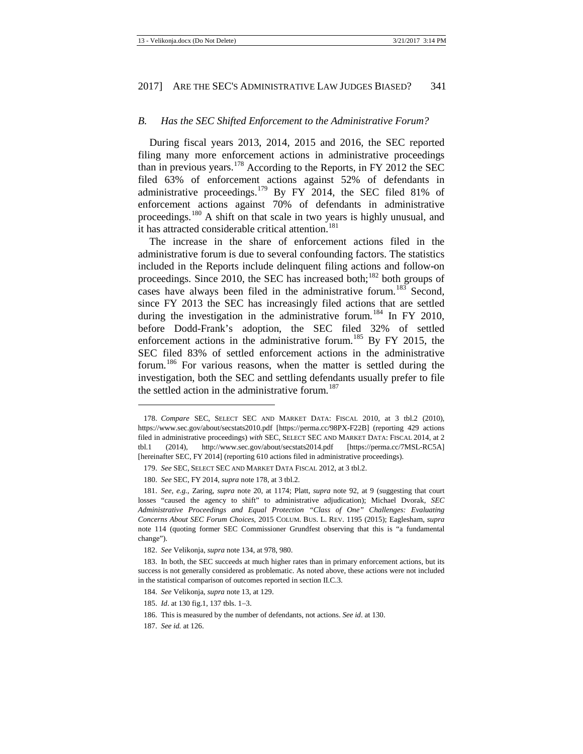#### <span id="page-27-0"></span>*B. Has the SEC Shifted Enforcement to the Administrative Forum?*

<span id="page-27-1"></span>During fiscal years 2013, 2014, 2015 and 2016, the SEC reported filing many more enforcement actions in administrative proceedings than in previous years.<sup>[178](#page-27-2)</sup> According to the Reports, in FY 2012 the SEC filed 63% of enforcement actions against 52% of defendants in administrative proceedings.<sup>[179](#page-27-3)</sup> By FY 2014, the SEC filed 81% of enforcement actions against 70% of defendants in administrative proceedings.[180](#page-27-4) A shift on that scale in two years is highly unusual, and it has attracted considerable critical attention.<sup>[181](#page-27-5)</sup>

The increase in the share of enforcement actions filed in the administrative forum is due to several confounding factors. The statistics included in the Reports include delinquent filing actions and follow-on proceedings. Since 2010, the SEC has increased both; $182$  both groups of cases have always been filed in the administrative forum.<sup>[183](#page-27-7)</sup> Second, since FY 2013 the SEC has increasingly filed actions that are settled during the investigation in the administrative forum.<sup>[184](#page-27-8)</sup> In FY 2010, before Dodd-Frank's adoption, the SEC filed 32% of settled enforcement actions in the administrative forum.<sup>[185](#page-27-9)</sup> By FY 2015, the SEC filed 83% of settled enforcement actions in the administrative forum.<sup>[186](#page-27-10)</sup> For various reasons, when the matter is settled during the investigation, both the SEC and settling defendants usually prefer to file the settled action in the administrative forum.<sup>[187](#page-27-11)</sup>

 $\overline{\phantom{a}}$ 

<span id="page-27-2"></span><sup>178.</sup> *Compare* SEC, SELECT SEC AND MARKET DATA: FISCAL 2010, at 3 tbl.2 (2010), https://www.sec.gov/about/secstats2010.pdf [https://perma.cc/98PX-F22B] (reporting 429 actions filed in administrative proceedings) *with* SEC, SELECT SEC AND MARKET DATA: FISCAL 2014, at 2 tbl.1 (2014), http://www.sec.gov/about/secstats2014.pdf [https://perma.cc/7MSL-RC5A] [hereinafter SEC, FY 2014] (reporting 610 actions filed in administrative proceedings).

<sup>179.</sup> *See* SEC, SELECT SEC AND MARKET DATA FISCAL 2012, at 3 tbl.2.

<sup>180.</sup> *See* SEC, FY 2014, *supra* not[e 178,](#page-27-1) at 3 tbl.2.

<span id="page-27-5"></span><span id="page-27-4"></span><span id="page-27-3"></span><sup>181.</sup> *See, e.g.*, Zaring, *supra* note [20,](#page-4-12) at 1174; Platt, *supra* note [92,](#page-14-10) at 9 (suggesting that court losses "caused the agency to shift" to administrative adjudication); Michael Dvorak, *SEC Administrative Proceedings and Equal Protection "Class of One" Challenges: Evaluating Concerns About SEC Forum Choices*, 2015 COLUM. BUS. L. REV. 1195 (2015); Eaglesham, *supra*  note [114](#page-17-4) (quoting former SEC Commissioner Grundfest observing that this is "a fundamental change").

<sup>182.</sup> *See* Velikonja, *supra* not[e 134,](#page-20-8) at 978, 980.

<span id="page-27-8"></span><span id="page-27-7"></span><span id="page-27-6"></span><sup>183.</sup> In both, the SEC succeeds at much higher rates than in primary enforcement actions, but its success is not generally considered as problematic. As noted above, these actions were not included in the statistical comparison of outcomes reported in section II.C.3.

<sup>184.</sup> *See* Velikonja, *supra* not[e 13,](#page-4-14) at 129.

<span id="page-27-9"></span><sup>185.</sup> *Id*. at 130 fig.1, 137 tbls. 1−3.

<sup>186.</sup> This is measured by the number of defendants, not actions. *See id*. at 130.

<span id="page-27-11"></span><span id="page-27-10"></span><sup>187.</sup> *See id.* at 126.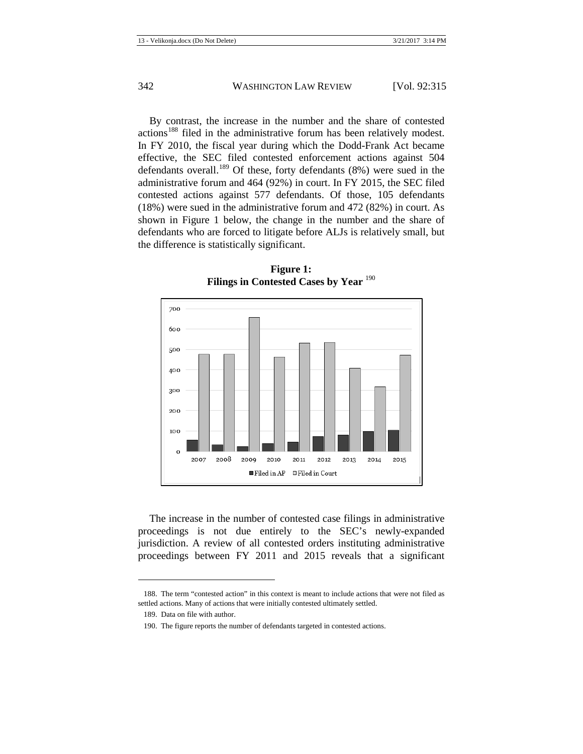By contrast, the increase in the number and the share of contested actions<sup>[188](#page-28-0)</sup> filed in the administrative forum has been relatively modest. In FY 2010, the fiscal year during which the Dodd-Frank Act became effective, the SEC filed contested enforcement actions against 504 defendants overall.<sup>[189](#page-28-1)</sup> Of these, forty defendants  $(8\%)$  were sued in the administrative forum and 464 (92%) in court. In FY 2015, the SEC filed contested actions against 577 defendants. Of those, 105 defendants (18%) were sued in the administrative forum and 472 (82%) in court. As shown in Figure 1 below, the change in the number and the share of defendants who are forced to litigate before ALJs is relatively small, but the difference is statistically significant.



**Figure 1: Filings in Contested Cases by Year** [190](#page-28-2)

The increase in the number of contested case filings in administrative proceedings is not due entirely to the SEC's newly-expanded jurisdiction. A review of all contested orders instituting administrative proceedings between FY 2011 and 2015 reveals that a significant

<span id="page-28-2"></span><span id="page-28-1"></span><span id="page-28-0"></span><sup>188.</sup> The term "contested action" in this context is meant to include actions that were not filed as settled actions. Many of actions that were initially contested ultimately settled.

<sup>189.</sup> Data on file with author.

<sup>190.</sup> The figure reports the number of defendants targeted in contested actions.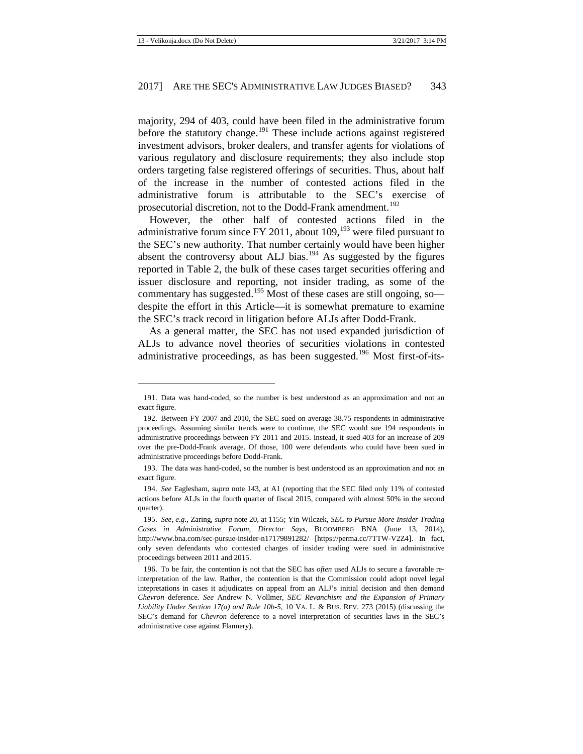majority, 294 of 403, could have been filed in the administrative forum before the statutory change.<sup>[191](#page-29-0)</sup> These include actions against registered investment advisors, broker dealers, and transfer agents for violations of various regulatory and disclosure requirements; they also include stop orders targeting false registered offerings of securities. Thus, about half of the increase in the number of contested actions filed in the administrative forum is attributable to the SEC's exercise of prosecutorial discretion, not to the Dodd-Frank amendment.<sup>[192](#page-29-1)</sup>

However, the other half of contested actions filed in the administrative forum since FY 2011, about  $109<sub>1</sub><sup>193</sup>$  $109<sub>1</sub><sup>193</sup>$  $109<sub>1</sub><sup>193</sup>$  were filed pursuant to the SEC's new authority. That number certainly would have been higher absent the controversy about ALJ bias.<sup>[194](#page-29-3)</sup> As suggested by the figures reported in Table 2, the bulk of these cases target securities offering and issuer disclosure and reporting, not insider trading, as some of the commentary has suggested.<sup>[195](#page-29-4)</sup> Most of these cases are still ongoing, so despite the effort in this Article—it is somewhat premature to examine the SEC's track record in litigation before ALJs after Dodd-Frank.

As a general matter, the SEC has not used expanded jurisdiction of ALJs to advance novel theories of securities violations in contested administrative proceedings, as has been suggested.<sup>[196](#page-29-5)</sup> Most first-of-its-

<span id="page-29-0"></span><sup>191.</sup> Data was hand-coded, so the number is best understood as an approximation and not an exact figure.

<span id="page-29-1"></span><sup>192.</sup> Between FY 2007 and 2010, the SEC sued on average 38.75 respondents in administrative proceedings. Assuming similar trends were to continue, the SEC would sue 194 respondents in administrative proceedings between FY 2011 and 2015. Instead, it sued 403 for an increase of 209 over the pre-Dodd-Frank average. Of those, 100 were defendants who could have been sued in administrative proceedings before Dodd-Frank.

<span id="page-29-2"></span><sup>193.</sup> The data was hand-coded, so the number is best understood as an approximation and not an exact figure.

<span id="page-29-3"></span><sup>194.</sup> *See* Eaglesham, *supra* not[e 143,](#page-21-8) at A1 (reporting that the SEC filed only 11% of contested actions before ALJs in the fourth quarter of fiscal 2015, compared with almost 50% in the second quarter).

<span id="page-29-4"></span><sup>195.</sup> *See, e.g*., Zaring, *supra* note [20,](#page-4-12) at 1155; Yin Wilczek, *SEC to Pursue More Insider Trading Cases in Administrative Forum, Director Says*, BLOOMBERG BNA (June 13, 2014), http://www.bna.com/sec-pursue-insider-n17179891282/ [https://perma.cc/7TTW-V2Z4]. In fact, only seven defendants who contested charges of insider trading were sued in administrative proceedings between 2011 and 2015.

<span id="page-29-5"></span><sup>196.</sup> To be fair, the contention is not that the SEC has *often* used ALJs to secure a favorable reinterpretation of the law. Rather, the contention is that the Commission could adopt novel legal intepretations in cases it adjudicates on appeal from an ALJ's initial decision and then demand *Chevron* deference. *See* Andrew N. Vollmer, *SEC Revanchism and the Expansion of Primary Liability Under Section 17(a) and Rule 10b-5*, 10 VA. L. & BUS. REV. 273 (2015) (discussing the SEC's demand for *Chevron* deference to a novel interpretation of securities laws in the SEC's administrative case against Flannery).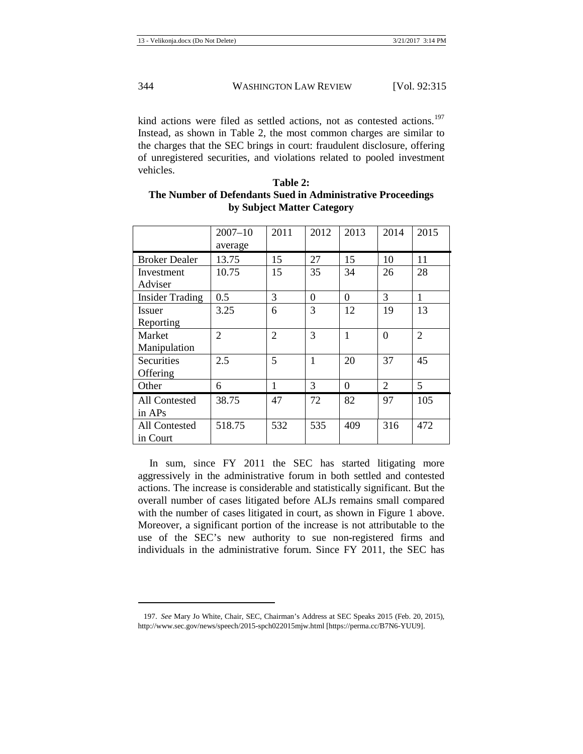kind actions were filed as settled actions, not as contested actions.<sup>[197](#page-30-0)</sup> Instead, as shown in Table 2, the most common charges are similar to the charges that the SEC brings in court: fraudulent disclosure, offering of unregistered securities, and violations related to pooled investment vehicles.

| Table 2:                                                    |
|-------------------------------------------------------------|
| The Number of Defendants Sued in Administrative Proceedings |
| by Subject Matter Category                                  |

|                        | $2007 - 10$<br>average | 2011           | 2012         | 2013         | 2014           | 2015           |
|------------------------|------------------------|----------------|--------------|--------------|----------------|----------------|
| <b>Broker Dealer</b>   | 13.75                  | 15             | 27           | 15           | 10             | 11             |
| Investment             | 10.75                  | 15             | 35           | 34           | 26             | 28             |
| Adviser                |                        |                |              |              |                |                |
| <b>Insider Trading</b> | 0.5                    | 3              | $\Omega$     | $\Omega$     | 3              | 1              |
| <b>Issuer</b>          | 3.25                   | 6              | 3            | 12           | 19             | 13             |
| Reporting              |                        |                |              |              |                |                |
| Market                 | 2                      | $\overline{2}$ | 3            | $\mathbf{1}$ | $\theta$       | $\overline{2}$ |
| Manipulation           |                        |                |              |              |                |                |
| Securities             | 2.5                    | 5              | $\mathbf{1}$ | 20           | 37             | 45             |
| Offering               |                        |                |              |              |                |                |
| Other                  | 6                      | 1              | 3            | $\Omega$     | $\mathfrak{D}$ | 5              |
| All Contested          | 38.75                  | 47             | 72           | 82           | 97             | 105            |
| in APs                 |                        |                |              |              |                |                |
| All Contested          | 518.75                 | 532            | 535          | 409          | 316            | 472            |
| in Court               |                        |                |              |              |                |                |

In sum, since FY 2011 the SEC has started litigating more aggressively in the administrative forum in both settled and contested actions. The increase is considerable and statistically significant. But the overall number of cases litigated before ALJs remains small compared with the number of cases litigated in court, as shown in Figure 1 above. Moreover, a significant portion of the increase is not attributable to the use of the SEC's new authority to sue non-registered firms and individuals in the administrative forum. Since FY 2011, the SEC has

<span id="page-30-0"></span><sup>197.</sup> *See* Mary Jo White, Chair, SEC, Chairman's Address at SEC Speaks 2015 (Feb. 20, 2015), http://www.sec.gov/news/speech/2015-spch022015mjw.html [https://perma.cc/B7N6-YUU9].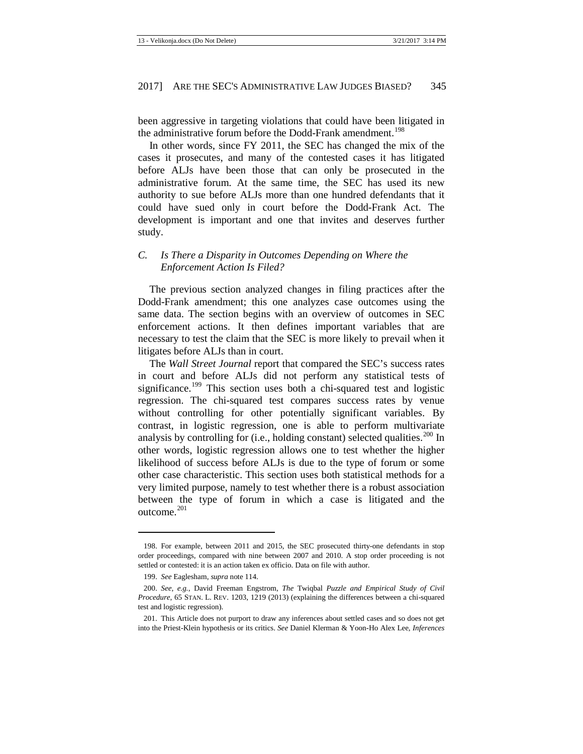been aggressive in targeting violations that could have been litigated in the administrative forum before the Dodd-Frank amendment.<sup>[198](#page-31-1)</sup>

In other words, since FY 2011, the SEC has changed the mix of the cases it prosecutes, and many of the contested cases it has litigated before ALJs have been those that can only be prosecuted in the administrative forum. At the same time, the SEC has used its new authority to sue before ALJs more than one hundred defendants that it could have sued only in court before the Dodd-Frank Act. The development is important and one that invites and deserves further study.

#### <span id="page-31-0"></span>*C. Is There a Disparity in Outcomes Depending on Where the Enforcement Action Is Filed?*

The previous section analyzed changes in filing practices after the Dodd-Frank amendment; this one analyzes case outcomes using the same data. The section begins with an overview of outcomes in SEC enforcement actions. It then defines important variables that are necessary to test the claim that the SEC is more likely to prevail when it litigates before ALJs than in court.

The *Wall Street Journal* report that compared the SEC's success rates in court and before ALJs did not perform any statistical tests of significance.<sup>[199](#page-31-2)</sup> This section uses both a chi-squared test and logistic regression. The chi-squared test compares success rates by venue without controlling for other potentially significant variables. By contrast, in logistic regression, one is able to perform multivariate analysis by controlling for (i.e., holding constant) selected qualities.<sup>[200](#page-31-3)</sup> In other words, logistic regression allows one to test whether the higher likelihood of success before ALJs is due to the type of forum or some other case characteristic. This section uses both statistical methods for a very limited purpose, namely to test whether there is a robust association between the type of forum in which a case is litigated and the outcome. $^{201}$  $^{201}$  $^{201}$ 

<span id="page-31-1"></span><sup>198.</sup> For example, between 2011 and 2015, the SEC prosecuted thirty-one defendants in stop order proceedings, compared with nine between 2007 and 2010. A stop order proceeding is not settled or contested: it is an action taken ex officio. Data on file with author.

<sup>199.</sup> *See* Eaglesham, *supra* not[e 114.](#page-17-4)

<span id="page-31-3"></span><span id="page-31-2"></span><sup>200.</sup> *See, e.g.*, David Freeman Engstrom, *The* Twiqbal *Puzzle and Empirical Study of Civil Procedure*, 65 STAN. L. REV. 1203, 1219 (2013) (explaining the differences between a chi-squared test and logistic regression).

<span id="page-31-4"></span><sup>201.</sup> This Article does not purport to draw any inferences about settled cases and so does not get into the Priest-Klein hypothesis or its critics. *See* Daniel Klerman & Yoon-Ho Alex Lee, *Inferences*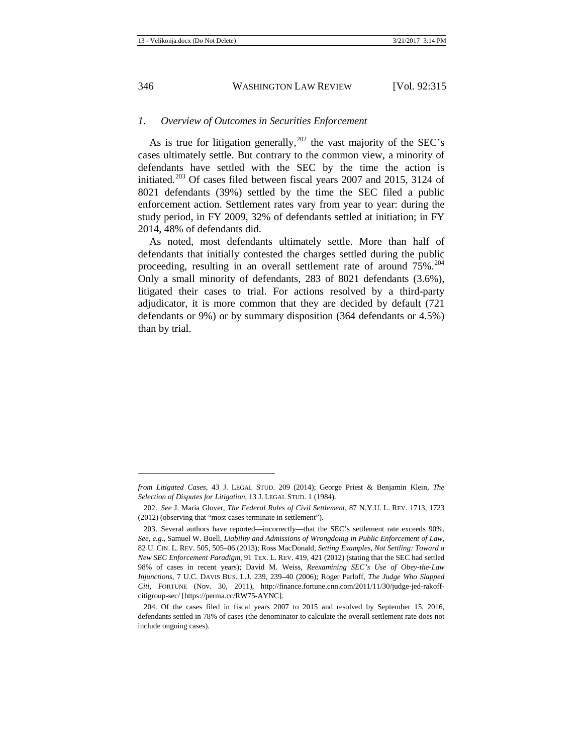#### <span id="page-32-0"></span>*1. Overview of Outcomes in Securities Enforcement*

As is true for litigation generally,  $^{202}$  $^{202}$  $^{202}$  the vast majority of the SEC's cases ultimately settle. But contrary to the common view, a minority of defendants have settled with the SEC by the time the action is initiated.<sup>[203](#page-32-2)</sup> Of cases filed between fiscal years 2007 and 2015, 3124 of 8021 defendants (39%) settled by the time the SEC filed a public enforcement action. Settlement rates vary from year to year: during the study period, in FY 2009, 32% of defendants settled at initiation; in FY 2014, 48% of defendants did.

As noted, most defendants ultimately settle. More than half of defendants that initially contested the charges settled during the public proceeding, resulting in an overall settlement rate of around  $75\%$ .<sup>[204](#page-32-3)</sup> Only a small minority of defendants, 283 of 8021 defendants (3.6%), litigated their cases to trial. For actions resolved by a third-party adjudicator, it is more common that they are decided by default (721 defendants or 9%) or by summary disposition (364 defendants or 4.5%) than by trial.

 $\overline{\phantom{a}}$ 

<span id="page-32-1"></span>*from Litigated Cases*, 43 J. LEGAL STUD. 209 (2014); George Priest & Benjamin Klein, *The Selection of Disputes for Litigation*, 13 J. LEGAL STUD. 1 (1984).

<sup>202.</sup> *See* J. Maria Glover, *The Federal Rules of Civil Settlement*, 87 N.Y.U. L. REV. 1713, 1723 (2012) (observing that "most cases terminate in settlement").

<span id="page-32-2"></span><sup>203.</sup> Several authors have reported—incorrectly—that the SEC's settlement rate exceeds 90%. *See, e.g.*, Samuel W. Buell, *Liability and Admissions of Wrongdoing in Public Enforcement of Law*, 82 U. CIN. L. REV. 505, 505–06 (2013); Ross MacDonald, *Setting Examples, Not Settling: Toward a New SEC Enforcement Paradigm*, 91 TEX. L. REV. 419, 421 (2012) (stating that the SEC had settled 98% of cases in recent years); David M. Weiss, *Reexamining SEC's Use of Obey-the-Law Injunctions*, 7 U.C. DAVIS BUS. L.J. 239, 239–40 (2006); Roger Parloff, *The Judge Who Slapped Citi*, FORTUNE (Nov. 30, 2011), http://finance.fortune.cnn.com/2011/11/30/judge-jed-rakoffcitigroup-sec/ [https://perma.cc/RW75-AYNC].

<span id="page-32-3"></span><sup>204.</sup> Of the cases filed in fiscal years 2007 to 2015 and resolved by September 15, 2016, defendants settled in 78% of cases (the denominator to calculate the overall settlement rate does not include ongoing cases).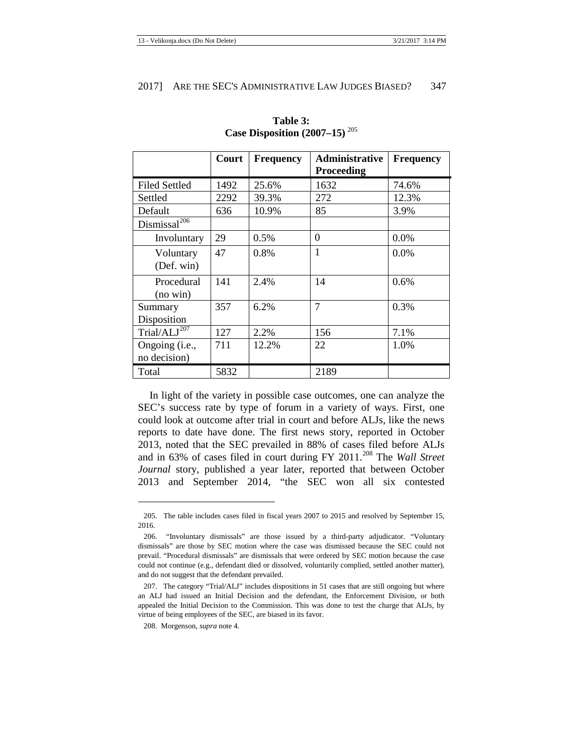|                          | Court | <b>Frequency</b> | <b>Administrative</b><br><b>Proceeding</b> | <b>Frequency</b> |
|--------------------------|-------|------------------|--------------------------------------------|------------------|
|                          |       |                  |                                            |                  |
| Filed Settled            | 1492  | 25.6%            | 1632                                       | 74.6%            |
| Settled                  | 2292  | 39.3%            | 272                                        | 12.3%            |
| Default                  | 636   | 10.9%            | 85                                         | 3.9%             |
| Dismissal <sup>206</sup> |       |                  |                                            |                  |
| Involuntary              | 29    | 0.5%             | $\Omega$                                   | 0.0%             |
| Voluntary                | 47    | $0.8\%$          | 1                                          | $0.0\%$          |
| (Def. win)               |       |                  |                                            |                  |
| Procedural               | 141   | 2.4%             | 14                                         | 0.6%             |
| $(no \, win)$            |       |                  |                                            |                  |
| Summary                  | 357   | 6.2%             | $\overline{7}$                             | 0.3%             |
| Disposition              |       |                  |                                            |                  |
| Trial/ $ALJ^{207}$       | 127   | 2.2%             | 156                                        | 7.1%             |
| Ongoing (i.e.,           | 711   | 12.2%            | 22                                         | 1.0%             |
| no decision)             |       |                  |                                            |                  |
| Total                    | 5832  |                  | 2189                                       |                  |

**Table 3: Case Disposition (2007–15)** [205](#page-33-0)

In light of the variety in possible case outcomes, one can analyze the SEC's success rate by type of forum in a variety of ways. First, one could look at outcome after trial in court and before ALJs, like the news reports to date have done. The first news story, reported in October 2013, noted that the SEC prevailed in 88% of cases filed before ALJs and in 63% of cases filed in court during FY 2011.<sup>[208](#page-33-3)</sup> The *Wall Street Journal* story, published a year later, reported that between October 2013 and September 2014, "the SEC won all six contested

 $\overline{\phantom{a}}$ 

<span id="page-33-0"></span><sup>205.</sup> The table includes cases filed in fiscal years 2007 to 2015 and resolved by September 15, 2016.

<span id="page-33-1"></span><sup>206.</sup> "Involuntary dismissals" are those issued by a third-party adjudicator. "Voluntary dismissals" are those by SEC motion where the case was dismissed because the SEC could not prevail. "Procedural dismissals" are dismissals that were ordered by SEC motion because the case could not continue (e.g., defendant died or dissolved, voluntarily complied, settled another matter), and do not suggest that the defendant prevailed.

<span id="page-33-2"></span><sup>207.</sup> The category "Trial/ALJ" includes dispositions in 51 cases that are still ongoing but where an ALJ had issued an Initial Decision and the defendant, the Enforcement Division, or both appealed the Initial Decision to the Commission. This was done to test the charge that ALJs, by virtue of being employees of the SEC, are biased in its favor.

<span id="page-33-3"></span><sup>208.</sup> Morgenson, *supra* not[e 4](#page-3-9)*.*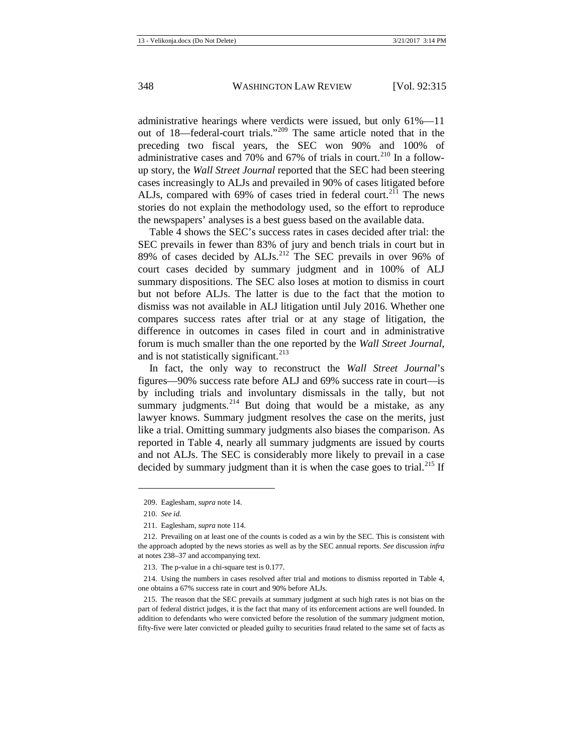administrative hearings where verdicts were issued, but only 61%—11 out of 18—federal-court trials."<sup>[209](#page-34-0)</sup> The same article noted that in the preceding two fiscal years, the SEC won 90% and 100% of administrative cases and 70% and 67% of trials in court.<sup>[210](#page-34-1)</sup> In a followup story, the *Wall Street Journal* reported that the SEC had been steering cases increasingly to ALJs and prevailed in 90% of cases litigated before ALJs, compared with 69% of cases tried in federal court.<sup>[211](#page-34-2)</sup> The news stories do not explain the methodology used, so the effort to reproduce the newspapers' analyses is a best guess based on the available data.

Table 4 shows the SEC's success rates in cases decided after trial: the SEC prevails in fewer than 83% of jury and bench trials in court but in 89% of cases decided by ALJs.<sup>[212](#page-34-3)</sup> The SEC prevails in over 96% of court cases decided by summary judgment and in 100% of ALJ summary dispositions. The SEC also loses at motion to dismiss in court but not before ALJs. The latter is due to the fact that the motion to dismiss was not available in ALJ litigation until July 2016. Whether one compares success rates after trial or at any stage of litigation, the difference in outcomes in cases filed in court and in administrative forum is much smaller than the one reported by the *Wall Street Journal*, and is not statistically significant.<sup>[213](#page-34-4)</sup>

In fact, the only way to reconstruct the *Wall Street Journal*'s figures—90% success rate before ALJ and 69% success rate in court—is by including trials and involuntary dismissals in the tally, but not summary judgments. $2^{14}$  But doing that would be a mistake, as any lawyer knows. Summary judgment resolves the case on the merits, just like a trial. Omitting summary judgments also biases the comparison. As reported in Table 4, nearly all summary judgments are issued by courts and not ALJs. The SEC is considerably more likely to prevail in a case decided by summary judgment than it is when the case goes to trial.<sup>[215](#page-34-6)</sup> If

<sup>209.</sup> Eaglesham, *supra* not[e 14.](#page-4-13)

<sup>210.</sup> *See id.*

<sup>211.</sup> Eaglesham, *supra* not[e 114.](#page-17-4)

<span id="page-34-3"></span><span id="page-34-2"></span><span id="page-34-1"></span><span id="page-34-0"></span><sup>212.</sup> Prevailing on at least one of the counts is coded as a win by the SEC. This is consistent with the approach adopted by the news stories as well as by the SEC annual reports. *See* discussion *infra* at note[s 238–](#page-39-3)37 and accompanying text.

<sup>213.</sup> The p-value in a chi-square test is 0.177.

<span id="page-34-5"></span><span id="page-34-4"></span><sup>214.</sup> Using the numbers in cases resolved after trial and motions to dismiss reported in Table 4, one obtains a 67% success rate in court and 90% before ALJs.

<span id="page-34-6"></span><sup>215.</sup> The reason that the SEC prevails at summary judgment at such high rates is not bias on the part of federal district judges, it is the fact that many of its enforcement actions are well founded. In addition to defendants who were convicted before the resolution of the summary judgment motion, fifty-five were later convicted or pleaded guilty to securities fraud related to the same set of facts as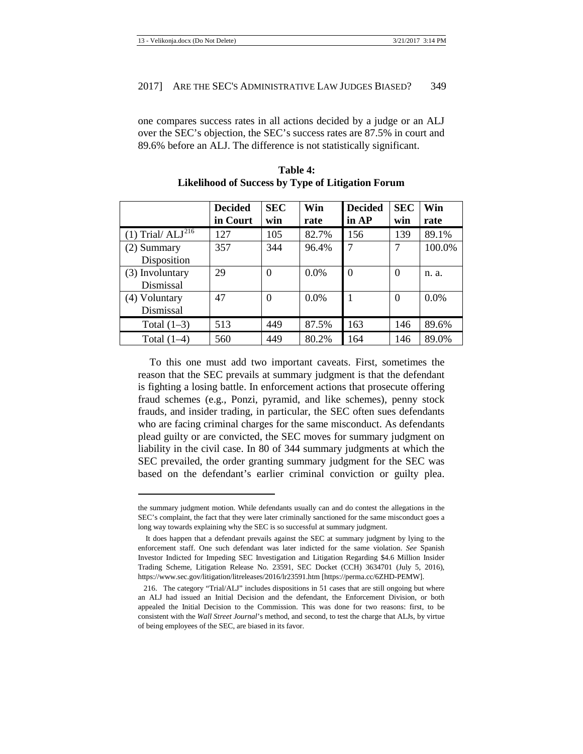one compares success rates in all actions decided by a judge or an ALJ over the SEC's objection, the SEC's success rates are 87.5% in court and 89.6% before an ALJ. The difference is not statistically significant.

|                       | <b>Decided</b> | <b>SEC</b> | Win     | <b>Decided</b> | <b>SEC</b> | Win     |
|-----------------------|----------------|------------|---------|----------------|------------|---------|
|                       | in Court       | win        | rate    | in AP          | win        | rate    |
| $(1)$ Trial/ $ALJ216$ | 127            | 105        | 82.7%   | 156            | 139        | 89.1%   |
| (2) Summary           | 357            | 344        | 96.4%   | 7              | 7          | 100.0%  |
| Disposition           |                |            |         |                |            |         |
| (3) Involuntary       | 29             | $\theta$   | $0.0\%$ | $\theta$       | $\theta$   | n. a.   |
| Dismissal             |                |            |         |                |            |         |
| (4) Voluntary         | 47             | $\theta$   | $0.0\%$ |                | $\theta$   | $0.0\%$ |
| Dismissal             |                |            |         |                |            |         |
| Total $(1-3)$         | 513            | 449        | 87.5%   | 163            | 146        | 89.6%   |
| Total $(1-4)$         | 560            | 449        | 80.2%   | 164            | 146        | 89.0%   |

**Table 4: Likelihood of Success by Type of Litigation Forum**

To this one must add two important caveats. First, sometimes the reason that the SEC prevails at summary judgment is that the defendant is fighting a losing battle. In enforcement actions that prosecute offering fraud schemes (e.g., Ponzi, pyramid, and like schemes), penny stock frauds, and insider trading, in particular, the SEC often sues defendants who are facing criminal charges for the same misconduct. As defendants plead guilty or are convicted, the SEC moves for summary judgment on liability in the civil case. In 80 of 344 summary judgments at which the SEC prevailed, the order granting summary judgment for the SEC was based on the defendant's earlier criminal conviction or guilty plea.

the summary judgment motion. While defendants usually can and do contest the allegations in the SEC's complaint, the fact that they were later criminally sanctioned for the same misconduct goes a long way towards explaining why the SEC is so successful at summary judgment.

It does happen that a defendant prevails against the SEC at summary judgment by lying to the enforcement staff. One such defendant was later indicted for the same violation. *See* Spanish Investor Indicted for Impeding SEC Investigation and Litigation Regarding \$4.6 Million Insider Trading Scheme, Litigation Release No. 23591, SEC Docket (CCH) 3634701 (July 5, 2016), https://www.sec.gov/litigation/litreleases/2016/lr23591.htm [https://perma.cc/6ZHD-PEMW].

<span id="page-35-0"></span><sup>216.</sup> The category "Trial/ALJ" includes dispositions in 51 cases that are still ongoing but where an ALJ had issued an Initial Decision and the defendant, the Enforcement Division, or both appealed the Initial Decision to the Commission. This was done for two reasons: first, to be consistent with the *Wall Street Journal*'s method, and second, to test the charge that ALJs, by virtue of being employees of the SEC, are biased in its favor.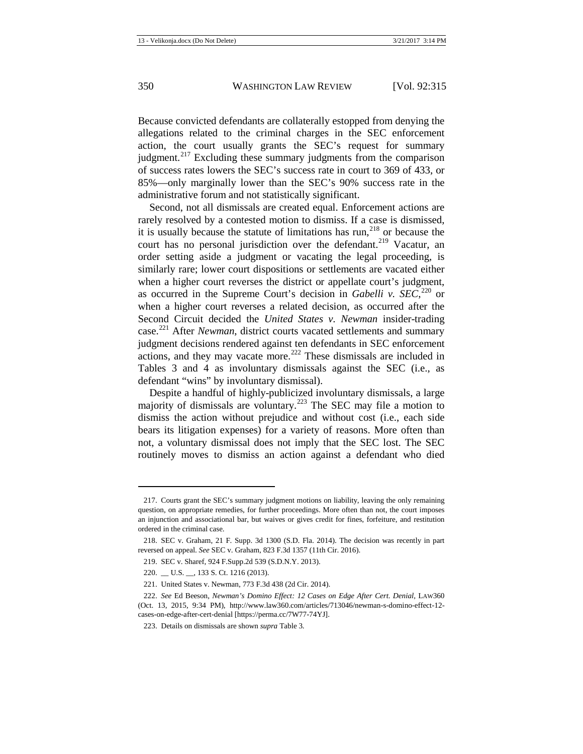Because convicted defendants are collaterally estopped from denying the allegations related to the criminal charges in the SEC enforcement action, the court usually grants the SEC's request for summary judgment. $^{217}$  $^{217}$  $^{217}$  Excluding these summary judgments from the comparison of success rates lowers the SEC's success rate in court to 369 of 433, or 85%—only marginally lower than the SEC's 90% success rate in the administrative forum and not statistically significant.

Second, not all dismissals are created equal. Enforcement actions are rarely resolved by a contested motion to dismiss. If a case is dismissed, it is usually because the statute of limitations has run, $^{218}$  $^{218}$  $^{218}$  or because the court has no personal jurisdiction over the defendant.<sup>[219](#page-36-2)</sup> Vacatur, an order setting aside a judgment or vacating the legal proceeding, is similarly rare; lower court dispositions or settlements are vacated either when a higher court reverses the district or appellate court's judgment, as occurred in the Supreme Court's decision in *Gabelli v. SEC*, [220](#page-36-3) or when a higher court reverses a related decision, as occurred after the Second Circuit decided the *United States v. Newman* insider-trading case.[221](#page-36-4) After *Newman*, district courts vacated settlements and summary judgment decisions rendered against ten defendants in SEC enforcement actions, and they may vacate more.<sup>[222](#page-36-5)</sup> These dismissals are included in Tables 3 and 4 as involuntary dismissals against the SEC (i.e., as defendant "wins" by involuntary dismissal).

Despite a handful of highly-publicized involuntary dismissals, a large majority of dismissals are voluntary.[223](#page-36-6) The SEC may file a motion to dismiss the action without prejudice and without cost (i.e., each side bears its litigation expenses) for a variety of reasons. More often than not, a voluntary dismissal does not imply that the SEC lost. The SEC routinely moves to dismiss an action against a defendant who died

<span id="page-36-0"></span><sup>217.</sup> Courts grant the SEC's summary judgment motions on liability, leaving the only remaining question, on appropriate remedies, for further proceedings. More often than not, the court imposes an injunction and associational bar, but waives or gives credit for fines, forfeiture, and restitution ordered in the criminal case.

<span id="page-36-2"></span><span id="page-36-1"></span><sup>218.</sup> SEC v. Graham, 21 F. Supp. 3d 1300 (S.D. Fla. 2014). The decision was recently in part reversed on appeal. *See* SEC v. Graham, 823 F.3d 1357 (11th Cir. 2016).

<sup>219.</sup> SEC v. Sharef, 924 F.Supp.2d 539 (S.D.N.Y. 2013).

<sup>220.</sup> \_\_ U.S. \_\_, 133 S. Ct. 1216 (2013).

<sup>221.</sup> United States v. Newman, 773 F.3d 438 (2d Cir. 2014).

<span id="page-36-6"></span><span id="page-36-5"></span><span id="page-36-4"></span><span id="page-36-3"></span><sup>222.</sup> *See* Ed Beeson, *Newman's Domino Effect: 12 Cases on Edge After Cert. Denial*, LAW360 (Oct. 13, 2015, 9:34 PM), http://www.law360.com/articles/713046/newman-s-domino-effect-12 cases-on-edge-after-cert-denial [https://perma.cc/7W77-74YJ].

<sup>223.</sup> Details on dismissals are shown *supra* Table 3.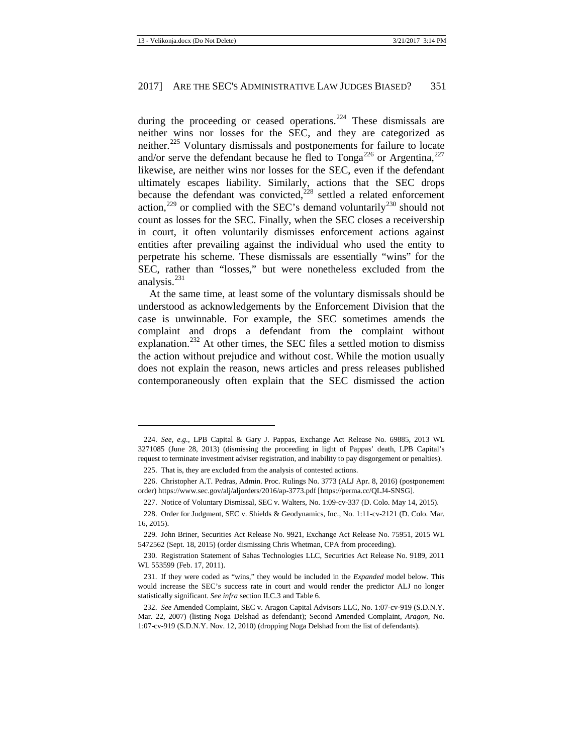during the proceeding or ceased operations.<sup>[224](#page-37-0)</sup> These dismissals are neither wins nor losses for the SEC, and they are categorized as neither.[225](#page-37-1) Voluntary dismissals and postponements for failure to locate and/or serve the defendant because he fled to  $Tonga^{226}$  $Tonga^{226}$  $Tonga^{226}$  or Argentina,<sup>[227](#page-37-3)</sup> likewise, are neither wins nor losses for the SEC, even if the defendant ultimately escapes liability. Similarly, actions that the SEC drops because the defendant was convicted, $228$  settled a related enforcement action,<sup>[229](#page-37-5)</sup> or complied with the SEC's demand voluntarily<sup>[230](#page-37-6)</sup> should not count as losses for the SEC. Finally, when the SEC closes a receivership in court, it often voluntarily dismisses enforcement actions against entities after prevailing against the individual who used the entity to perpetrate his scheme. These dismissals are essentially "wins" for the SEC, rather than "losses," but were nonetheless excluded from the analysis. $^{231}$  $^{231}$  $^{231}$ 

At the same time, at least some of the voluntary dismissals should be understood as acknowledgements by the Enforcement Division that the case is unwinnable. For example, the SEC sometimes amends the complaint and drops a defendant from the complaint without explanation.<sup>[232](#page-37-8)</sup> At other times, the SEC files a settled motion to dismiss the action without prejudice and without cost. While the motion usually does not explain the reason, news articles and press releases published contemporaneously often explain that the SEC dismissed the action

<span id="page-37-0"></span><sup>224.</sup> *See, e.g.*, LPB Capital & Gary J. Pappas, Exchange Act Release No. 69885, 2013 WL 3271085 (June 28, 2013) (dismissing the proceeding in light of Pappas' death, LPB Capital's request to terminate investment adviser registration, and inability to pay disgorgement or penalties).

<sup>225.</sup> That is, they are excluded from the analysis of contested actions.

<span id="page-37-2"></span><span id="page-37-1"></span><sup>226.</sup> Christopher A.T. Pedras, Admin. Proc. Rulings No. 3773 (ALJ Apr. 8, 2016) (postponement order) https://www.sec.gov/alj/aljorders/2016/ap-3773.pdf [https://perma.cc/QLJ4-SNSG].

<sup>227.</sup> Notice of Voluntary Dismissal, SEC v. Walters, No. 1:09-cv-337 (D. Colo. May 14, 2015).

<span id="page-37-4"></span><span id="page-37-3"></span><sup>228.</sup> Order for Judgment, SEC v. Shields & Geodynamics, Inc., No. 1:11-cv-2121 (D. Colo. Mar. 16, 2015).

<span id="page-37-5"></span><sup>229.</sup> John Briner, Securities Act Release No. 9921, Exchange Act Release No. 75951, 2015 WL 5472562 (Sept. 18, 2015) (order dismissing Chris Whetman, CPA from proceeding).

<span id="page-37-6"></span><sup>230.</sup> Registration Statement of Sahas Technologies LLC, Securities Act Release No. 9189, 2011 WL 553599 (Feb. 17, 2011).

<span id="page-37-7"></span><sup>231.</sup> If they were coded as "wins," they would be included in the *Expanded* model below. This would increase the SEC's success rate in court and would render the predictor ALJ no longer statistically significant. *See infra* section II.C.3 and Table 6.

<span id="page-37-8"></span><sup>232.</sup> *See* Amended Complaint, SEC v. Aragon Capital Advisors LLC, No. 1:07-cv-919 (S.D.N.Y. Mar. 22, 2007) (listing Noga Delshad as defendant); Second Amended Complaint, *Aragon*, No. 1:07-cv-919 (S.D.N.Y. Nov. 12, 2010) (dropping Noga Delshad from the list of defendants).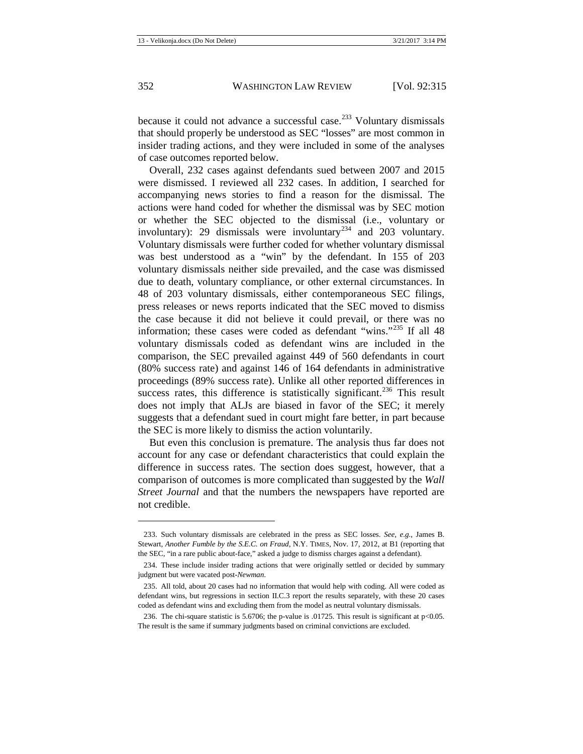because it could not advance a successful case.<sup>[233](#page-38-0)</sup> Voluntary dismissals that should properly be understood as SEC "losses" are most common in insider trading actions, and they were included in some of the analyses of case outcomes reported below.

Overall, 232 cases against defendants sued between 2007 and 2015 were dismissed. I reviewed all 232 cases. In addition, I searched for accompanying news stories to find a reason for the dismissal. The actions were hand coded for whether the dismissal was by SEC motion or whether the SEC objected to the dismissal (i.e., voluntary or involuntary): 29 dismissals were involuntary<sup>[234](#page-38-1)</sup> and 203 voluntary. Voluntary dismissals were further coded for whether voluntary dismissal was best understood as a "win" by the defendant. In 155 of 203 voluntary dismissals neither side prevailed, and the case was dismissed due to death, voluntary compliance, or other external circumstances. In 48 of 203 voluntary dismissals, either contemporaneous SEC filings, press releases or news reports indicated that the SEC moved to dismiss the case because it did not believe it could prevail, or there was no information; these cases were coded as defendant "wins."<sup>[235](#page-38-2)</sup> If all 48 voluntary dismissals coded as defendant wins are included in the comparison, the SEC prevailed against 449 of 560 defendants in court (80% success rate) and against 146 of 164 defendants in administrative proceedings (89% success rate). Unlike all other reported differences in success rates, this difference is statistically significant.<sup>[236](#page-38-3)</sup> This result does not imply that ALJs are biased in favor of the SEC; it merely suggests that a defendant sued in court might fare better, in part because the SEC is more likely to dismiss the action voluntarily.

But even this conclusion is premature. The analysis thus far does not account for any case or defendant characteristics that could explain the difference in success rates. The section does suggest, however, that a comparison of outcomes is more complicated than suggested by the *Wall Street Journal* and that the numbers the newspapers have reported are not credible.

<span id="page-38-0"></span><sup>233.</sup> Such voluntary dismissals are celebrated in the press as SEC losses. *See, e.g.*, James B. Stewart, *Another Fumble by the S.E.C. on Fraud*, N.Y. TIMES, Nov. 17, 2012, at B1 (reporting that the SEC, "in a rare public about-face," asked a judge to dismiss charges against a defendant).

<span id="page-38-1"></span><sup>234.</sup> These include insider trading actions that were originally settled or decided by summary judgment but were vacated post-*Newman*.

<span id="page-38-2"></span><sup>235.</sup> All told, about 20 cases had no information that would help with coding. All were coded as defendant wins, but regressions in section II.C.3 report the results separately, with these 20 cases coded as defendant wins and excluding them from the model as neutral voluntary dismissals.

<span id="page-38-3"></span><sup>236.</sup> The chi-square statistic is 5.6706; the p-value is .01725. This result is significant at p<0.05. The result is the same if summary judgments based on criminal convictions are excluded.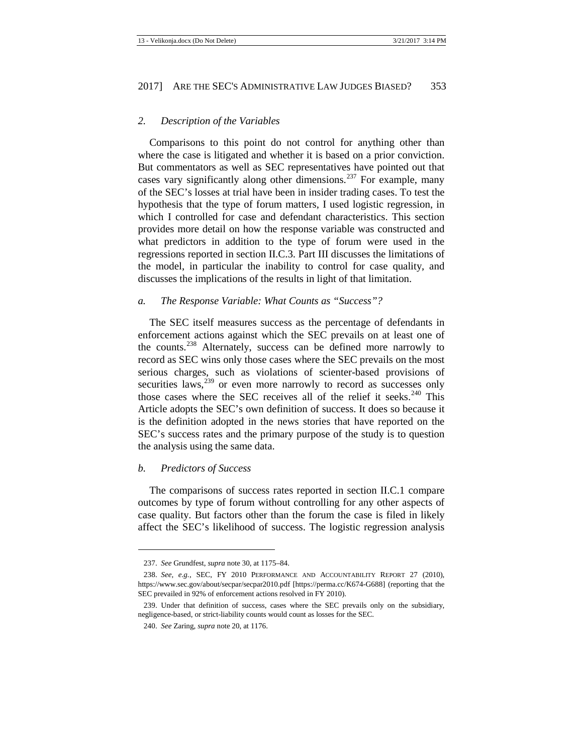#### <span id="page-39-0"></span>*2. Description of the Variables*

Comparisons to this point do not control for anything other than where the case is litigated and whether it is based on a prior conviction. But commentators as well as SEC representatives have pointed out that cases vary significantly along other dimensions.<sup>[237](#page-39-4)</sup> For example, many of the SEC's losses at trial have been in insider trading cases. To test the hypothesis that the type of forum matters, I used logistic regression, in which I controlled for case and defendant characteristics. This section provides more detail on how the response variable was constructed and what predictors in addition to the type of forum were used in the regressions reported in section II.C.3. Part III discusses the limitations of the model, in particular the inability to control for case quality, and discusses the implications of the results in light of that limitation.

#### <span id="page-39-1"></span>*a. The Response Variable: What Counts as "Success"?*

<span id="page-39-3"></span>The SEC itself measures success as the percentage of defendants in enforcement actions against which the SEC prevails on at least one of the counts.<sup>[238](#page-39-5)</sup> Alternately, success can be defined more narrowly to record as SEC wins only those cases where the SEC prevails on the most serious charges, such as violations of scienter-based provisions of securities laws,<sup>[239](#page-39-6)</sup> or even more narrowly to record as successes only those cases where the SEC receives all of the relief it seeks. $240$  This Article adopts the SEC's own definition of success. It does so because it is the definition adopted in the news stories that have reported on the SEC's success rates and the primary purpose of the study is to question the analysis using the same data.

#### <span id="page-39-2"></span>*b. Predictors of Success*

**.** 

The comparisons of success rates reported in section II.C.1 compare outcomes by type of forum without controlling for any other aspects of case quality. But factors other than the forum the case is filed in likely affect the SEC's likelihood of success. The logistic regression analysis

<sup>237.</sup> *See* Grundfest, *supra* not[e 30,](#page-6-0) at 1175–84.

<span id="page-39-5"></span><span id="page-39-4"></span><sup>238.</sup> *See, e.g.*, SEC, FY 2010 PERFORMANCE AND ACCOUNTABILITY REPORT 27 (2010), https://www.sec.gov/about/secpar/secpar2010.pdf [https://perma.cc/K674-G688] (reporting that the SEC prevailed in 92% of enforcement actions resolved in FY 2010).

<span id="page-39-7"></span><span id="page-39-6"></span><sup>239.</sup> Under that definition of success, cases where the SEC prevails only on the subsidiary, negligence-based, or strict-liability counts would count as losses for the SEC.

<sup>240.</sup> *See* Zaring, *supra* not[e 20,](#page-4-12) at 1176.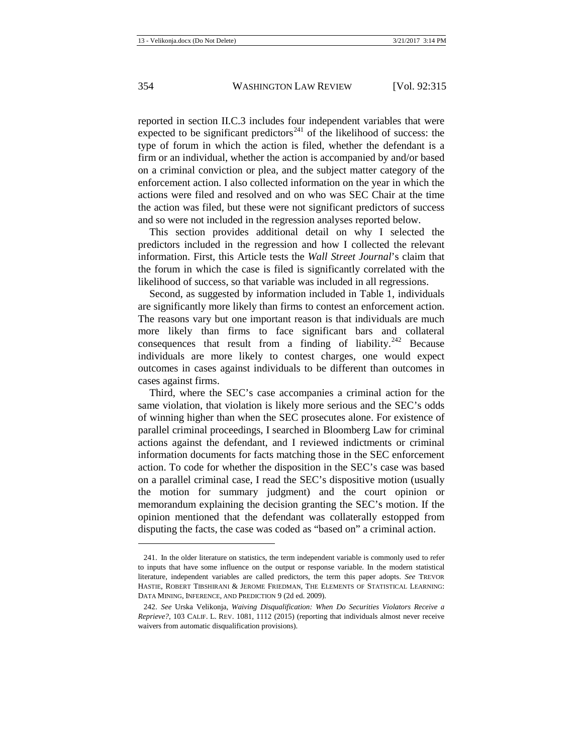<span id="page-40-2"></span>reported in section II.C.3 includes four independent variables that were expected to be significant predictors<sup>[241](#page-40-0)</sup> of the likelihood of success: the type of forum in which the action is filed, whether the defendant is a firm or an individual, whether the action is accompanied by and/or based on a criminal conviction or plea, and the subject matter category of the enforcement action. I also collected information on the year in which the actions were filed and resolved and on who was SEC Chair at the time the action was filed, but these were not significant predictors of success and so were not included in the regression analyses reported below.

This section provides additional detail on why I selected the predictors included in the regression and how I collected the relevant information. First, this Article tests the *Wall Street Journal*'s claim that the forum in which the case is filed is significantly correlated with the likelihood of success, so that variable was included in all regressions.

Second, as suggested by information included in Table 1, individuals are significantly more likely than firms to contest an enforcement action. The reasons vary but one important reason is that individuals are much more likely than firms to face significant bars and collateral consequences that result from a finding of liability.<sup>[242](#page-40-1)</sup> Because individuals are more likely to contest charges, one would expect outcomes in cases against individuals to be different than outcomes in cases against firms.

Third, where the SEC's case accompanies a criminal action for the same violation, that violation is likely more serious and the SEC's odds of winning higher than when the SEC prosecutes alone. For existence of parallel criminal proceedings, I searched in Bloomberg Law for criminal actions against the defendant, and I reviewed indictments or criminal information documents for facts matching those in the SEC enforcement action. To code for whether the disposition in the SEC's case was based on a parallel criminal case, I read the SEC's dispositive motion (usually the motion for summary judgment) and the court opinion or memorandum explaining the decision granting the SEC's motion. If the opinion mentioned that the defendant was collaterally estopped from disputing the facts, the case was coded as "based on" a criminal action.

<span id="page-40-0"></span><sup>241.</sup> In the older literature on statistics, the term independent variable is commonly used to refer to inputs that have some influence on the output or response variable. In the modern statistical literature, independent variables are called predictors, the term this paper adopts. *See* TREVOR HASTIE, ROBERT TIBSHIRANI & JEROME FRIEDMAN, THE ELEMENTS OF STATISTICAL LEARNING: DATA MINING, INFERENCE, AND PREDICTION 9 (2d ed. 2009).

<span id="page-40-1"></span><sup>242.</sup> *See* Urska Velikonja, *Waiving Disqualification: When Do Securities Violators Receive a Reprieve?*, 103 CALIF. L. REV. 1081, 1112 (2015) (reporting that individuals almost never receive waivers from automatic disqualification provisions).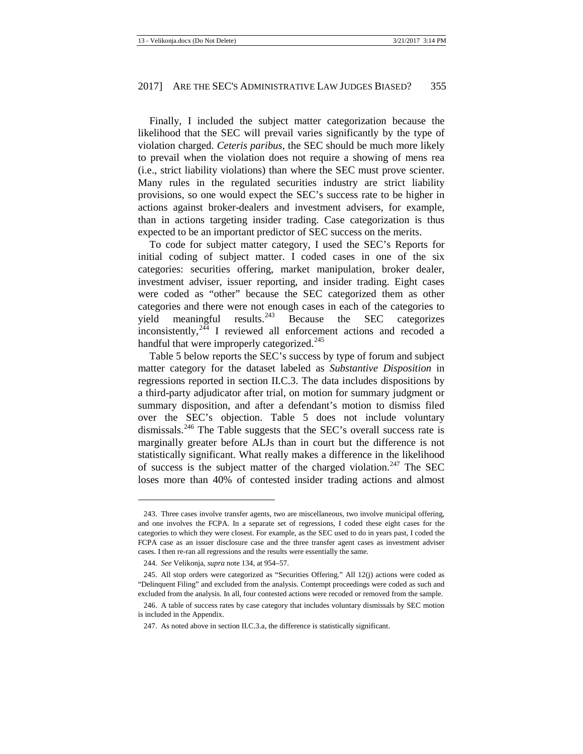Finally, I included the subject matter categorization because the likelihood that the SEC will prevail varies significantly by the type of violation charged. *Ceteris paribus*, the SEC should be much more likely to prevail when the violation does not require a showing of mens rea (i.e., strict liability violations) than where the SEC must prove scienter. Many rules in the regulated securities industry are strict liability provisions, so one would expect the SEC's success rate to be higher in actions against broker-dealers and investment advisers, for example, than in actions targeting insider trading. Case categorization is thus expected to be an important predictor of SEC success on the merits.

To code for subject matter category, I used the SEC's Reports for initial coding of subject matter. I coded cases in one of the six categories: securities offering, market manipulation, broker dealer, investment adviser, issuer reporting, and insider trading. Eight cases were coded as "other" because the SEC categorized them as other categories and there were not enough cases in each of the categories to yield meaningful results. <sup>[243](#page-41-0)</sup> Because the SEC categorizes inconsistently, $2\overline{44}$  I reviewed all enforcement actions and recoded a handful that were improperly categorized.<sup>[245](#page-41-2)</sup>

Table 5 below reports the SEC's success by type of forum and subject matter category for the dataset labeled as *Substantive Disposition* in regressions reported in section II.C.3. The data includes dispositions by a third-party adjudicator after trial, on motion for summary judgment or summary disposition, and after a defendant's motion to dismiss filed over the SEC's objection. Table 5 does not include voluntary dismissals.<sup>[246](#page-41-3)</sup> The Table suggests that the SEC's overall success rate is marginally greater before ALJs than in court but the difference is not statistically significant. What really makes a difference in the likelihood of success is the subject matter of the charged violation.<sup>[247](#page-41-4)</sup> The SEC loses more than 40% of contested insider trading actions and almost

<span id="page-41-0"></span><sup>243.</sup> Three cases involve transfer agents, two are miscellaneous, two involve municipal offering, and one involves the FCPA. In a separate set of regressions, I coded these eight cases for the categories to which they were closest. For example, as the SEC used to do in years past, I coded the FCPA case as an issuer disclosure case and the three transfer agent cases as investment adviser cases. I then re-ran all regressions and the results were essentially the same.

<sup>244.</sup> *See* Velikonja, *supra* not[e 134,](#page-20-8) at 954–57.

<span id="page-41-2"></span><span id="page-41-1"></span><sup>245.</sup> All stop orders were categorized as "Securities Offering." All 12(j) actions were coded as "Delinquent Filing" and excluded from the analysis. Contempt proceedings were coded as such and excluded from the analysis. In all, four contested actions were recoded or removed from the sample.

<span id="page-41-4"></span><span id="page-41-3"></span><sup>246.</sup> A table of success rates by case category that includes voluntary dismissals by SEC motion is included in the Appendix.

<sup>247.</sup> As noted above in section II.C.3.a, the difference is statistically significant.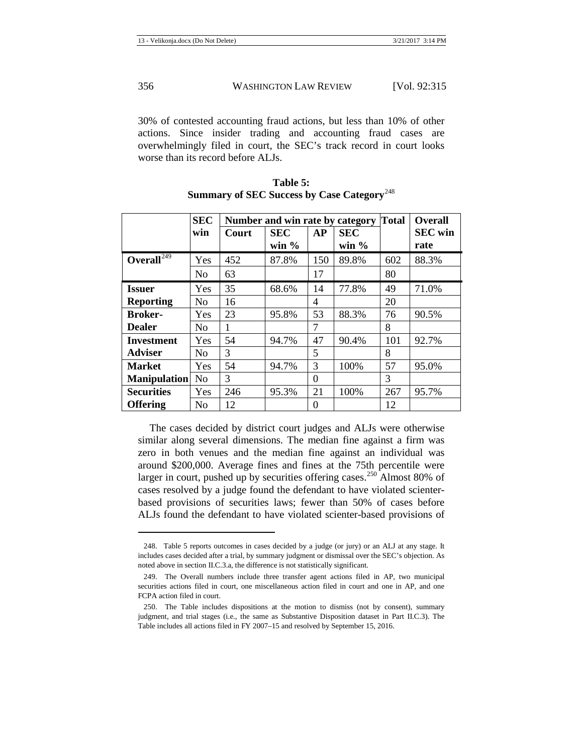30% of contested accounting fraud actions, but less than 10% of other actions. Since insider trading and accounting fraud cases are overwhelmingly filed in court, the SEC's track record in court looks worse than its record before ALJs.

|                     | <b>SEC</b>     |       | Number and win rate by category | <b>Total</b> | <b>Overall</b>         |     |                        |
|---------------------|----------------|-------|---------------------------------|--------------|------------------------|-----|------------------------|
|                     | win            | Court | <b>SEC</b><br>win $\%$          | <b>AP</b>    | <b>SEC</b><br>win $\%$ |     | <b>SEC</b> win<br>rate |
| Overall $^{249}$    | Yes            | 452   | 87.8%                           | 150          | 89.8%                  | 602 | 88.3%                  |
|                     | N <sub>o</sub> | 63    |                                 | 17           |                        | 80  |                        |
| <b>Issuer</b>       | Yes            | 35    | 68.6%                           | 14           | 77.8%                  | 49  | 71.0%                  |
| <b>Reporting</b>    | N <sub>0</sub> | 16    |                                 | 4            |                        | 20  |                        |
| <b>Broker-</b>      | Yes            | 23    | 95.8%                           | 53           | 88.3%                  | 76  | 90.5%                  |
| <b>Dealer</b>       | N <sub>0</sub> | 1     |                                 | 7            |                        | 8   |                        |
| <b>Investment</b>   | Yes            | 54    | 94.7%                           | 47           | 90.4%                  | 101 | 92.7%                  |
| <b>Adviser</b>      | N <sub>o</sub> | 3     |                                 | 5            |                        | 8   |                        |
| <b>Market</b>       | <b>Yes</b>     | 54    | 94.7%                           | 3            | 100%                   | 57  | 95.0%                  |
| <b>Manipulation</b> | N <sub>0</sub> | 3     |                                 | $\Omega$     |                        | 3   |                        |
| <b>Securities</b>   | Yes            | 246   | 95.3%                           | 21           | 100%                   | 267 | 95.7%                  |
| <b>Offering</b>     | N <sub>o</sub> | 12    |                                 | $\theta$     |                        | 12  |                        |

| Table 5:                                                      |  |
|---------------------------------------------------------------|--|
| <b>Summary of SEC Success by Case Category</b> <sup>248</sup> |  |

The cases decided by district court judges and ALJs were otherwise similar along several dimensions. The median fine against a firm was zero in both venues and the median fine against an individual was around \$200,000. Average fines and fines at the 75th percentile were larger in court, pushed up by securities offering cases.<sup>[250](#page-42-2)</sup> Almost 80% of cases resolved by a judge found the defendant to have violated scienterbased provisions of securities laws; fewer than 50% of cases before ALJs found the defendant to have violated scienter-based provisions of

<span id="page-42-0"></span><sup>248.</sup> Table 5 reports outcomes in cases decided by a judge (or jury) or an ALJ at any stage. It includes cases decided after a trial, by summary judgment or dismissal over the SEC's objection. As noted above in section II.C.3.a, the difference is not statistically significant.

<span id="page-42-1"></span><sup>249.</sup> The Overall numbers include three transfer agent actions filed in AP, two municipal securities actions filed in court, one miscellaneous action filed in court and one in AP, and one FCPA action filed in court.

<span id="page-42-2"></span><sup>250.</sup> The Table includes dispositions at the motion to dismiss (not by consent), summary judgment, and trial stages (i.e., the same as Substantive Disposition dataset in Part II.C.3). The Table includes all actions filed in FY 2007–15 and resolved by September 15, 2016.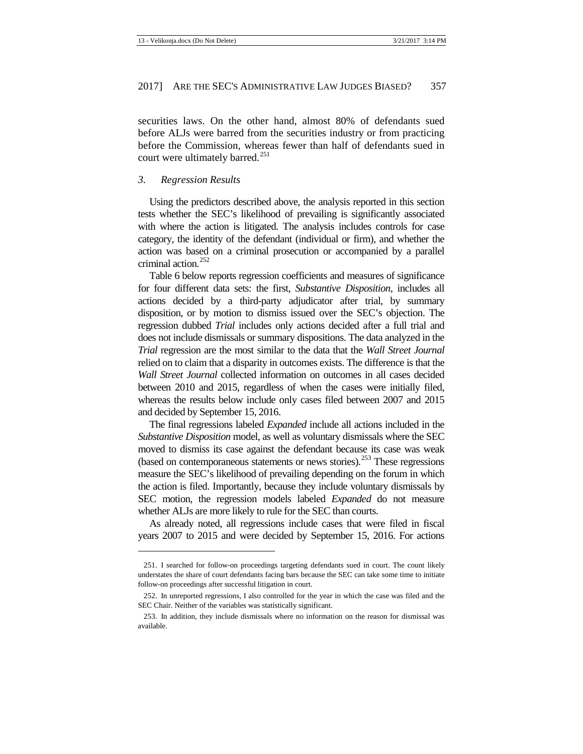securities laws. On the other hand, almost 80% of defendants sued before ALJs were barred from the securities industry or from practicing before the Commission, whereas fewer than half of defendants sued in court were ultimately barred.<sup>[251](#page-43-1)</sup>

#### <span id="page-43-0"></span>*3. Regression Results*

**.** 

Using the predictors described above, the analysis reported in this section tests whether the SEC's likelihood of prevailing is significantly associated with where the action is litigated. The analysis includes controls for case category, the identity of the defendant (individual or firm), and whether the action was based on a criminal prosecution or accompanied by a parallel criminal action.<sup>[252](#page-43-2)</sup>

Table 6 below reports regression coefficients and measures of significance for four different data sets: the first, *Substantive Disposition*, includes all actions decided by a third-party adjudicator after trial, by summary disposition, or by motion to dismiss issued over the SEC's objection. The regression dubbed *Trial* includes only actions decided after a full trial and does not include dismissals or summary dispositions. The data analyzed in the *Trial* regression are the most similar to the data that the *Wall Street Journal* relied on to claim that a disparity in outcomes exists. The difference is that the *Wall Street Journal* collected information on outcomes in all cases decided between 2010 and 2015, regardless of when the cases were initially filed, whereas the results below include only cases filed between 2007 and 2015 and decided by September 15, 2016.

The final regressions labeled *Expanded* include all actions included in the *Substantive Disposition* model, as well as voluntary dismissals where the SEC moved to dismiss its case against the defendant because its case was weak (based on contemporaneous statements or news stories).<sup>[253](#page-43-3)</sup> These regressions measure the SEC's likelihood of prevailing depending on the forum in which the action is filed. Importantly, because they include voluntary dismissals by SEC motion, the regression models labeled *Expanded* do not measure whether ALJs are more likely to rule for the SEC than courts.

As already noted, all regressions include cases that were filed in fiscal years 2007 to 2015 and were decided by September 15, 2016. For actions

<span id="page-43-1"></span><sup>251.</sup> I searched for follow-on proceedings targeting defendants sued in court. The count likely understates the share of court defendants facing bars because the SEC can take some time to initiate follow-on proceedings after successful litigation in court.

<span id="page-43-2"></span><sup>252.</sup> In unreported regressions, I also controlled for the year in which the case was filed and the SEC Chair. Neither of the variables was statistically significant.

<span id="page-43-3"></span><sup>253.</sup> In addition, they include dismissals where no information on the reason for dismissal was available.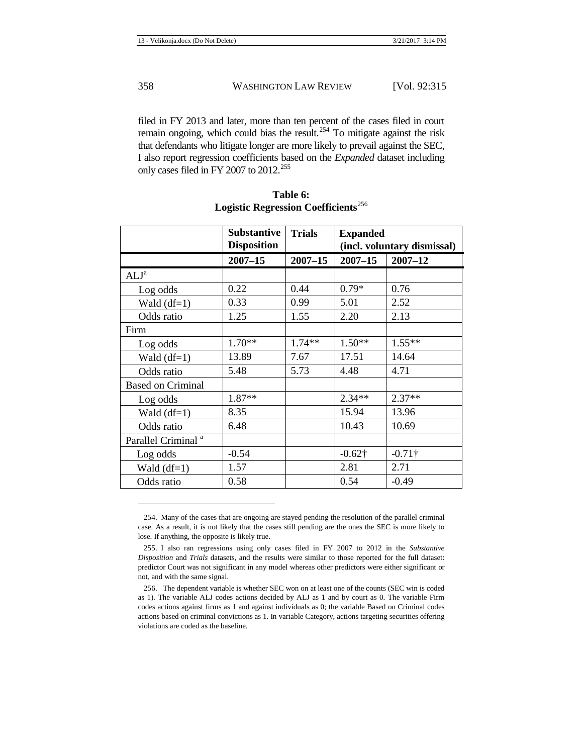filed in FY 2013 and later, more than ten percent of the cases filed in court remain ongoing, which could bias the result.<sup>[254](#page-44-0)</sup> To mitigate against the risk that defendants who litigate longer are more likely to prevail against the SEC, I also report regression coefficients based on the *Expanded* dataset including only cases filed in FY 2007 to 2012.<sup>[255](#page-44-1)</sup>

|                                | <b>Substantive</b><br><b>Disposition</b> | <b>Trials</b> | <b>Expanded</b> | (incl. voluntary dismissal) |
|--------------------------------|------------------------------------------|---------------|-----------------|-----------------------------|
|                                | $2007 - 15$                              | $2007 - 15$   | $2007 - 15$     | $2007 - 12$                 |
| ALJ <sup>a</sup>               |                                          |               |                 |                             |
| Log odds                       | 0.22                                     | 0.44          | $0.79*$         | 0.76                        |
| Wald $(df=1)$                  | 0.33                                     | 0.99          | 5.01            | 2.52                        |
| Odds ratio                     | 1.25                                     | 1.55          | 2.20            | 2.13                        |
| Firm                           |                                          |               |                 |                             |
| Log odds                       | $1.70**$                                 | $1.74**$      | $1.50**$        | $1.55**$                    |
| Wald $(df=1)$                  | 13.89                                    | 7.67          | 17.51           | 14.64                       |
| Odds ratio                     | 5.48                                     | 5.73          | 4.48            | 4.71                        |
| <b>Based on Criminal</b>       |                                          |               |                 |                             |
| Log odds                       | $1.87**$                                 |               | $2.34**$        | $2.37**$                    |
| Wald $(df=1)$                  | 8.35                                     |               | 15.94           | 13.96                       |
| Odds ratio                     | 6.48                                     |               | 10.43           | 10.69                       |
| Parallel Criminal <sup>a</sup> |                                          |               |                 |                             |
| Log odds                       | $-0.54$                                  |               | $-0.62\dagger$  | $-0.71\dagger$              |
| Wald $(df=1)$                  | 1.57                                     |               | 2.81            | 2.71                        |
| Odds ratio                     | 0.58                                     |               | 0.54            | $-0.49$                     |

| Table 6: |                                                 |
|----------|-------------------------------------------------|
|          | Logistic Regression Coefficients <sup>256</sup> |

<span id="page-44-0"></span><sup>254.</sup> Many of the cases that are ongoing are stayed pending the resolution of the parallel criminal case. As a result, it is not likely that the cases still pending are the ones the SEC is more likely to lose. If anything, the opposite is likely true.

<span id="page-44-1"></span><sup>255.</sup> I also ran regressions using only cases filed in FY 2007 to 2012 in the *Substantive Disposition* and *Trials* datasets, and the results were similar to those reported for the full dataset: predictor Court was not significant in any model whereas other predictors were either significant or not, and with the same signal.

<span id="page-44-2"></span><sup>256.</sup> The dependent variable is whether SEC won on at least one of the counts (SEC win is coded as 1). The variable ALJ codes actions decided by ALJ as 1 and by court as 0. The variable Firm codes actions against firms as 1 and against individuals as 0; the variable Based on Criminal codes actions based on criminal convictions as 1. In variable Category, actions targeting securities offering violations are coded as the baseline.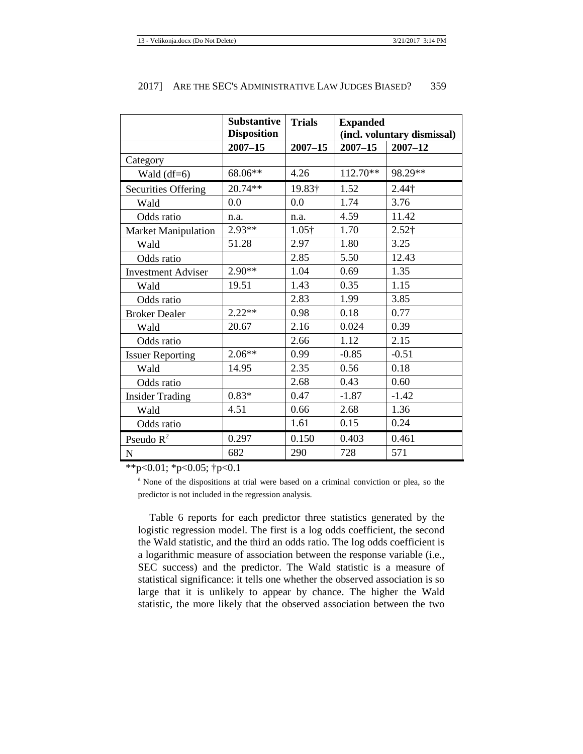|                            | <b>Substantive</b><br><b>Disposition</b> | <b>Trials</b> | <b>Expanded</b><br>(incl. voluntary dismissal) |               |
|----------------------------|------------------------------------------|---------------|------------------------------------------------|---------------|
|                            | $2007 - 15$                              | $2007 - 15$   | $2007 - 15$<br>$2007 - 12$                     |               |
| Category                   |                                          |               |                                                |               |
| Wald $(df=6)$              | 68.06**                                  | 4.26          | $112.70**$                                     | 98.29**       |
| <b>Securities Offering</b> | 20.74**                                  | 19.83†        | 1.52                                           | $2.44\dagger$ |
| Wald                       | 0.0                                      | 0.0           | 1.74                                           | 3.76          |
| Odds ratio                 | n.a.                                     | n.a.          | 4.59                                           | 11.42         |
| <b>Market Manipulation</b> | 2.93**                                   | $1.05\dagger$ | 1.70                                           | $2.52$ †      |
| Wald                       | 51.28                                    | 2.97          | 1.80                                           | 3.25          |
| Odds ratio                 |                                          | 2.85          | 5.50                                           | 12.43         |
| <b>Investment Adviser</b>  | $2.90**$                                 | 1.04          | 0.69                                           | 1.35          |
| Wald                       | 19.51                                    | 1.43          | 0.35                                           | 1.15          |
| Odds ratio                 |                                          | 2.83          | 1.99                                           | 3.85          |
| <b>Broker Dealer</b>       | $2.22**$                                 | 0.98          | 0.18                                           | 0.77          |
| Wald                       | 20.67                                    | 2.16          | 0.024                                          | 0.39          |
| Odds ratio                 |                                          | 2.66          | 1.12                                           | 2.15          |
| <b>Issuer Reporting</b>    | $2.06**$                                 | 0.99          | $-0.85$                                        | $-0.51$       |
| Wald                       | 14.95                                    | 2.35          | 0.56                                           | 0.18          |
| Odds ratio                 |                                          | 2.68          | 0.43                                           | 0.60          |
| <b>Insider Trading</b>     | $0.83*$                                  | 0.47          | $-1.87$                                        | $-1.42$       |
| Wald                       | 4.51                                     | 0.66          | 2.68                                           | 1.36          |
| Odds ratio                 |                                          | 1.61          | 0.15                                           | 0.24          |
| Pseudo $R^2$               | 0.297                                    | 0.150         | 0.403                                          | 0.461         |
| ${\bf N}$                  | 682                                      | 290           | 728                                            | 571           |

\*\*p<0.01; \*p<0.05;  $\uparrow$ p<0.1

<sup>a</sup> None of the dispositions at trial were based on a criminal conviction or plea, so the predictor is not included in the regression analysis.

Table 6 reports for each predictor three statistics generated by the logistic regression model. The first is a log odds coefficient, the second the Wald statistic, and the third an odds ratio. The log odds coefficient is a logarithmic measure of association between the response variable (i.e., SEC success) and the predictor. The Wald statistic is a measure of statistical significance: it tells one whether the observed association is so large that it is unlikely to appear by chance. The higher the Wald statistic, the more likely that the observed association between the two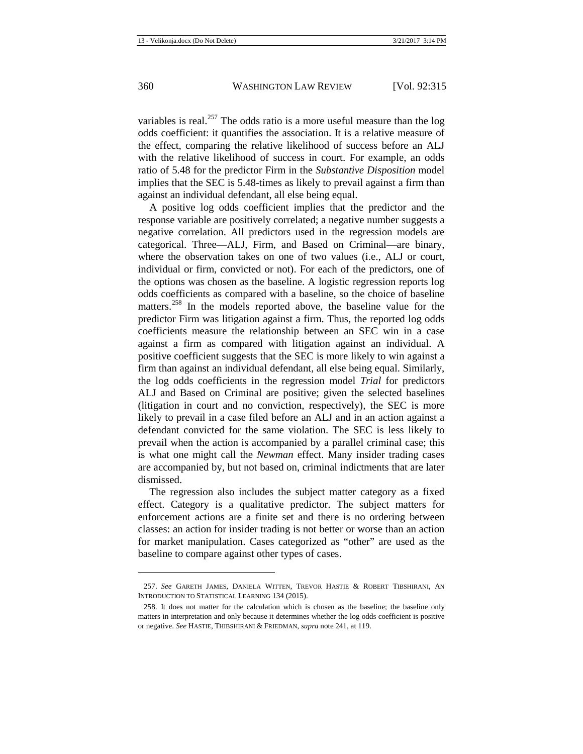variables is real.<sup>[257](#page-46-0)</sup> The odds ratio is a more useful measure than the log odds coefficient: it quantifies the association. It is a relative measure of the effect, comparing the relative likelihood of success before an ALJ with the relative likelihood of success in court. For example, an odds ratio of 5.48 for the predictor Firm in the *Substantive Disposition* model implies that the SEC is 5.48-times as likely to prevail against a firm than against an individual defendant, all else being equal.

A positive log odds coefficient implies that the predictor and the response variable are positively correlated; a negative number suggests a negative correlation. All predictors used in the regression models are categorical. Three—ALJ, Firm, and Based on Criminal—are binary, where the observation takes on one of two values (i.e., ALJ or court, individual or firm, convicted or not). For each of the predictors, one of the options was chosen as the baseline. A logistic regression reports log odds coefficients as compared with a baseline, so the choice of baseline matters.<sup>[258](#page-46-1)</sup> In the models reported above, the baseline value for the predictor Firm was litigation against a firm. Thus, the reported log odds coefficients measure the relationship between an SEC win in a case against a firm as compared with litigation against an individual. A positive coefficient suggests that the SEC is more likely to win against a firm than against an individual defendant, all else being equal. Similarly, the log odds coefficients in the regression model *Trial* for predictors ALJ and Based on Criminal are positive; given the selected baselines (litigation in court and no conviction, respectively), the SEC is more likely to prevail in a case filed before an ALJ and in an action against a defendant convicted for the same violation. The SEC is less likely to prevail when the action is accompanied by a parallel criminal case; this is what one might call the *Newman* effect. Many insider trading cases are accompanied by, but not based on, criminal indictments that are later dismissed.

The regression also includes the subject matter category as a fixed effect. Category is a qualitative predictor. The subject matters for enforcement actions are a finite set and there is no ordering between classes: an action for insider trading is not better or worse than an action for market manipulation. Cases categorized as "other" are used as the baseline to compare against other types of cases.

<span id="page-46-0"></span><sup>257.</sup> *See* GARETH JAMES, DANIELA WITTEN, TREVOR HASTIE & ROBERT TIBSHIRANI, AN INTRODUCTION TO STATISTICAL LEARNING 134 (2015).

<span id="page-46-1"></span><sup>258.</sup> It does not matter for the calculation which is chosen as the baseline; the baseline only matters in interpretation and only because it determines whether the log odds coefficient is positive or negative. *See* HASTIE, THIBSHIRANI & FRIEDMAN, *supra* not[e 241,](#page-40-2) at 119.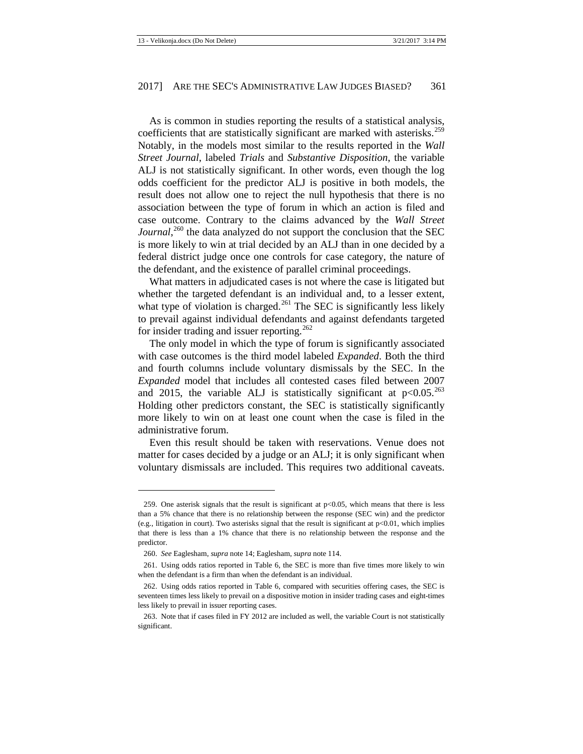As is common in studies reporting the results of a statistical analysis, coefficients that are statistically significant are marked with asterisks.<sup>[259](#page-47-0)</sup> Notably, in the models most similar to the results reported in the *Wall Street Journal*, labeled *Trials* and *Substantive Disposition*, the variable ALJ is not statistically significant. In other words, even though the log odds coefficient for the predictor ALJ is positive in both models, the result does not allow one to reject the null hypothesis that there is no association between the type of forum in which an action is filed and case outcome. Contrary to the claims advanced by the *Wall Street*  Journal,<sup>[260](#page-47-1)</sup> the data analyzed do not support the conclusion that the SEC is more likely to win at trial decided by an ALJ than in one decided by a federal district judge once one controls for case category, the nature of the defendant, and the existence of parallel criminal proceedings.

What matters in adjudicated cases is not where the case is litigated but whether the targeted defendant is an individual and, to a lesser extent, what type of violation is charged. $^{261}$  $^{261}$  $^{261}$  The SEC is significantly less likely to prevail against individual defendants and against defendants targeted for insider trading and issuer reporting.<sup>[262](#page-47-3)</sup>

The only model in which the type of forum is significantly associated with case outcomes is the third model labeled *Expanded*. Both the third and fourth columns include voluntary dismissals by the SEC. In the *Expanded* model that includes all contested cases filed between 2007 and 2015, the variable ALJ is statistically significant at  $p<0.05$ .<sup>[263](#page-47-4)</sup> Holding other predictors constant, the SEC is statistically significantly more likely to win on at least one count when the case is filed in the administrative forum.

Even this result should be taken with reservations. Venue does not matter for cases decided by a judge or an ALJ; it is only significant when voluntary dismissals are included. This requires two additional caveats.

 $\overline{\phantom{a}}$ 

<span id="page-47-0"></span><sup>259.</sup> One asterisk signals that the result is significant at  $p<0.05$ , which means that there is less than a 5% chance that there is no relationship between the response (SEC win) and the predictor (e.g., litigation in court). Two asterisks signal that the result is significant at  $p<0.01$ , which implies that there is less than a 1% chance that there is no relationship between the response and the predictor.

<sup>260.</sup> *See* Eaglesham, *supra* not[e 14;](#page-4-13) Eaglesham, *supra* not[e 114.](#page-17-4)

<span id="page-47-2"></span><span id="page-47-1"></span><sup>261.</sup> Using odds ratios reported in Table 6, the SEC is more than five times more likely to win when the defendant is a firm than when the defendant is an individual.

<span id="page-47-3"></span><sup>262.</sup> Using odds ratios reported in Table 6, compared with securities offering cases, the SEC is seventeen times less likely to prevail on a dispositive motion in insider trading cases and eight-times less likely to prevail in issuer reporting cases.

<span id="page-47-4"></span><sup>263.</sup> Note that if cases filed in FY 2012 are included as well, the variable Court is not statistically significant.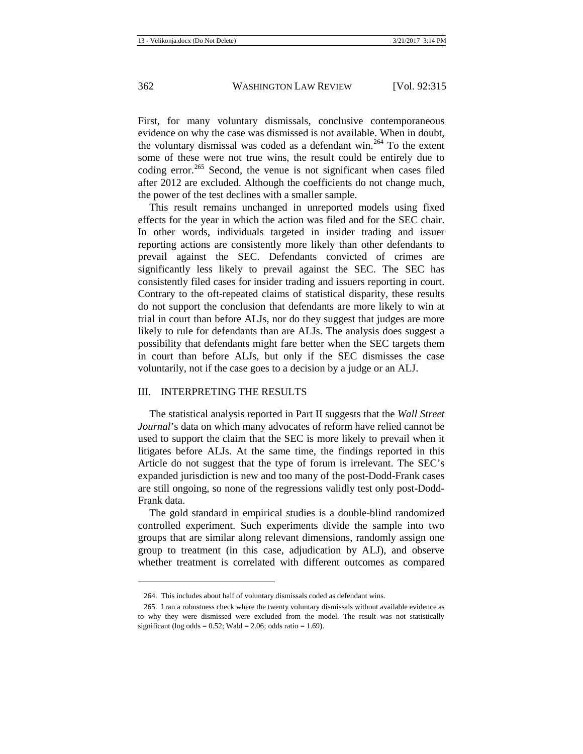First, for many voluntary dismissals, conclusive contemporaneous evidence on why the case was dismissed is not available. When in doubt, the voluntary dismissal was coded as a defendant win.<sup>[264](#page-48-1)</sup> To the extent some of these were not true wins, the result could be entirely due to coding error.<sup>[265](#page-48-2)</sup> Second, the venue is not significant when cases filed after 2012 are excluded. Although the coefficients do not change much, the power of the test declines with a smaller sample.

This result remains unchanged in unreported models using fixed effects for the year in which the action was filed and for the SEC chair. In other words, individuals targeted in insider trading and issuer reporting actions are consistently more likely than other defendants to prevail against the SEC. Defendants convicted of crimes are significantly less likely to prevail against the SEC. The SEC has consistently filed cases for insider trading and issuers reporting in court. Contrary to the oft-repeated claims of statistical disparity, these results do not support the conclusion that defendants are more likely to win at trial in court than before ALJs, nor do they suggest that judges are more likely to rule for defendants than are ALJs. The analysis does suggest a possibility that defendants might fare better when the SEC targets them in court than before ALJs, but only if the SEC dismisses the case voluntarily, not if the case goes to a decision by a judge or an ALJ.

#### <span id="page-48-0"></span>III. INTERPRETING THE RESULTS

The statistical analysis reported in Part II suggests that the *Wall Street Journal*'s data on which many advocates of reform have relied cannot be used to support the claim that the SEC is more likely to prevail when it litigates before ALJs. At the same time, the findings reported in this Article do not suggest that the type of forum is irrelevant. The SEC's expanded jurisdiction is new and too many of the post-Dodd-Frank cases are still ongoing, so none of the regressions validly test only post-Dodd-Frank data.

The gold standard in empirical studies is a double-blind randomized controlled experiment. Such experiments divide the sample into two groups that are similar along relevant dimensions, randomly assign one group to treatment (in this case, adjudication by ALJ), and observe whether treatment is correlated with different outcomes as compared

 $\overline{a}$ 

<sup>264.</sup> This includes about half of voluntary dismissals coded as defendant wins.

<span id="page-48-2"></span><span id="page-48-1"></span><sup>265.</sup> I ran a robustness check where the twenty voluntary dismissals without available evidence as to why they were dismissed were excluded from the model. The result was not statistically significant (log odds =  $0.52$ ; Wald =  $2.06$ ; odds ratio =  $1.69$ ).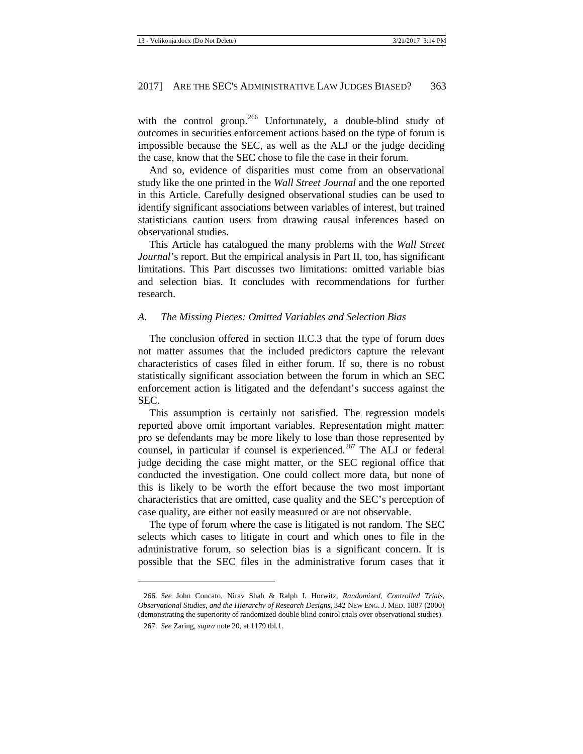with the control group.<sup>[266](#page-49-1)</sup> Unfortunately, a double-blind study of outcomes in securities enforcement actions based on the type of forum is impossible because the SEC, as well as the ALJ or the judge deciding the case, know that the SEC chose to file the case in their forum.

And so, evidence of disparities must come from an observational study like the one printed in the *Wall Street Journal* and the one reported in this Article. Carefully designed observational studies can be used to identify significant associations between variables of interest, but trained statisticians caution users from drawing causal inferences based on observational studies.

This Article has catalogued the many problems with the *Wall Street Journal*'s report. But the empirical analysis in Part II, too, has significant limitations. This Part discusses two limitations: omitted variable bias and selection bias. It concludes with recommendations for further research.

#### <span id="page-49-0"></span>*A. The Missing Pieces: Omitted Variables and Selection Bias*

The conclusion offered in section II.C.3 that the type of forum does not matter assumes that the included predictors capture the relevant characteristics of cases filed in either forum. If so, there is no robust statistically significant association between the forum in which an SEC enforcement action is litigated and the defendant's success against the SEC.

This assumption is certainly not satisfied. The regression models reported above omit important variables. Representation might matter: pro se defendants may be more likely to lose than those represented by counsel, in particular if counsel is experienced.<sup>[267](#page-49-2)</sup> The ALJ or federal judge deciding the case might matter, or the SEC regional office that conducted the investigation. One could collect more data, but none of this is likely to be worth the effort because the two most important characteristics that are omitted, case quality and the SEC's perception of case quality, are either not easily measured or are not observable.

The type of forum where the case is litigated is not random. The SEC selects which cases to litigate in court and which ones to file in the administrative forum, so selection bias is a significant concern. It is possible that the SEC files in the administrative forum cases that it

 $\overline{a}$ 

<span id="page-49-2"></span><span id="page-49-1"></span><sup>266.</sup> *See* John Concato, Nirav Shah & Ralph I. Horwitz, *Randomized, Controlled Trials, Observational Studies, and the Hierarchy of Research Designs*, 342 NEW ENG. J. MED. 1887 (2000) (demonstrating the superiority of randomized double blind control trials over observational studies).

<sup>267.</sup> *See* Zaring, *supra* not[e 20,](#page-4-12) at 1179 tbl.1.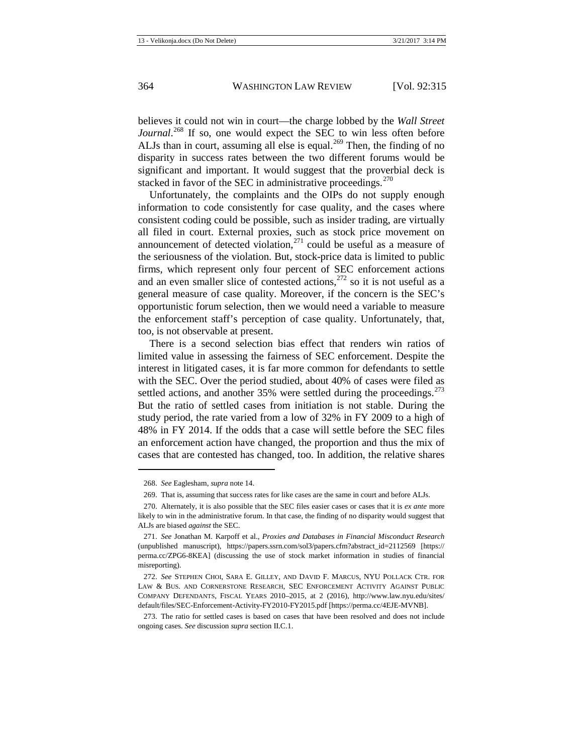believes it could not win in court—the charge lobbed by the *Wall Street*  Journal.<sup>[268](#page-50-0)</sup> If so, one would expect the SEC to win less often before ALJs than in court, assuming all else is equal.<sup>[269](#page-50-1)</sup> Then, the finding of no disparity in success rates between the two different forums would be significant and important. It would suggest that the proverbial deck is stacked in favor of the SEC in administrative proceedings. $270$ 

Unfortunately, the complaints and the OIPs do not supply enough information to code consistently for case quality, and the cases where consistent coding could be possible, such as insider trading, are virtually all filed in court. External proxies, such as stock price movement on announcement of detected violation, $271$  could be useful as a measure of the seriousness of the violation. But, stock-price data is limited to public firms, which represent only four percent of SEC enforcement actions and an even smaller slice of contested actions, $272$  so it is not useful as a general measure of case quality. Moreover, if the concern is the SEC's opportunistic forum selection, then we would need a variable to measure the enforcement staff's perception of case quality. Unfortunately, that, too, is not observable at present.

There is a second selection bias effect that renders win ratios of limited value in assessing the fairness of SEC enforcement. Despite the interest in litigated cases, it is far more common for defendants to settle with the SEC. Over the period studied, about 40% of cases were filed as settled actions, and another  $35\%$  were settled during the proceedings.<sup>[273](#page-50-5)</sup> But the ratio of settled cases from initiation is not stable. During the study period, the rate varied from a low of 32% in FY 2009 to a high of 48% in FY 2014. If the odds that a case will settle before the SEC files an enforcement action have changed, the proportion and thus the mix of cases that are contested has changed, too. In addition, the relative shares

<sup>268.</sup> *See* Eaglesham, *supra* not[e 14.](#page-4-13)

<sup>269.</sup> That is, assuming that success rates for like cases are the same in court and before ALJs.

<span id="page-50-2"></span><span id="page-50-1"></span><span id="page-50-0"></span><sup>270.</sup> Alternately, it is also possible that the SEC files easier cases or cases that it is *ex ante* more likely to win in the administrative forum. In that case, the finding of no disparity would suggest that ALJs are biased *against* the SEC.

<span id="page-50-3"></span><sup>271.</sup> *See* Jonathan M. Karpoff et al., *Proxies and Databases in Financial Misconduct Research* (unpublished manuscript), https://papers.ssrn.com/sol3/papers.cfm?abstract\_id=2112569 [https:// perma.cc/ZPG6-8KEA] (discussing the use of stock market information in studies of financial misreporting).

<span id="page-50-4"></span><sup>272.</sup> *See* STEPHEN CHOI, SARA E. GILLEY, AND DAVID F. MARCUS, NYU POLLACK CTR. FOR LAW & BUS. AND CORNERSTONE RESEARCH, SEC ENFORCEMENT ACTIVITY AGAINST PUBLIC COMPANY DEFENDANTS, FISCAL YEARS 2010–2015, at 2 (2016), http://www.law.nyu.edu/sites/ default/files/SEC-Enforcement-Activity-FY2010-FY2015.pdf [https://perma.cc/4EJE-MVNB].

<span id="page-50-5"></span><sup>273.</sup> The ratio for settled cases is based on cases that have been resolved and does not include ongoing cases. *See* discussion *supra* section II.C.1.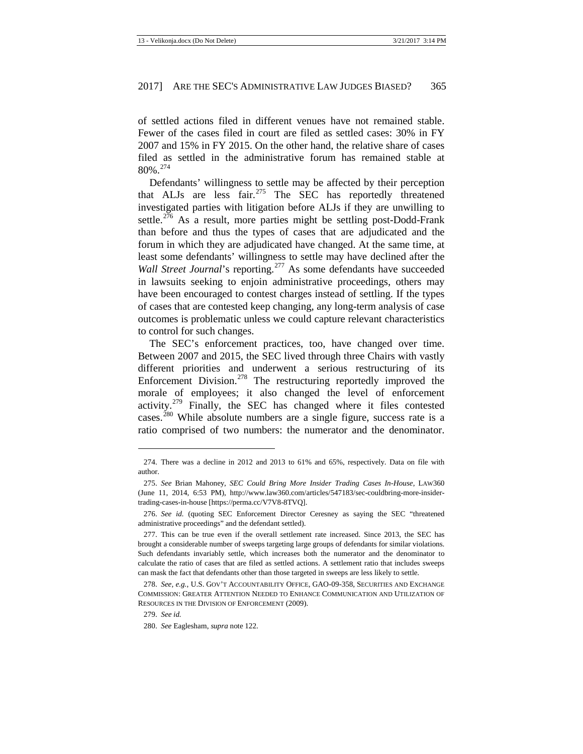of settled actions filed in different venues have not remained stable. Fewer of the cases filed in court are filed as settled cases: 30% in FY 2007 and 15% in FY 2015. On the other hand, the relative share of cases filed as settled in the administrative forum has remained stable at 80%.[274](#page-51-0)

Defendants' willingness to settle may be affected by their perception that ALJs are less fair.<sup>[275](#page-51-1)</sup> The SEC has reportedly threatened investigated parties with litigation before ALJs if they are unwilling to settle.<sup>[276](#page-51-2)</sup> As a result, more parties might be settling post-Dodd-Frank than before and thus the types of cases that are adjudicated and the forum in which they are adjudicated have changed. At the same time, at least some defendants' willingness to settle may have declined after the *Wall Street Journal's reporting.*<sup>[277](#page-51-3)</sup> As some defendants have succeeded in lawsuits seeking to enjoin administrative proceedings, others may have been encouraged to contest charges instead of settling. If the types of cases that are contested keep changing, any long-term analysis of case outcomes is problematic unless we could capture relevant characteristics to control for such changes.

The SEC's enforcement practices, too, have changed over time. Between 2007 and 2015, the SEC lived through three Chairs with vastly different priorities and underwent a serious restructuring of its Enforcement Division.<sup>[278](#page-51-4)</sup> The restructuring reportedly improved the morale of employees; it also changed the level of enforcement activity.[279](#page-51-5) Finally, the SEC has changed where it files contested cases.<sup>[280](#page-51-6)</sup> While absolute numbers are a single figure, success rate is a ratio comprised of two numbers: the numerator and the denominator.

<span id="page-51-0"></span><sup>274.</sup> There was a decline in 2012 and 2013 to 61% and 65%, respectively. Data on file with author.

<span id="page-51-1"></span><sup>275.</sup> *See* Brian Mahoney, *SEC Could Bring More Insider Trading Cases In-House*, LAW360 (June 11, 2014, 6:53 PM), http://www.law360.com/articles/547183/sec-couldbring-more-insidertrading-cases-in-house [\[https://perma.cc/V7V8-8TVQ\].](https://perma.cc/V7V8-8TVQ)

<span id="page-51-2"></span><sup>276.</sup> *See id.* (quoting SEC Enforcement Director Ceresney as saying the SEC "threatened administrative proceedings" and the defendant settled).

<span id="page-51-3"></span><sup>277.</sup> This can be true even if the overall settlement rate increased. Since 2013, the SEC has brought a considerable number of sweeps targeting large groups of defendants for similar violations. Such defendants invariably settle, which increases both the numerator and the denominator to calculate the ratio of cases that are filed as settled actions. A settlement ratio that includes sweeps can mask the fact that defendants other than those targeted in sweeps are less likely to settle.

<span id="page-51-5"></span><span id="page-51-4"></span><sup>278.</sup> *See, e.g.*, U.S. GOV'T ACCOUNTABILITY OFFICE, GAO-09-358, SECURITIES AND EXCHANGE COMMISSION: GREATER ATTENTION NEEDED TO ENHANCE COMMUNICATION AND UTILIZATION OF RESOURCES IN THE DIVISION OF ENFORCEMENT (2009).

<sup>279.</sup> *See id.*

<span id="page-51-6"></span><sup>280.</sup> *See* Eaglesham, *supra* not[e 122.](#page-18-0)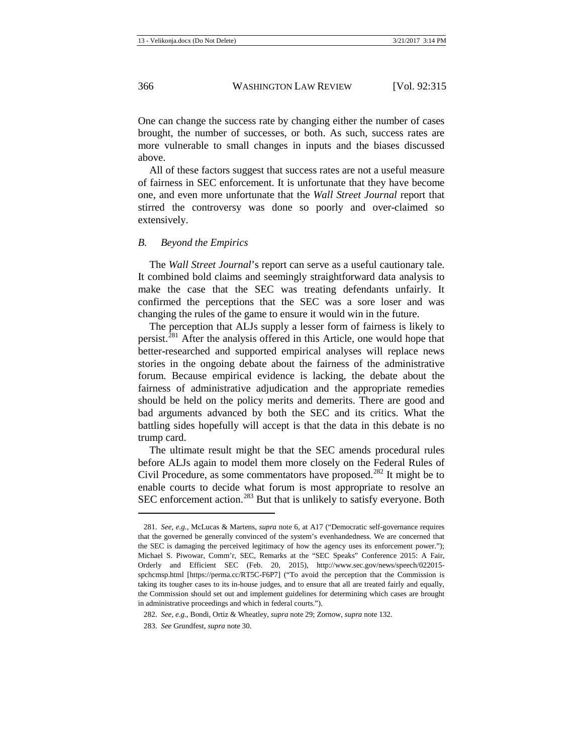One can change the success rate by changing either the number of cases brought, the number of successes, or both. As such, success rates are more vulnerable to small changes in inputs and the biases discussed above.

All of these factors suggest that success rates are not a useful measure of fairness in SEC enforcement. It is unfortunate that they have become one, and even more unfortunate that the *Wall Street Journal* report that stirred the controversy was done so poorly and over-claimed so extensively.

#### <span id="page-52-0"></span>*B. Beyond the Empirics*

The *Wall Street Journal*'s report can serve as a useful cautionary tale. It combined bold claims and seemingly straightforward data analysis to make the case that the SEC was treating defendants unfairly. It confirmed the perceptions that the SEC was a sore loser and was changing the rules of the game to ensure it would win in the future.

The perception that ALJs supply a lesser form of fairness is likely to persist.<sup>[281](#page-52-1)</sup> After the analysis offered in this Article, one would hope that better-researched and supported empirical analyses will replace news stories in the ongoing debate about the fairness of the administrative forum. Because empirical evidence is lacking, the debate about the fairness of administrative adjudication and the appropriate remedies should be held on the policy merits and demerits. There are good and bad arguments advanced by both the SEC and its critics. What the battling sides hopefully will accept is that the data in this debate is no trump card.

The ultimate result might be that the SEC amends procedural rules before ALJs again to model them more closely on the Federal Rules of Civil Procedure, as some commentators have proposed.<sup>[282](#page-52-2)</sup> It might be to enable courts to decide what forum is most appropriate to resolve an SEC enforcement action.<sup>[283](#page-52-3)</sup> But that is unlikely to satisfy everyone. Both

 $\overline{a}$ 

<span id="page-52-1"></span><sup>281.</sup> *See, e.g.*, McLucas & Martens, *supra* note [6,](#page-3-10) at A17 ("Democratic self-governance requires that the governed be generally convinced of the system's evenhandedness. We are concerned that the SEC is damaging the perceived legitimacy of how the agency uses its enforcement power."); Michael S. Piwowar, Comm'r, SEC, Remarks at the "SEC Speaks" Conference 2015: A Fair, Orderly and Efficient SEC (Feb. 20, 2015), http://www.sec.gov/news/speech/022015 spchcmsp.html [https://perma.cc/RT5C-F6P7] ("To avoid the perception that the Commission is taking its tougher cases to its in-house judges, and to ensure that all are treated fairly and equally, the Commission should set out and implement guidelines for determining which cases are brought in administrative proceedings and which in federal courts.").

<span id="page-52-2"></span><sup>282.</sup> *See, e.g.*, Bondi, Ortiz & Wheatley, *supra* not[e 29;](#page-5-6) Zornow, *supra* not[e 132.](#page-19-10)

<span id="page-52-3"></span><sup>283.</sup> *See* Grundfest, *supra* not[e 30.](#page-6-0)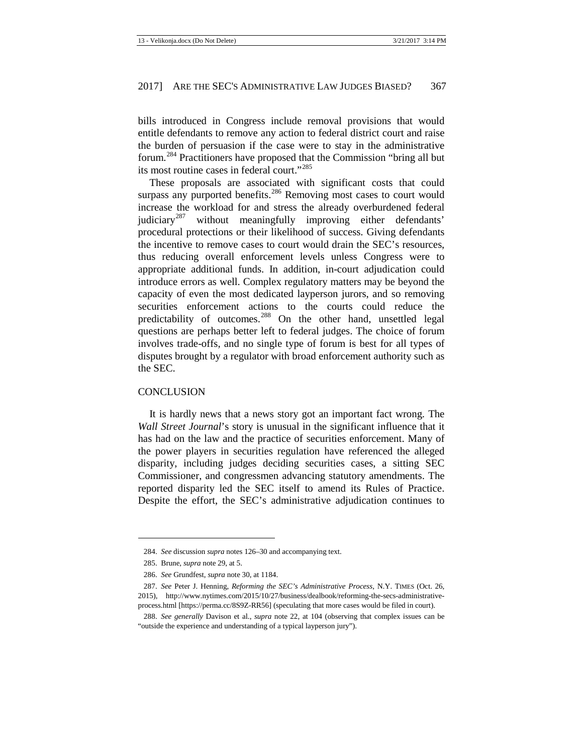bills introduced in Congress include removal provisions that would entitle defendants to remove any action to federal district court and raise the burden of persuasion if the case were to stay in the administrative forum.[284](#page-53-1) Practitioners have proposed that the Commission "bring all but its most routine cases in federal court."[285](#page-53-2)

These proposals are associated with significant costs that could surpass any purported benefits.<sup>[286](#page-53-3)</sup> Removing most cases to court would increase the workload for and stress the already overburdened federal judiciary<sup>[287](#page-53-4)</sup> without meaningfully improving either defendants' procedural protections or their likelihood of success. Giving defendants the incentive to remove cases to court would drain the SEC's resources, thus reducing overall enforcement levels unless Congress were to appropriate additional funds. In addition, in-court adjudication could introduce errors as well. Complex regulatory matters may be beyond the capacity of even the most dedicated layperson jurors, and so removing securities enforcement actions to the courts could reduce the predictability of outcomes.<sup>[288](#page-53-5)</sup> On the other hand, unsettled legal questions are perhaps better left to federal judges. The choice of forum involves trade-offs, and no single type of forum is best for all types of disputes brought by a regulator with broad enforcement authority such as the SEC.

#### <span id="page-53-0"></span>**CONCLUSION**

It is hardly news that a news story got an important fact wrong. The *Wall Street Journal*'s story is unusual in the significant influence that it has had on the law and the practice of securities enforcement. Many of the power players in securities regulation have referenced the alleged disparity, including judges deciding securities cases, a sitting SEC Commissioner, and congressmen advancing statutory amendments. The reported disparity led the SEC itself to amend its Rules of Practice. Despite the effort, the SEC's administrative adjudication continues to

<sup>284.</sup> *See* discussion *supra* note[s 126–](#page-19-11)30 and accompanying text.

<sup>285.</sup> Brune, *supra* not[e 29,](#page-5-6) at 5.

<sup>286.</sup> *See* Grundfest, *supra* not[e 30,](#page-6-0) at 1184.

<span id="page-53-4"></span><span id="page-53-3"></span><span id="page-53-2"></span><span id="page-53-1"></span><sup>287.</sup> *See* Peter J. Henning, *Reforming the SEC's Administrative Process*, N.Y. TIMES (Oct. 26, 2015), http://www.nytimes.com/2015/10/27/business/dealbook/reforming-the-secs-administrativeprocess.html [https://perma.cc/8S9Z-RR56] (speculating that more cases would be filed in court).

<span id="page-53-5"></span><sup>288.</sup> *See generally* Davison et al., *supra* not[e 22,](#page-4-15) at 104 (observing that complex issues can be "outside the experience and understanding of a typical layperson jury").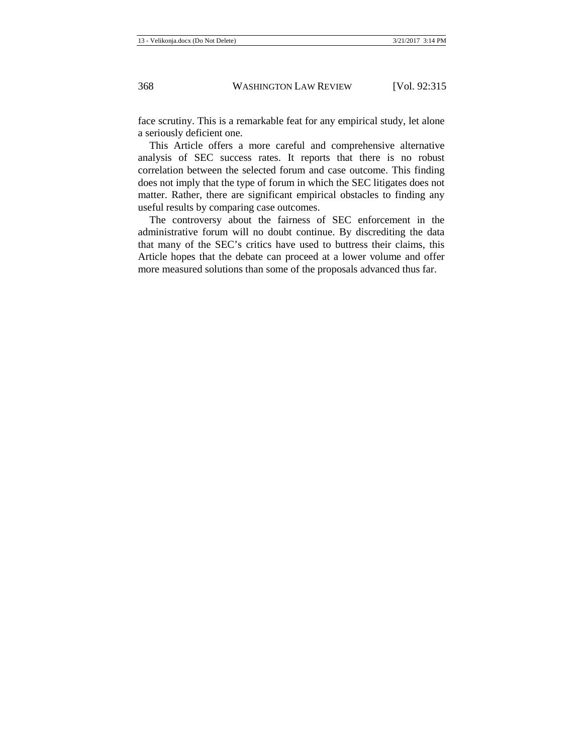face scrutiny. This is a remarkable feat for any empirical study, let alone a seriously deficient one.

This Article offers a more careful and comprehensive alternative analysis of SEC success rates. It reports that there is no robust correlation between the selected forum and case outcome. This finding does not imply that the type of forum in which the SEC litigates does not matter. Rather, there are significant empirical obstacles to finding any useful results by comparing case outcomes.

<span id="page-54-0"></span>The controversy about the fairness of SEC enforcement in the administrative forum will no doubt continue. By discrediting the data that many of the SEC's critics have used to buttress their claims, this Article hopes that the debate can proceed at a lower volume and offer more measured solutions than some of the proposals advanced thus far.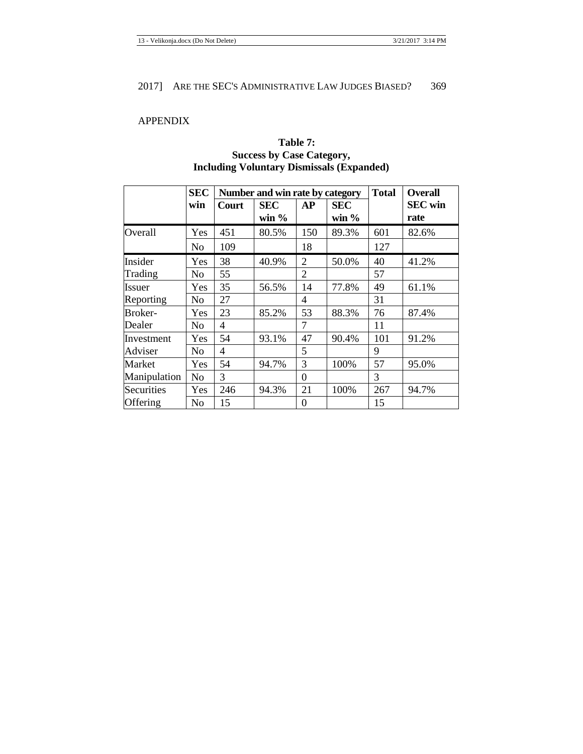# APPENDIX

# **Table 7: Success by Case Category, Including Voluntary Dismissals (Expanded)**

|              | <b>SEC</b>     |       | Number and win rate by category | <b>Total</b>     | <b>Overall</b> |     |                |
|--------------|----------------|-------|---------------------------------|------------------|----------------|-----|----------------|
|              | win            | Court | <b>SEC</b>                      | АP               | <b>SEC</b>     |     | <b>SEC</b> win |
|              |                |       | win $\%$                        |                  | win $\%$       |     | rate           |
| Overall      | Yes            | 451   | 80.5%                           | 150              | 89.3%          | 601 | 82.6%          |
|              | No             | 109   |                                 | 18               |                | 127 |                |
| Insider      | Yes            | 38    | 40.9%                           | $\overline{2}$   | 50.0%          | 40  | 41.2%          |
| Trading      | No             | 55    |                                 | $\overline{2}$   |                | 57  |                |
| Issuer       | Yes            | 35    | 56.5%                           | 14               | 77.8%          | 49  | 61.1%          |
| Reporting    | N <sub>o</sub> | 27    |                                 | $\overline{4}$   |                | 31  |                |
| Broker-      | Yes            | 23    | 85.2%                           | 53               | 88.3%          | 76  | 87.4%          |
| Dealer       | No             | 4     |                                 | 7                |                | 11  |                |
| Investment   | Yes            | 54    | 93.1%                           | 47               | 90.4%          | 101 | 91.2%          |
| Adviser      | No             | 4     |                                 | 5                |                | 9   |                |
| Market       | Yes            | 54    | 94.7%                           | 3                | 100%           | 57  | 95.0%          |
| Manipulation | N <sub>o</sub> | 3     |                                 | $\overline{0}$   |                | 3   |                |
| Securities   | Yes            | 246   | 94.3%                           | 21               | 100%           | 267 | 94.7%          |
| Offering     | No             | 15    |                                 | $\boldsymbol{0}$ |                | 15  |                |